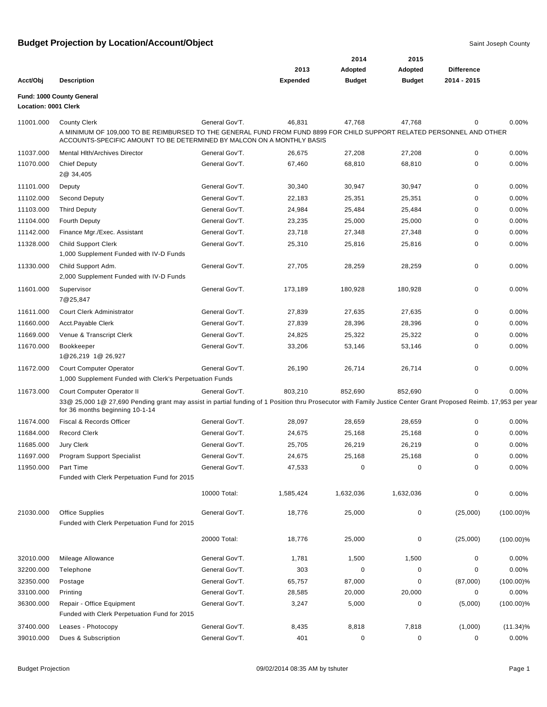|                             |                                                                                                                                                                 |                                  |                 | 2014          | 2015          |                   |              |
|-----------------------------|-----------------------------------------------------------------------------------------------------------------------------------------------------------------|----------------------------------|-----------------|---------------|---------------|-------------------|--------------|
|                             |                                                                                                                                                                 |                                  | 2013            | Adopted       | Adopted       | <b>Difference</b> |              |
| Acct/Obj                    | <b>Description</b>                                                                                                                                              |                                  | <b>Expended</b> | <b>Budget</b> | <b>Budget</b> | 2014 - 2015       |              |
|                             | Fund: 1000 County General                                                                                                                                       |                                  |                 |               |               |                   |              |
| <b>Location: 0001 Clerk</b> |                                                                                                                                                                 |                                  |                 |               |               |                   |              |
| 11001.000                   | <b>County Clerk</b><br>A MINIMUM OF 109,000 TO BE REIMBURSED TO THE GENERAL FUND FROM FUND 8899 FOR CHILD SUPPORT RELATED PERSONNEL AND OTHER                   | General Gov'T.                   | 46,831          | 47,768        | 47,768        | 0                 | 0.00%        |
|                             | ACCOUNTS-SPECIFIC AMOUNT TO BE DETERMINED BY MALCON ON A MONTHLY BASIS                                                                                          |                                  |                 |               |               |                   |              |
| 11037.000                   | <b>Mental Hith/Archives Director</b>                                                                                                                            | General Gov'T.                   | 26,675          | 27,208        | 27,208        | 0                 | 0.00%        |
| 11070.000                   | <b>Chief Deputy</b>                                                                                                                                             | General Gov'T.                   | 67,460          | 68,810        | 68,810        | 0                 | 0.00%        |
|                             | 2@ 34,405                                                                                                                                                       |                                  |                 |               |               |                   |              |
| 11101.000                   | Deputy                                                                                                                                                          | General Gov'T.                   | 30,340          | 30,947        | 30,947        | 0                 | 0.00%        |
| 11102.000                   | Second Deputy                                                                                                                                                   | General Gov'T.                   | 22,183          | 25,351        | 25,351        | 0                 | 0.00%        |
| 11103.000                   | <b>Third Deputy</b>                                                                                                                                             | General Gov'T.                   | 24,984          | 25,484        | 25,484        | 0                 | 0.00%        |
| 11104.000                   | <b>Fourth Deputy</b>                                                                                                                                            | General Gov'T.                   | 23,235          | 25,000        | 25,000        | 0                 | 0.00%        |
| 11142.000                   | Finance Mgr./Exec. Assistant                                                                                                                                    | General Gov'T.                   | 23,718          | 27,348        | 27,348        | 0                 | 0.00%        |
| 11328.000                   | <b>Child Support Clerk</b>                                                                                                                                      | General Gov'T.                   | 25,310          | 25,816        | 25,816        | 0                 | 0.00%        |
|                             | 1,000 Supplement Funded with IV-D Funds                                                                                                                         |                                  |                 |               |               |                   |              |
| 11330.000                   | Child Support Adm.                                                                                                                                              | General Gov'T.                   | 27,705          | 28,259        | 28,259        | 0                 | 0.00%        |
|                             | 2,000 Supplement Funded with IV-D Funds                                                                                                                         |                                  |                 |               |               |                   |              |
| 11601.000                   | Supervisor                                                                                                                                                      | General Gov'T.                   | 173,189         | 180,928       | 180,928       | 0                 | 0.00%        |
|                             | 7@25,847                                                                                                                                                        |                                  |                 |               |               |                   |              |
| 11611.000                   | Court Clerk Administrator                                                                                                                                       | General Gov'T.                   | 27,839          | 27,635        | 27,635        | 0                 | 0.00%        |
| 11660.000                   | Acct.Payable Clerk                                                                                                                                              | General Gov'T.                   | 27,839          | 28,396        | 28,396        | 0                 | 0.00%        |
| 11669.000                   | Venue & Transcript Clerk                                                                                                                                        | General Gov'T.                   | 24,825          | 25,322        | 25,322        | 0                 | 0.00%        |
| 11670.000                   | Bookkeeper                                                                                                                                                      | General Gov'T.                   | 33,206          | 53,146        | 53,146        | 0                 | 0.00%        |
|                             | 1@26,219 1@ 26,927                                                                                                                                              |                                  |                 |               |               |                   |              |
| 11672.000                   | <b>Court Computer Operator</b>                                                                                                                                  | General Gov'T.                   | 26,190          | 26,714        | 26,714        | 0                 | 0.00%        |
|                             | 1,000 Supplement Funded with Clerk's Perpetuation Funds                                                                                                         |                                  |                 |               |               |                   |              |
| 11673.000                   | Court Computer Operator II                                                                                                                                      | General Gov'T.                   | 803,210         | 852,690       | 852,690       |                   | 0.00%        |
|                             | 33@ 25,000 1@ 27,690 Pending grant may assist in partial funding of 1 Position thru Prosecutor with Family Justice Center Grant Proposed Reimb. 17,953 per year |                                  |                 |               |               |                   |              |
|                             | for 36 months beginning 10-1-14                                                                                                                                 |                                  |                 |               |               |                   |              |
| 11674.000                   | Fiscal & Records Officer                                                                                                                                        | General Gov'T.<br>General Gov'T. | 28,097          | 28,659        | 28,659        | 0                 | 0.00%        |
| 11684.000                   | <b>Record Clerk</b>                                                                                                                                             |                                  | 24,675          | 25,168        | 25,168        | 0                 | 0.00%        |
| 11685.000                   | <b>Jury Clerk</b>                                                                                                                                               | General Gov'T.                   | 25,705          | 26,219        | 26,219        | 0                 | 0.00%        |
| 11697.000                   | Program Support Specialist                                                                                                                                      | General Gov'T.                   | 24,675          | 25,168        | 25,168        | 0                 | 0.00%        |
| 11950.000                   | Part Time<br>Funded with Clerk Perpetuation Fund for 2015                                                                                                       | General Gov'T.                   | 47,533          | 0             | 0             |                   | 0.00%        |
|                             |                                                                                                                                                                 |                                  |                 |               |               |                   |              |
|                             |                                                                                                                                                                 | 10000 Total:                     | 1,585,424       | 1,632,036     | 1,632,036     | 0                 | 0.00%        |
| 21030.000                   | <b>Office Supplies</b>                                                                                                                                          | General Gov'T.                   | 18,776          | 25,000        | 0             | (25,000)          | $(100.00)\%$ |
|                             | Funded with Clerk Perpetuation Fund for 2015                                                                                                                    |                                  |                 |               |               |                   |              |
|                             |                                                                                                                                                                 |                                  |                 |               |               |                   |              |
|                             |                                                                                                                                                                 | 20000 Total:                     | 18,776          | 25,000        | 0             | (25,000)          | $(100.00)\%$ |
| 32010.000                   | Mileage Allowance                                                                                                                                               | General Gov'T.                   | 1,781           | 1,500         | 1,500         | 0                 | 0.00%        |
| 32200.000                   | Telephone                                                                                                                                                       | General Gov'T.                   | 303             | 0             | 0             | 0                 | 0.00%        |
| 32350.000                   | Postage                                                                                                                                                         | General Gov'T.                   | 65,757          | 87,000        | 0             | (87,000)          | $(100.00)\%$ |
| 33100.000                   | Printing                                                                                                                                                        | General Gov'T.                   | 28,585          | 20,000        | 20,000        | 0                 | 0.00%        |
| 36300.000                   | Repair - Office Equipment                                                                                                                                       | General Gov'T.                   | 3,247           | 5,000         | 0             | (5,000)           | $(100.00)\%$ |
|                             | Funded with Clerk Perpetuation Fund for 2015                                                                                                                    |                                  |                 |               |               |                   |              |
| 37400.000                   | Leases - Photocopy                                                                                                                                              | General Gov'T.                   | 8,435           | 8,818         | 7,818         | (1,000)           | $(11.34)\%$  |
| 39010.000                   | Dues & Subscription                                                                                                                                             | General Gov'T.                   | 401             | 0             | 0             | 0                 | 0.00%        |
|                             |                                                                                                                                                                 |                                  |                 |               |               |                   |              |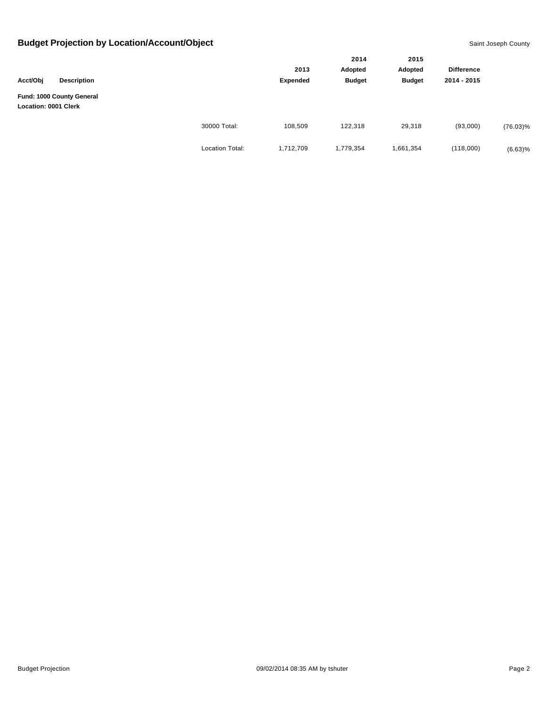|                                                   |                    |                        |                 | 2014<br>Adopted | 2015          | <b>Difference</b> |             |
|---------------------------------------------------|--------------------|------------------------|-----------------|-----------------|---------------|-------------------|-------------|
|                                                   |                    |                        | 2013            |                 | Adopted       |                   |             |
| Acct/Obj                                          | <b>Description</b> |                        | <b>Expended</b> | <b>Budget</b>   | <b>Budget</b> | 2014 - 2015       |             |
| Fund: 1000 County General<br>Location: 0001 Clerk |                    |                        |                 |                 |               |                   |             |
|                                                   |                    | 30000 Total:           | 108,509         | 122,318         | 29,318        | (93,000)          | $(76.03)\%$ |
|                                                   |                    | <b>Location Total:</b> | 1,712,709       | 1,779,354       | 1,661,354     | (118,000)         | (6.63)%     |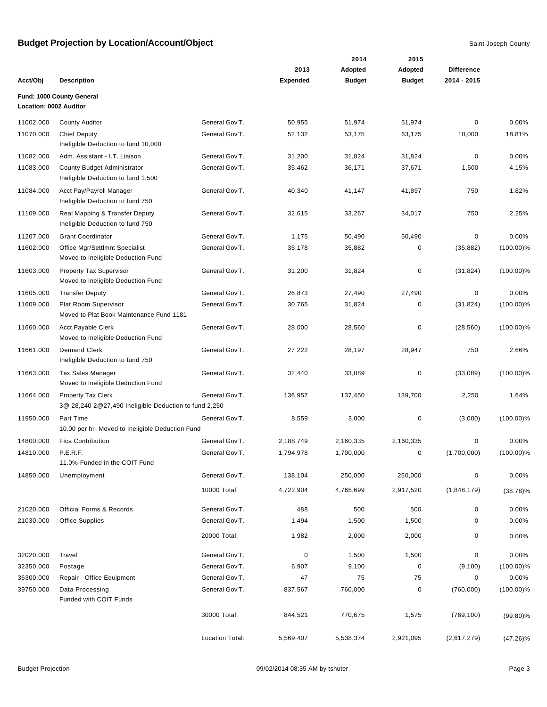|                        |                                                                                    |                 |                         | 2014                     | 2015                     |                                  |              |
|------------------------|------------------------------------------------------------------------------------|-----------------|-------------------------|--------------------------|--------------------------|----------------------------------|--------------|
| Acct/Obj               | <b>Description</b>                                                                 |                 | 2013<br><b>Expended</b> | Adopted<br><b>Budget</b> | Adopted<br><b>Budget</b> | <b>Difference</b><br>2014 - 2015 |              |
|                        | Fund: 1000 County General                                                          |                 |                         |                          |                          |                                  |              |
| Location: 0002 Auditor |                                                                                    |                 |                         |                          |                          |                                  |              |
| 11002.000              | <b>County Auditor</b>                                                              | General Gov'T.  | 50,955                  | 51,974                   | 51,974                   | 0                                | 0.00%        |
| 11070.000              | <b>Chief Deputy</b><br>Ineligible Deduction to fund 10,000                         | General Gov'T.  | 52,132                  | 53,175                   | 63,175                   | 10,000                           | 18.81%       |
| 11082.000              | Adm. Assistant - I.T. Liaison                                                      | General Gov'T.  | 31,200                  | 31,824                   | 31,824                   | 0                                | 0.00%        |
| 11083.000              | County Budget Administrator<br>Ineligible Deduction to fund 1,500                  | General Gov'T.  | 35,462                  | 36,171                   | 37,671                   | 1,500                            | 4.15%        |
| 11084.000              | Acct Pay/Payroll Manager<br>Ineligible Deduction to fund 750                       | General Gov'T.  | 40,340                  | 41,147                   | 41,897                   | 750                              | 1.82%        |
| 11109.000              | Real Mapping & Transfer Deputy<br>Ineligible Deduction to fund 750                 | General Gov'T.  | 32,615                  | 33,267                   | 34,017                   | 750                              | 2.25%        |
| 11207.000              | <b>Grant Coordinator</b>                                                           | General Gov'T.  | 1,175                   | 50,490                   | 50,490                   | 0                                | 0.00%        |
| 11602.000              | Office Mgr/Settlmnt Specialist<br>Moved to Ineligible Deduction Fund               | General Gov'T.  | 35,178                  | 35,882                   | 0                        | (35, 882)                        | $(100.00)\%$ |
| 11603.000              | <b>Property Tax Supervisor</b><br>Moved to Ineligible Deduction Fund               | General Gov'T.  | 31,200                  | 31,824                   | 0                        | (31, 824)                        | $(100.00)\%$ |
| 11605.000              | <b>Transfer Deputy</b>                                                             | General Gov'T.  | 26,873                  | 27,490                   | 27,490                   | 0                                | 0.00%        |
| 11609.000              | Plat Room Supervisor<br>Moved to Plat Book Maintenance Fund 1181                   | General Gov'T.  | 30,765                  | 31,824                   | 0                        | (31, 824)                        | $(100.00)\%$ |
| 11660.000              | Acct.Payable Clerk<br>Moved to Ineligible Deduction Fund                           | General Gov'T.  | 28,000                  | 28,560                   | 0                        | (28, 560)                        | $(100.00)\%$ |
| 11661.000              | <b>Demand Clerk</b><br>Ineligible Deduction to fund 750                            | General Gov'T.  | 27,222                  | 28,197                   | 28,947                   | 750                              | 2.66%        |
| 11663.000              | <b>Tax Sales Manager</b><br>Moved to Ineligible Deduction Fund                     | General Gov'T.  | 32,440                  | 33,089                   | 0                        | (33,089)                         | $(100.00)\%$ |
| 11664.000              | <b>Property Tax Clerk</b><br>3@ 28,240 2@27,490 Ineligible Deduction to fund 2,250 | General Gov'T.  | 136,957                 | 137,450                  | 139,700                  | 2,250                            | 1.64%        |
| 11950.000              | Part Time<br>10.00 per hr- Moved to Ineligible Deduction Fund                      | General Gov'T.  | 8,559                   | 3,000                    | 0                        | (3,000)                          | $(100.00)\%$ |
| 14800.000              | <b>Fica Contribution</b>                                                           | General Gov'T.  | 2,188,749               | 2,160,335                | 2,160,335                | 0                                | 0.00%        |
| 14810.000              | P.E.R.F.<br>11.0%-Funded in the COIT Fund                                          | General Gov'T.  | 1,794,978               | 1.700.000                | 0                        | (1,700,000)                      | $(100.00)\%$ |
| 14850.000              | Unemployment                                                                       | General Gov'T.  | 138,104                 | 250,000                  | 250,000                  | 0                                | 0.00%        |
|                        |                                                                                    | 10000 Total:    | 4,722,904               | 4,765,699                | 2,917,520                | (1,848,179)                      | $(38.78)\%$  |
| 21020.000              | <b>Official Forms &amp; Records</b>                                                | General Gov'T.  | 488                     | 500                      | 500                      | 0                                | 0.00%        |
| 21030.000              | <b>Office Supplies</b>                                                             | General Gov'T.  | 1,494                   | 1,500                    | 1,500                    | 0                                | 0.00%        |
|                        |                                                                                    | 20000 Total:    | 1,982                   | 2,000                    | 2,000                    | 0                                | 0.00%        |
| 32020.000              | Travel                                                                             | General Gov'T.  | 0                       | 1,500                    | 1,500                    | 0                                | 0.00%        |
| 32350.000              | Postage                                                                            | General Gov'T.  | 6,907                   | 9,100                    | $\pmb{0}$                | (9, 100)                         | $(100.00)\%$ |
| 36300.000              | Repair - Office Equipment                                                          | General Gov'T.  | 47                      | 75                       | 75                       | 0                                | 0.00%        |
| 39750.000              | Data Processing<br>Funded with COIT Funds                                          | General Gov'T.  | 837,567                 | 760,000                  | 0                        | (760,000)                        | $(100.00)\%$ |
|                        |                                                                                    | 30000 Total:    | 844,521                 | 770,675                  | 1,575                    | (769, 100)                       | $(99.80)\%$  |
|                        |                                                                                    | Location Total: | 5,569,407               | 5,538,374                | 2,921,095                | (2,617,279)                      | $(47.26)\%$  |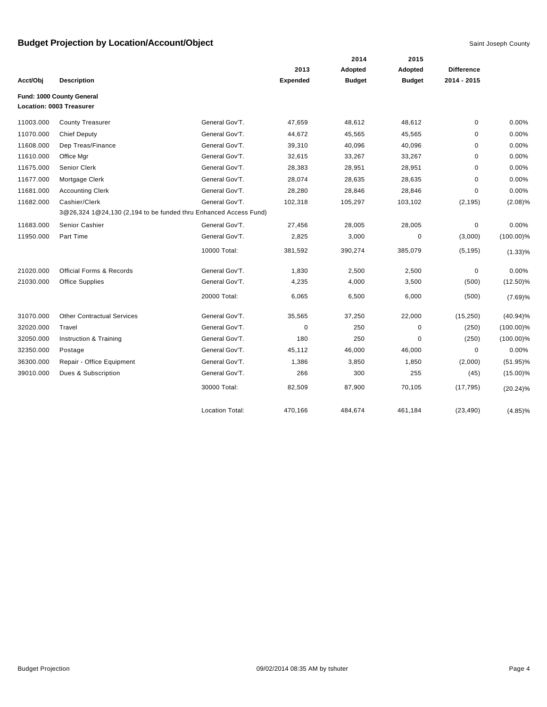|           |                                                                  |                        |                 | 2014          | 2015          |                   |              |
|-----------|------------------------------------------------------------------|------------------------|-----------------|---------------|---------------|-------------------|--------------|
|           |                                                                  |                        | 2013            | Adopted       | Adopted       | <b>Difference</b> |              |
| Acct/Obj  | <b>Description</b>                                               |                        | <b>Expended</b> | <b>Budget</b> | <b>Budget</b> | 2014 - 2015       |              |
|           | Fund: 1000 County General                                        |                        |                 |               |               |                   |              |
|           | Location: 0003 Treasurer                                         |                        |                 |               |               |                   |              |
| 11003.000 | <b>County Treasurer</b>                                          | General Gov'T.         | 47,659          | 48,612        | 48,612        | $\pmb{0}$         | 0.00%        |
| 11070.000 | <b>Chief Deputy</b>                                              | General Gov'T.         | 44,672          | 45,565        | 45,565        | 0                 | 0.00%        |
| 11608.000 | Dep Treas/Finance                                                | General Gov'T.         | 39,310          | 40,096        | 40,096        | 0                 | 0.00%        |
| 11610.000 | Office Mgr                                                       | General Gov'T.         | 32,615          | 33,267        | 33,267        | 0                 | 0.00%        |
| 11675.000 | <b>Senior Clerk</b>                                              | General Gov'T.         | 28,383          | 28,951        | 28,951        | $\mathbf 0$       | 0.00%        |
| 11677.000 | Mortgage Clerk                                                   | General Gov'T.         | 28,074          | 28,635        | 28,635        | 0                 | 0.00%        |
| 11681.000 | <b>Accounting Clerk</b>                                          | General Gov'T.         | 28,280          | 28,846        | 28,846        | 0                 | 0.00%        |
| 11682.000 | Cashier/Clerk                                                    | General Gov'T.         | 102,318         | 105,297       | 103,102       | (2, 195)          | $(2.08)\%$   |
|           | 3@26,324 1@24,130 (2,194 to be funded thru Enhanced Access Fund) |                        |                 |               |               |                   |              |
| 11683.000 | Senior Cashier                                                   | General Gov'T.         | 27,456          | 28,005        | 28,005        | 0                 | 0.00%        |
| 11950.000 | Part Time                                                        | General Gov'T.         | 2,825           | 3,000         | 0             | (3,000)           | $(100.00)\%$ |
|           |                                                                  | 10000 Total:           | 381,592         | 390,274       | 385,079       | (5, 195)          | $(1.33)\%$   |
| 21020.000 | <b>Official Forms &amp; Records</b>                              | General Gov'T.         | 1,830           | 2,500         | 2,500         | 0                 | 0.00%        |
| 21030.000 | <b>Office Supplies</b>                                           | General Gov'T.         | 4,235           | 4,000         | 3,500         | (500)             | $(12.50)\%$  |
|           |                                                                  | 20000 Total:           | 6,065           | 6,500         | 6,000         | (500)             | (7.69)%      |
| 31070.000 | <b>Other Contractual Services</b>                                | General Gov'T.         | 35,565          | 37,250        | 22,000        | (15, 250)         | $(40.94)\%$  |
| 32020.000 | Travel                                                           | General Gov'T.         | $\mathbf 0$     | 250           | $\mathbf 0$   | (250)             | $(100.00)\%$ |
| 32050.000 | Instruction & Training                                           | General Gov'T.         | 180             | 250           | $\mathbf 0$   | (250)             | $(100.00)\%$ |
| 32350.000 | Postage                                                          | General Gov'T.         | 45,112          | 46,000        | 46,000        | $\mathbf 0$       | 0.00%        |
| 36300.000 | Repair - Office Equipment                                        | General Gov'T.         | 1,386           | 3,850         | 1,850         | (2,000)           | $(51.95)\%$  |
| 39010.000 | Dues & Subscription                                              | General Gov'T.         | 266             | 300           | 255           | (45)              | $(15.00)\%$  |
|           |                                                                  | 30000 Total:           | 82,509          | 87,900        | 70,105        | (17, 795)         | $(20.24)\%$  |
|           |                                                                  | <b>Location Total:</b> | 470,166         | 484,674       | 461,184       | (23, 490)         | $(4.85)\%$   |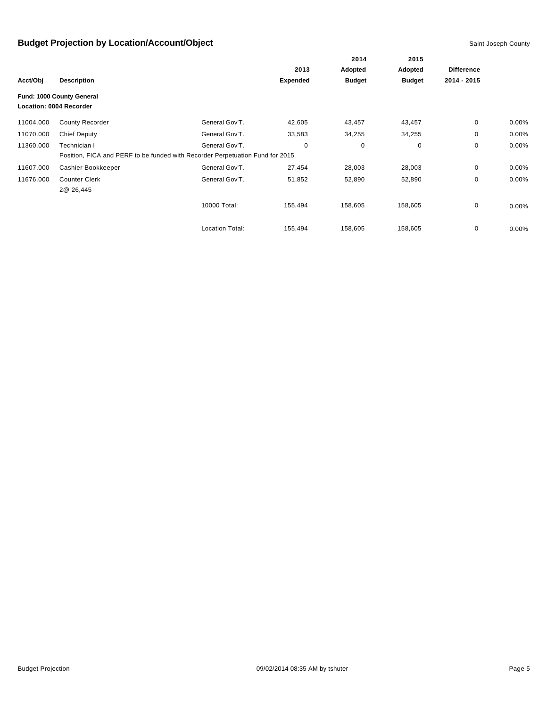|           |                           |                                                                               |                 | 2014<br>Adopted | 2015<br>Adopted | <b>Difference</b> |       |
|-----------|---------------------------|-------------------------------------------------------------------------------|-----------------|-----------------|-----------------|-------------------|-------|
|           |                           |                                                                               | 2013            |                 |                 |                   |       |
| Acct/Obj  | <b>Description</b>        |                                                                               | <b>Expended</b> | <b>Budget</b>   | <b>Budget</b>   | 2014 - 2015       |       |
|           | Fund: 1000 County General |                                                                               |                 |                 |                 |                   |       |
|           | Location: 0004 Recorder   |                                                                               |                 |                 |                 |                   |       |
| 11004.000 | <b>County Recorder</b>    | General Gov'T.                                                                | 42,605          | 43,457          | 43,457          | $\mathbf{0}$      | 0.00% |
| 11070.000 | <b>Chief Deputy</b>       | General Gov'T.                                                                | 33,583          | 34,255          | 34,255          | 0                 | 0.00% |
| 11360.000 | Technician I              | General Gov'T.                                                                | 0               | $\mathbf 0$     | 0               | 0                 | 0.00% |
|           |                           | Position, FICA and PERF to be funded with Recorder Perpetuation Fund for 2015 |                 |                 |                 |                   |       |
| 11607.000 | Cashier Bookkeeper        | General Gov'T.                                                                | 27,454          | 28,003          | 28,003          | 0                 | 0.00% |
| 11676.000 | <b>Counter Clerk</b>      | General Gov'T.                                                                | 51,852          | 52,890          | 52,890          | 0                 | 0.00% |
|           | 2@ 26,445                 |                                                                               |                 |                 |                 |                   |       |
|           |                           | 10000 Total:                                                                  | 155,494         | 158,605         | 158,605         | 0                 | 0.00% |
|           |                           | <b>Location Total:</b>                                                        | 155,494         | 158,605         | 158,605         | 0                 | 0.00% |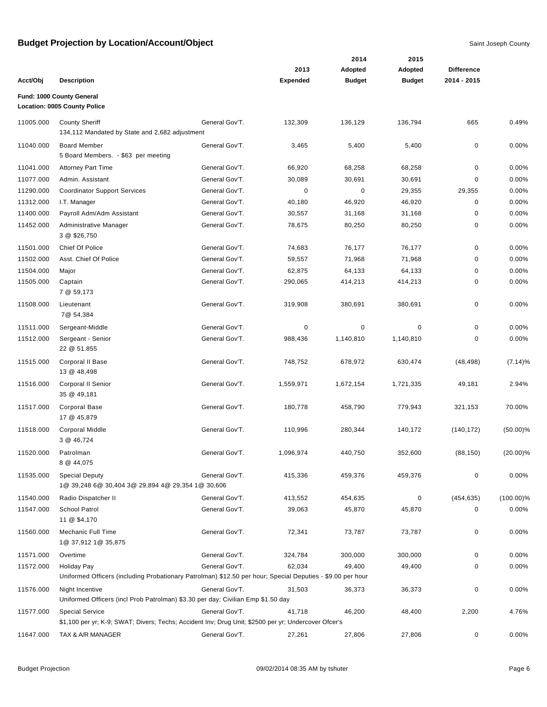|           |                                                                                                                                |                |                 | 2014          | 2015          |                   |              |
|-----------|--------------------------------------------------------------------------------------------------------------------------------|----------------|-----------------|---------------|---------------|-------------------|--------------|
|           |                                                                                                                                |                | 2013            | Adopted       | Adopted       | <b>Difference</b> |              |
| Acct/Obj  | <b>Description</b>                                                                                                             |                | <b>Expended</b> | <b>Budget</b> | <b>Budget</b> | 2014 - 2015       |              |
|           | Fund: 1000 County General<br>Location: 0005 County Police                                                                      |                |                 |               |               |                   |              |
| 11005.000 | <b>County Sheriff</b><br>134,112 Mandated by State and 2,682 adjustment                                                        | General Gov'T. | 132,309         | 136,129       | 136,794       | 665               | 0.49%        |
| 11040.000 | <b>Board Member</b><br>5 Board Members. - \$63 per meeting                                                                     | General Gov'T. | 3,465           | 5,400         | 5,400         | 0                 | 0.00%        |
| 11041.000 | <b>Attorney Part Time</b>                                                                                                      | General Gov'T. | 66,920          | 68,258        | 68,258        | 0                 | 0.00%        |
| 11077.000 | Admin. Assistant                                                                                                               | General Gov'T. | 30,089          | 30,691        | 30,691        | 0                 | 0.00%        |
| 11290.000 | <b>Coordinator Support Services</b>                                                                                            | General Gov'T. | 0               | $\mathbf 0$   | 29,355        | 29,355            | 0.00%        |
| 11312.000 | I.T. Manager                                                                                                                   | General Gov'T. | 40,180          | 46,920        | 46,920        | 0                 | 0.00%        |
| 11400.000 | Payroll Adm/Adm Assistant                                                                                                      | General Gov'T. | 30,557          | 31,168        | 31,168        | 0                 | 0.00%        |
| 11452.000 | Administrative Manager<br>3 @ \$26,750                                                                                         | General Gov'T. | 78,675          | 80,250        | 80,250        | 0                 | 0.00%        |
| 11501.000 | Chief Of Police                                                                                                                | General Gov'T. | 74,683          | 76,177        | 76,177        | 0                 | 0.00%        |
| 11502.000 | Asst. Chief Of Police                                                                                                          | General Gov'T. | 59,557          | 71,968        | 71,968        | 0                 | 0.00%        |
| 11504.000 | Major                                                                                                                          | General Gov'T. | 62,875          | 64,133        | 64,133        | 0                 | 0.00%        |
| 11505.000 | Captain<br>7 @ 59,173                                                                                                          | General Gov'T. | 290,065         | 414,213       | 414,213       | 0                 | 0.00%        |
| 11508.000 | Lieutenant<br>7@ 54,384                                                                                                        | General Gov'T. | 319,908         | 380,691       | 380,691       | 0                 | 0.00%        |
| 11511.000 | Sergeant-Middle                                                                                                                | General Gov'T. | 0               | 0             | $\mathbf 0$   | 0                 | 0.00%        |
| 11512.000 | Sergeant - Senior<br>22 @ 51.855                                                                                               | General Gov'T. | 988,436         | 1,140,810     | 1,140,810     | 0                 | 0.00%        |
| 11515.000 | Corporal II Base<br>13 @ 48,498                                                                                                | General Gov'T. | 748,752         | 678,972       | 630,474       | (48, 498)         | (7.14)%      |
| 11516.000 | Corporal II Senior<br>35 @ 49,181                                                                                              | General Gov'T. | 1,559,971       | 1,672,154     | 1,721,335     | 49,181            | 2.94%        |
| 11517.000 | <b>Corporal Base</b><br>17 @ 45,879                                                                                            | General Gov'T. | 180,778         | 458,790       | 779,943       | 321,153           | 70.00%       |
| 11518.000 | <b>Corporal Middle</b><br>3 @ 46,724                                                                                           | General Gov'T. | 110,996         | 280,344       | 140,172       | (140, 172)        | $(50.00)\%$  |
| 11520.000 | Patrolman<br>8 @ 44,075                                                                                                        | General Gov'T. | 1,096,974       | 440,750       | 352,600       | (88, 150)         | $(20.00)\%$  |
| 11535.000 | <b>Special Deputy</b><br>1@ 39,248 6@ 30,404 3@ 29,894 4@ 29,354 1@ 30,606                                                     | General Gov'T. | 415,336         | 459,376       | 459,376       | 0                 | 0.00%        |
| 11540.000 | Radio Dispatcher II                                                                                                            | General Gov'T. | 413,552         | 454,635       | 0             | (454, 635)        | $(100.00)\%$ |
| 11547.000 | School Patrol<br>11 @ \$4,170                                                                                                  | General Gov'T. | 39,063          | 45,870        | 45,870        | 0                 | 0.00%        |
| 11560.000 | Mechanic Full Time<br>1@ 37,912 1@ 35,875                                                                                      | General Gov'T. | 72,341          | 73,787        | 73,787        | 0                 | 0.00%        |
| 11571.000 | Overtime                                                                                                                       | General Gov'T. | 324,784         | 300,000       | 300,000       | 0                 | 0.00%        |
| 11572.000 | <b>Holiday Pay</b>                                                                                                             | General Gov'T. | 62,034          | 49,400        | 49,400        | 0                 | 0.00%        |
|           | Uniformed Officers (including Probationary Patrolman) \$12.50 per hour; Special Deputies - \$9.00 per hour                     |                |                 |               |               |                   |              |
| 11576.000 | Night Incentive<br>Uniformed Officers (incl Prob Patrolman) \$3.30 per day; Civilian Emp \$1.50 day                            | General Gov'T. | 31,503          | 36,373        | 36,373        | 0                 | 0.00%        |
| 11577.000 | <b>Special Service</b><br>\$1,100 per yr; K-9; SWAT; Divers; Techs; Accident Inv; Drug Unit; \$2500 per yr; Undercover Ofcer's | General Gov'T. | 41,718          | 46,200        | 48,400        | 2,200             | 4.76%        |
| 11647.000 | TAX & A/R MANAGER                                                                                                              | General Gov'T. | 27,261          | 27,806        | 27,806        | 0                 | 0.00%        |
|           |                                                                                                                                |                |                 |               |               |                   |              |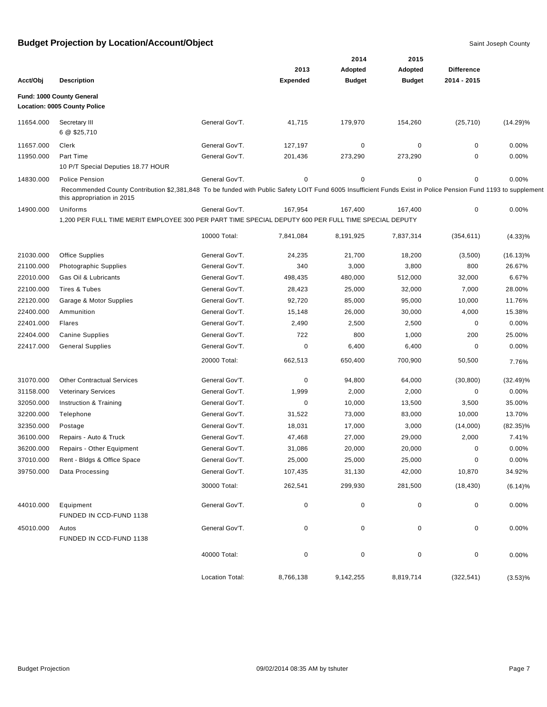|           |                                                                                                                                                                                             |                 |                 | 2014          | 2015          |                   |             |
|-----------|---------------------------------------------------------------------------------------------------------------------------------------------------------------------------------------------|-----------------|-----------------|---------------|---------------|-------------------|-------------|
|           |                                                                                                                                                                                             |                 | 2013            | Adopted       | Adopted       | <b>Difference</b> |             |
| Acct/Obj  | <b>Description</b>                                                                                                                                                                          |                 | <b>Expended</b> | <b>Budget</b> | <b>Budget</b> | 2014 - 2015       |             |
|           | Fund: 1000 County General                                                                                                                                                                   |                 |                 |               |               |                   |             |
|           | Location: 0005 County Police                                                                                                                                                                |                 |                 |               |               |                   |             |
| 11654.000 | Secretary III                                                                                                                                                                               | General Gov'T.  | 41,715          | 179,970       | 154,260       | (25, 710)         | $(14.29)\%$ |
|           | 6 @ \$25,710                                                                                                                                                                                |                 |                 |               |               |                   |             |
| 11657.000 | Clerk                                                                                                                                                                                       | General Gov'T.  | 127,197         | 0             | 0             | 0                 | 0.00%       |
| 11950.000 | Part Time                                                                                                                                                                                   | General Gov'T.  | 201,436         | 273,290       | 273,290       | 0                 | 0.00%       |
|           | 10 P/T Special Deputies 18.77 HOUR                                                                                                                                                          |                 |                 |               |               |                   |             |
| 14830.000 | <b>Police Pension</b>                                                                                                                                                                       | General Gov'T.  | 0               | 0             | 0             | 0                 | 0.00%       |
|           | Recommended County Contribution \$2,381,848 To be funded with Public Safety LOIT Fund 6005 Insufficient Funds Exist in Police Pension Fund 1193 to supplement<br>this appropriation in 2015 |                 |                 |               |               |                   |             |
| 14900.000 | Uniforms                                                                                                                                                                                    | General Gov'T.  | 167,954         | 167,400       | 167,400       | 0                 | 0.00%       |
|           | 1,200 PER FULL TIME MERIT EMPLOYEE 300 PER PART TIME SPECIAL DEPUTY 600 PER FULL TIME SPECIAL DEPUTY                                                                                        |                 |                 |               |               |                   |             |
|           |                                                                                                                                                                                             | 10000 Total:    | 7,841,084       | 8,191,925     | 7,837,314     | (354, 611)        | $(4.33)\%$  |
| 21030.000 | <b>Office Supplies</b>                                                                                                                                                                      | General Gov'T.  | 24,235          | 21,700        | 18,200        | (3,500)           | $(16.13)\%$ |
| 21100.000 | <b>Photographic Supplies</b>                                                                                                                                                                | General Gov'T.  | 340             | 3,000         | 3,800         | 800               | 26.67%      |
| 22010.000 | Gas Oil & Lubricants                                                                                                                                                                        | General Gov'T.  | 498,435         | 480,000       | 512,000       | 32,000            | 6.67%       |
| 22100.000 | Tires & Tubes                                                                                                                                                                               | General Gov'T.  | 28,423          | 25,000        | 32,000        | 7,000             | 28.00%      |
| 22120.000 | Garage & Motor Supplies                                                                                                                                                                     | General Gov'T.  | 92,720          | 85,000        | 95,000        | 10,000            | 11.76%      |
| 22400.000 | Ammunition                                                                                                                                                                                  | General Gov'T.  | 15,148          | 26,000        | 30,000        | 4,000             | 15.38%      |
| 22401.000 | Flares                                                                                                                                                                                      | General Gov'T.  | 2,490           | 2,500         | 2,500         | 0                 | 0.00%       |
| 22404.000 | <b>Canine Supplies</b>                                                                                                                                                                      | General Gov'T.  | 722             | 800           | 1,000         | 200               | 25.00%      |
| 22417.000 | <b>General Supplies</b>                                                                                                                                                                     | General Gov'T.  | 0               | 6,400         | 6,400         | 0                 | 0.00%       |
|           |                                                                                                                                                                                             | 20000 Total:    | 662,513         | 650,400       | 700,900       | 50,500            |             |
|           |                                                                                                                                                                                             |                 |                 |               |               |                   | 7.76%       |
| 31070.000 | <b>Other Contractual Services</b>                                                                                                                                                           | General Gov'T.  | 0               | 94,800        | 64,000        | (30, 800)         | $(32.49)\%$ |
| 31158.000 | <b>Veterinary Services</b>                                                                                                                                                                  | General Gov'T.  | 1,999           | 2,000         | 2,000         | 0                 | 0.00%       |
| 32050.000 | Instruction & Training                                                                                                                                                                      | General Gov'T.  | 0               | 10,000        | 13,500        | 3,500             | 35.00%      |
| 32200.000 | Telephone                                                                                                                                                                                   | General Gov'T.  | 31,522          | 73,000        | 83,000        | 10,000            | 13.70%      |
| 32350.000 | Postage                                                                                                                                                                                     | General Gov'T.  | 18,031          | 17,000        | 3,000         | (14,000)          | $(82.35)\%$ |
| 36100.000 | Repairs - Auto & Truck                                                                                                                                                                      | General Gov'T.  | 47,468          | 27,000        | 29,000        | 2,000             | 7.41%       |
| 36200.000 | Repairs - Other Equipment                                                                                                                                                                   | General Gov'T.  | 31,086          | 20,000        | 20,000        | 0                 | 0.00%       |
| 37010.000 | Rent - Bldgs & Office Space                                                                                                                                                                 | General Gov'T.  | 25,000          | 25,000        | 25,000        | 0                 | 0.00%       |
| 39750.000 | Data Processing                                                                                                                                                                             | General Gov'T.  | 107,435         | 31,130        | 42,000        | 10,870            | 34.92%      |
|           |                                                                                                                                                                                             | 30000 Total:    | 262,541         | 299,930       | 281,500       | (18, 430)         | $(6.14)\%$  |
| 44010.000 | Equipment<br>FUNDED IN CCD-FUND 1138                                                                                                                                                        | General Gov'T.  | 0               | $\mathbf 0$   | 0             | 0                 | 0.00%       |
| 45010.000 | Autos<br>FUNDED IN CCD-FUND 1138                                                                                                                                                            | General Gov'T.  | 0               | 0             | 0             | 0                 | 0.00%       |
|           |                                                                                                                                                                                             | 40000 Total:    | 0               | 0             | 0             | 0                 | 0.00%       |
|           |                                                                                                                                                                                             | Location Total: | 8,766,138       | 9,142,255     | 8,819,714     | (322, 541)        | (3.53)%     |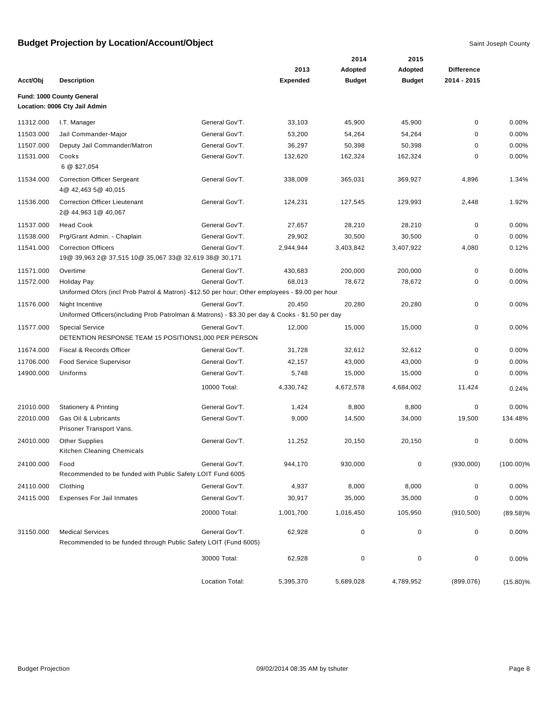|           |                                                                                                                        |                 |                 | 2014          | 2015          |                   |              |
|-----------|------------------------------------------------------------------------------------------------------------------------|-----------------|-----------------|---------------|---------------|-------------------|--------------|
|           |                                                                                                                        |                 | 2013            | Adopted       | Adopted       | <b>Difference</b> |              |
| Acct/Obj  | <b>Description</b>                                                                                                     |                 | <b>Expended</b> | <b>Budget</b> | <b>Budget</b> | 2014 - 2015       |              |
|           | Fund: 1000 County General<br>Location: 0006 Cty Jail Admin                                                             |                 |                 |               |               |                   |              |
| 11312.000 | I.T. Manager                                                                                                           | General Gov'T.  | 33,103          | 45,900        | 45,900        | 0                 | 0.00%        |
| 11503.000 | Jail Commander-Major                                                                                                   | General Gov'T.  | 53,200          | 54,264        | 54,264        | 0                 | 0.00%        |
| 11507.000 | Deputy Jail Commander/Matron                                                                                           | General Gov'T.  | 36,297          | 50,398        | 50,398        | 0                 | 0.00%        |
| 11531.000 | Cooks<br>6 @ \$27,054                                                                                                  | General Gov'T.  | 132,620         | 162,324       | 162,324       | 0                 | 0.00%        |
| 11534.000 | <b>Correction Officer Sergeant</b><br>4@ 42,463 5@ 40,015                                                              | General Gov'T.  | 338,009         | 365,031       | 369,927       | 4,896             | 1.34%        |
| 11536.000 | <b>Correction Officer Lieutenant</b><br>2@ 44,963 1@ 40,067                                                            | General Gov'T.  | 124,231         | 127,545       | 129,993       | 2,448             | 1.92%        |
| 11537.000 | <b>Head Cook</b>                                                                                                       | General Gov'T.  | 27,657          | 28,210        | 28,210        | $\mathbf 0$       | 0.00%        |
| 11538.000 | Prg/Grant Admin. - Chaplain                                                                                            | General Gov'T.  | 29,902          | 30,500        | 30,500        | 0                 | 0.00%        |
| 11541.000 | <b>Correction Officers</b><br>19@ 39,963 2@ 37,515 10@ 35,067 33@ 32,619 38@ 30,171                                    | General Gov'T.  | 2,944,944       | 3,403,842     | 3,407,922     | 4,080             | 0.12%        |
| 11571.000 | Overtime                                                                                                               | General Gov'T.  | 430,683         | 200,000       | 200,000       | $\mathbf 0$       | 0.00%        |
| 11572.000 | <b>Holiday Pay</b><br>Uniformed Ofcrs (incl Prob Patrol & Matron) -\$12.50 per hour; Other employees - \$9.00 per hour | General Gov'T.  | 68,013          | 78,672        | 78,672        | 0                 | 0.00%        |
| 11576.000 | Night Incentive<br>Uniformed Officers (including Prob Patrolman & Matrons) - \$3.30 per day & Cooks - \$1.50 per day   | General Gov'T.  | 20,450          | 20,280        | 20,280        | 0                 | 0.00%        |
| 11577.000 | <b>Special Service</b><br>DETENTION RESPONSE TEAM 15 POSITIONS1,000 PER PERSON                                         | General Gov'T.  | 12,000          | 15,000        | 15,000        | 0                 | 0.00%        |
| 11674.000 | Fiscal & Records Officer                                                                                               | General Gov'T.  | 31,728          | 32,612        | 32,612        | 0                 | 0.00%        |
| 11706.000 | <b>Food Service Supervisor</b>                                                                                         | General Gov'T.  | 42,157          | 43,000        | 43,000        | 0                 | 0.00%        |
| 14900.000 | Uniforms                                                                                                               | General Gov'T.  | 5,748           | 15,000        | 15,000        | 0                 | 0.00%        |
|           |                                                                                                                        | 10000 Total:    | 4,330,742       | 4,672,578     | 4,684,002     | 11,424            | 0.24%        |
| 21010.000 | <b>Stationery &amp; Printing</b>                                                                                       | General Gov'T.  | 1,424           | 8,800         | 8,800         | 0                 | 0.00%        |
| 22010.000 | Gas Oil & Lubricants<br>Prisoner Transport Vans.                                                                       | General Gov'T.  | 9,000           | 14,500        | 34,000        | 19,500            | 134.48%      |
| 24010.000 | <b>Other Supplies</b><br>Kitchen Cleaning Chemicals                                                                    | General Gov'T.  | 11,252          | 20,150        | 20,150        | 0                 | 0.00%        |
| 24100.000 | Food<br>Recommended to be funded with Public Safety LOIT Fund 6005                                                     | General Gov'T.  | 944,170         | 930,000       | $\pmb{0}$     | (930,000)         | $(100.00)\%$ |
| 24110.000 | Clothing                                                                                                               | General Gov'T.  | 4,937           | 8,000         | 8,000         | 0                 | 0.00%        |
| 24115.000 | <b>Expenses For Jail Inmates</b>                                                                                       | General Gov'T.  | 30,917          | 35,000        | 35,000        | 0                 | 0.00%        |
|           |                                                                                                                        | 20000 Total:    | 1,001,700       | 1,016,450     | 105,950       | (910, 500)        | $(89.58)\%$  |
| 31150.000 | <b>Medical Services</b><br>Recommended to be funded through Public Safety LOIT (Fund 6005)                             | General Gov'T.  | 62,928          | $\pmb{0}$     | 0             | 0                 | 0.00%        |
|           |                                                                                                                        | 30000 Total:    | 62,928          | $\pmb{0}$     | $\pmb{0}$     | 0                 | 0.00%        |
|           |                                                                                                                        | Location Total: | 5,395,370       | 5,689,028     | 4,789,952     | (899,076)         | $(15.80)\%$  |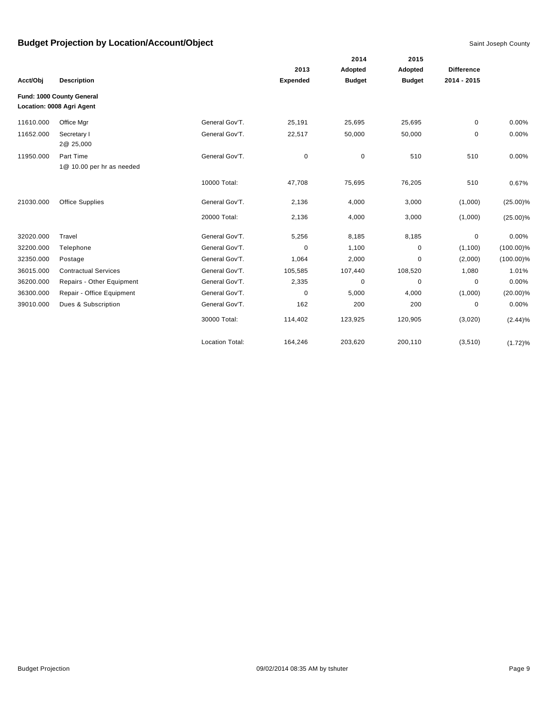|           |                                                        |                        |                 | 2014          | 2015          |                   |              |
|-----------|--------------------------------------------------------|------------------------|-----------------|---------------|---------------|-------------------|--------------|
|           |                                                        |                        | 2013            | Adopted       | Adopted       | <b>Difference</b> |              |
| Acct/Obj  | <b>Description</b>                                     |                        | <b>Expended</b> | <b>Budget</b> | <b>Budget</b> | 2014 - 2015       |              |
|           | Fund: 1000 County General<br>Location: 0008 Agri Agent |                        |                 |               |               |                   |              |
| 11610.000 | Office Mgr                                             | General Gov'T.         | 25,191          | 25,695        | 25,695        | 0                 | 0.00%        |
| 11652.000 | Secretary I<br>2@ 25,000                               | General Gov'T.         | 22,517          | 50,000        | 50,000        | 0                 | 0.00%        |
| 11950.000 | Part Time<br>1@ 10.00 per hr as needed                 | General Gov'T.         | 0               | $\pmb{0}$     | 510           | 510               | 0.00%        |
|           |                                                        | 10000 Total:           | 47,708          | 75,695        | 76,205        | 510               | 0.67%        |
| 21030.000 | <b>Office Supplies</b>                                 | General Gov'T.         | 2,136           | 4,000         | 3,000         | (1,000)           | $(25.00)\%$  |
|           |                                                        | 20000 Total:           | 2,136           | 4,000         | 3,000         | (1,000)           | $(25.00)\%$  |
| 32020.000 | Travel                                                 | General Gov'T.         | 5,256           | 8,185         | 8,185         | 0                 | 0.00%        |
| 32200.000 | Telephone                                              | General Gov'T.         | 0               | 1,100         | $\mathbf 0$   | (1,100)           | $(100.00)\%$ |
| 32350.000 | Postage                                                | General Gov'T.         | 1,064           | 2,000         | 0             | (2,000)           | $(100.00)\%$ |
| 36015.000 | <b>Contractual Services</b>                            | General Gov'T.         | 105,585         | 107,440       | 108,520       | 1,080             | 1.01%        |
| 36200.000 | Repairs - Other Equipment                              | General Gov'T.         | 2,335           | $\pmb{0}$     | $\mathbf 0$   | 0                 | 0.00%        |
| 36300.000 | Repair - Office Equipment                              | General Gov'T.         | $\mathbf 0$     | 5,000         | 4,000         | (1,000)           | $(20.00)\%$  |
| 39010.000 | Dues & Subscription                                    | General Gov'T.         | 162             | 200           | 200           | 0                 | 0.00%        |
|           |                                                        | 30000 Total:           | 114,402         | 123,925       | 120,905       | (3,020)           | (2.44)%      |
|           |                                                        | <b>Location Total:</b> | 164,246         | 203,620       | 200,110       | (3, 510)          | (1.72)%      |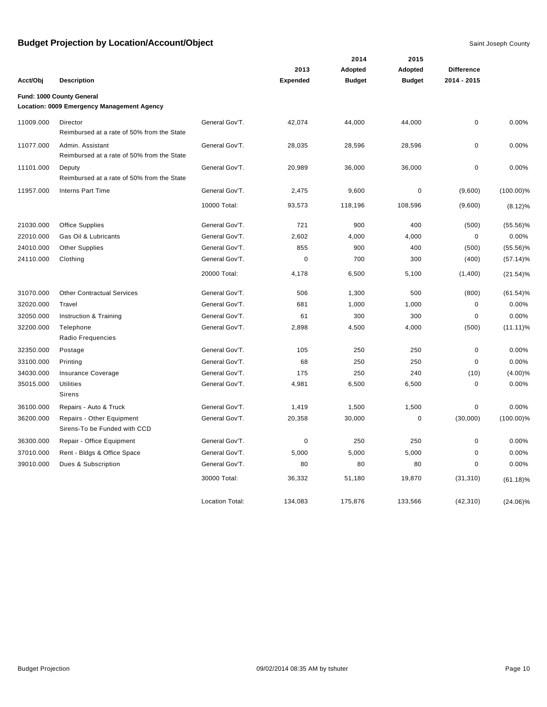|           |                                                                         |                        |                 | 2014          | 2015          |                   |              |
|-----------|-------------------------------------------------------------------------|------------------------|-----------------|---------------|---------------|-------------------|--------------|
|           |                                                                         |                        | 2013            | Adopted       | Adopted       | <b>Difference</b> |              |
| Acct/Obj  | <b>Description</b>                                                      |                        | <b>Expended</b> | <b>Budget</b> | <b>Budget</b> | 2014 - 2015       |              |
|           | Fund: 1000 County General<br>Location: 0009 Emergency Management Agency |                        |                 |               |               |                   |              |
| 11009.000 | Director<br>Reimbursed at a rate of 50% from the State                  | General Gov'T.         | 42,074          | 44,000        | 44,000        | $\pmb{0}$         | 0.00%        |
| 11077.000 | Admin. Assistant<br>Reimbursed at a rate of 50% from the State          | General Gov'T.         | 28,035          | 28,596        | 28,596        | 0                 | 0.00%        |
| 11101.000 | Deputy<br>Reimbursed at a rate of 50% from the State                    | General Gov'T.         | 20,989          | 36,000        | 36,000        | $\mathbf 0$       | 0.00%        |
| 11957.000 | Interns Part Time                                                       | General Gov'T.         | 2,475           | 9,600         | $\pmb{0}$     | (9,600)           | $(100.00)\%$ |
|           |                                                                         | 10000 Total:           | 93,573          | 118,196       | 108,596       | (9,600)           | $(8.12)\%$   |
| 21030.000 | <b>Office Supplies</b>                                                  | General Gov'T.         | 721             | 900           | 400           | (500)             | $(55.56)\%$  |
| 22010.000 | Gas Oil & Lubricants                                                    | General Gov'T.         | 2,602           | 4,000         | 4,000         | 0                 | 0.00%        |
| 24010.000 | <b>Other Supplies</b>                                                   | General Gov'T.         | 855             | 900           | 400           | (500)             | $(55.56)\%$  |
| 24110.000 | Clothing                                                                | General Gov'T.         | $\mathbf 0$     | 700           | 300           | (400)             | $(57.14)\%$  |
|           |                                                                         | 20000 Total:           | 4,178           | 6,500         | 5,100         | (1,400)           | $(21.54)\%$  |
| 31070.000 | <b>Other Contractual Services</b>                                       | General Gov'T.         | 506             | 1,300         | 500           | (800)             | $(61.54)\%$  |
| 32020.000 | Travel                                                                  | General Gov'T.         | 681             | 1,000         | 1,000         | $\pmb{0}$         | 0.00%        |
| 32050.000 | Instruction & Training                                                  | General Gov'T.         | 61              | 300           | 300           | $\pmb{0}$         | 0.00%        |
| 32200.000 | Telephone<br>Radio Frequencies                                          | General Gov'T.         | 2,898           | 4,500         | 4,000         | (500)             | $(11.11)\%$  |
| 32350.000 | Postage                                                                 | General Gov'T.         | 105             | 250           | 250           | 0                 | 0.00%        |
| 33100.000 | Printing                                                                | General Gov'T.         | 68              | 250           | 250           | 0                 | 0.00%        |
| 34030.000 | Insurance Coverage                                                      | General Gov'T.         | 175             | 250           | 240           | (10)              | $(4.00)\%$   |
| 35015.000 | <b>Utilities</b><br>Sirens                                              | General Gov'T.         | 4,981           | 6,500         | 6,500         | $\pmb{0}$         | 0.00%        |
| 36100.000 | Repairs - Auto & Truck                                                  | General Gov'T.         | 1,419           | 1,500         | 1,500         | $\pmb{0}$         | 0.00%        |
| 36200.000 | Repairs - Other Equipment<br>Sirens-To be Funded with CCD               | General Gov'T.         | 20,358          | 30,000        | $\pmb{0}$     | (30,000)          | $(100.00)\%$ |
| 36300.000 | Repair - Office Equipment                                               | General Gov'T.         | 0               | 250           | 250           | $\pmb{0}$         | 0.00%        |
| 37010.000 | Rent - Bldgs & Office Space                                             | General Gov'T.         | 5,000           | 5,000         | 5,000         | $\mathbf 0$       | 0.00%        |
| 39010.000 | Dues & Subscription                                                     | General Gov'T.         | 80              | 80            | 80            | $\mathbf 0$       | 0.00%        |
|           |                                                                         | 30000 Total:           | 36,332          | 51,180        | 19,870        | (31, 310)         | $(61.18)\%$  |
|           |                                                                         | <b>Location Total:</b> | 134,083         | 175,876       | 133.566       | (42, 310)         | $(24.06)\%$  |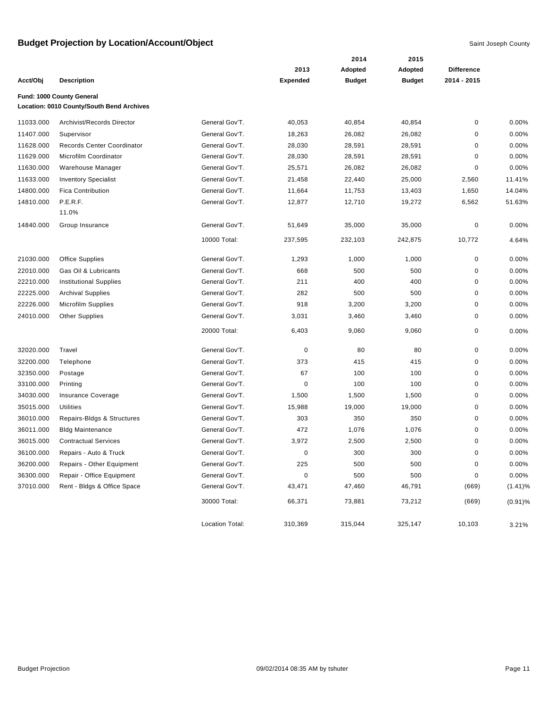|           |                                           |                 |                 | 2014          | 2015          |                   |            |
|-----------|-------------------------------------------|-----------------|-----------------|---------------|---------------|-------------------|------------|
|           |                                           |                 | 2013            | Adopted       | Adopted       | <b>Difference</b> |            |
| Acct/Obj  | <b>Description</b>                        |                 | <b>Expended</b> | <b>Budget</b> | <b>Budget</b> | 2014 - 2015       |            |
|           | Fund: 1000 County General                 |                 |                 |               |               |                   |            |
|           | Location: 0010 County/South Bend Archives |                 |                 |               |               |                   |            |
| 11033.000 | Archivist/Records Director                | General Gov'T.  | 40,053          | 40,854        | 40,854        | 0                 | 0.00%      |
| 11407.000 | Supervisor                                | General Gov'T.  | 18,263          | 26,082        | 26,082        | 0                 | 0.00%      |
| 11628.000 | Records Center Coordinator                | General Gov'T.  | 28,030          | 28,591        | 28,591        | 0                 | 0.00%      |
| 11629.000 | Microfilm Coordinator                     | General Gov'T.  | 28,030          | 28,591        | 28,591        | 0                 | 0.00%      |
| 11630.000 | Warehouse Manager                         | General Gov'T.  | 25,571          | 26,082        | 26,082        | 0                 | 0.00%      |
| 11633.000 | <b>Inventory Specialist</b>               | General Gov'T.  | 21,458          | 22,440        | 25,000        | 2,560             | 11.41%     |
| 14800.000 | <b>Fica Contribution</b>                  | General Gov'T.  | 11,664          | 11,753        | 13,403        | 1,650             | 14.04%     |
| 14810.000 | P.E.R.F.                                  | General Gov'T.  | 12,877          | 12,710        | 19,272        | 6,562             | 51.63%     |
|           | 11.0%                                     |                 |                 |               |               |                   |            |
| 14840.000 | Group Insurance                           | General Gov'T.  | 51,649          | 35,000        | 35,000        | 0                 | 0.00%      |
|           |                                           | 10000 Total:    | 237,595         | 232,103       | 242,875       | 10,772            | 4.64%      |
| 21030.000 | Office Supplies                           | General Gov'T.  | 1,293           | 1,000         | 1,000         | 0                 | 0.00%      |
| 22010.000 | Gas Oil & Lubricants                      | General Gov'T.  | 668             | 500           | 500           | 0                 | 0.00%      |
| 22210.000 | <b>Institutional Supplies</b>             | General Gov'T.  | 211             | 400           | 400           | 0                 | 0.00%      |
| 22225.000 | <b>Archival Supplies</b>                  | General Gov'T.  | 282             | 500           | 500           | 0                 | 0.00%      |
| 22226.000 | Microfilm Supplies                        | General Gov'T.  | 918             | 3,200         | 3,200         | 0                 | 0.00%      |
| 24010.000 | <b>Other Supplies</b>                     | General Gov'T.  | 3,031           | 3,460         | 3,460         | 0                 | 0.00%      |
|           |                                           | 20000 Total:    | 6,403           | 9,060         | 9,060         | 0                 | 0.00%      |
| 32020.000 | Travel                                    | General Gov'T.  | $\mathbf 0$     | 80            | 80            | 0                 | 0.00%      |
| 32200.000 | Telephone                                 | General Gov'T.  | 373             | 415           | 415           | 0                 | 0.00%      |
| 32350.000 | Postage                                   | General Gov'T.  | 67              | 100           | 100           | 0                 | 0.00%      |
| 33100.000 | Printing                                  | General Gov'T.  | $\mathbf 0$     | 100           | 100           | 0                 | 0.00%      |
| 34030.000 | Insurance Coverage                        | General Gov'T.  | 1,500           | 1,500         | 1,500         | 0                 | 0.00%      |
| 35015.000 | <b>Utilities</b>                          | General Gov'T.  | 15,988          | 19,000        | 19,000        | 0                 | 0.00%      |
| 36010.000 | Repairs-Bldgs & Structures                | General Gov'T.  | 303             | 350           | 350           | 0                 | 0.00%      |
| 36011.000 | <b>Bldg Maintenance</b>                   | General Gov'T.  | 472             | 1,076         | 1,076         | 0                 | 0.00%      |
| 36015.000 | <b>Contractual Services</b>               | General Gov'T.  | 3,972           | 2,500         | 2,500         | 0                 | 0.00%      |
| 36100.000 | Repairs - Auto & Truck                    | General Gov'T.  | 0               | 300           | 300           | 0                 | 0.00%      |
| 36200.000 | Repairs - Other Equipment                 | General Gov'T.  | 225             | 500           | 500           | $\pmb{0}$         | 0.00%      |
| 36300.000 | Repair - Office Equipment                 | General Gov'T.  | $\pmb{0}$       | 500           | 500           | 0                 | 0.00%      |
| 37010.000 | Rent - Bldgs & Office Space               | General Gov'T.  | 43,471          | 47,460        | 46,791        | (669)             | $(1.41)\%$ |
|           |                                           | 30000 Total:    | 66,371          | 73,881        | 73,212        | (669)             | $(0.91)\%$ |
|           |                                           | Location Total: | 310,369         | 315,044       | 325,147       | 10,103            | 3.21%      |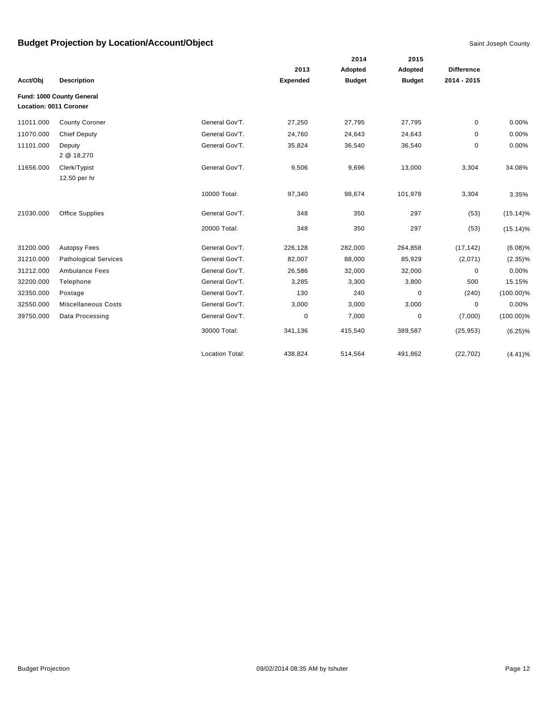|           |                                                     |                        |                 | 2014          | 2015          |                   |              |
|-----------|-----------------------------------------------------|------------------------|-----------------|---------------|---------------|-------------------|--------------|
|           |                                                     |                        | 2013            | Adopted       | Adopted       | <b>Difference</b> |              |
| Acct/Obj  | <b>Description</b>                                  |                        | <b>Expended</b> | <b>Budget</b> | <b>Budget</b> | 2014 - 2015       |              |
|           | Fund: 1000 County General<br>Location: 0011 Coroner |                        |                 |               |               |                   |              |
| 11011.000 | <b>County Coroner</b>                               | General Gov'T.         | 27,250          | 27,795        | 27,795        | 0                 | 0.00%        |
| 11070.000 | <b>Chief Deputy</b>                                 | General Gov'T.         | 24,760          | 24,643        | 24,643        | 0                 | 0.00%        |
| 11101.000 | Deputy<br>2 @ 18,270                                | General Gov'T.         | 35,824          | 36,540        | 36,540        | 0                 | 0.00%        |
| 11656.000 | Clerk/Typist<br>12.50 per hr                        | General Gov'T.         | 9,506           | 9,696         | 13,000        | 3,304             | 34.08%       |
|           |                                                     | 10000 Total:           | 97,340          | 98,674        | 101,978       | 3,304             | 3.35%        |
| 21030.000 | <b>Office Supplies</b>                              | General Gov'T.         | 348             | 350           | 297           | (53)              | $(15.14)\%$  |
|           |                                                     | 20000 Total:           | 348             | 350           | 297           | (53)              | $(15.14)\%$  |
| 31200.000 | <b>Autopsy Fees</b>                                 | General Gov'T.         | 226,128         | 282,000       | 264,858       | (17, 142)         | $(6.08)\%$   |
| 31210.000 | <b>Pathological Services</b>                        | General Gov'T.         | 82,007          | 88,000        | 85,929        | (2,071)           | $(2.35)\%$   |
| 31212.000 | Ambulance Fees                                      | General Gov'T.         | 26,586          | 32,000        | 32,000        | 0                 | 0.00%        |
| 32200.000 | Telephone                                           | General Gov'T.         | 3,285           | 3,300         | 3,800         | 500               | 15.15%       |
| 32350.000 | Postage                                             | General Gov'T.         | 130             | 240           | 0             | (240)             | $(100.00)\%$ |
| 32550.000 | <b>Miscellaneous Costs</b>                          | General Gov'T.         | 3,000           | 3,000         | 3,000         | 0                 | 0.00%        |
| 39750.000 | Data Processing                                     | General Gov'T.         | 0               | 7,000         | 0             | (7,000)           | $(100.00)\%$ |
|           |                                                     | 30000 Total:           | 341,136         | 415,540       | 389,587       | (25, 953)         | $(6.25)\%$   |
|           |                                                     | <b>Location Total:</b> | 438,824         | 514,564       | 491,862       | (22, 702)         | $(4.41)\%$   |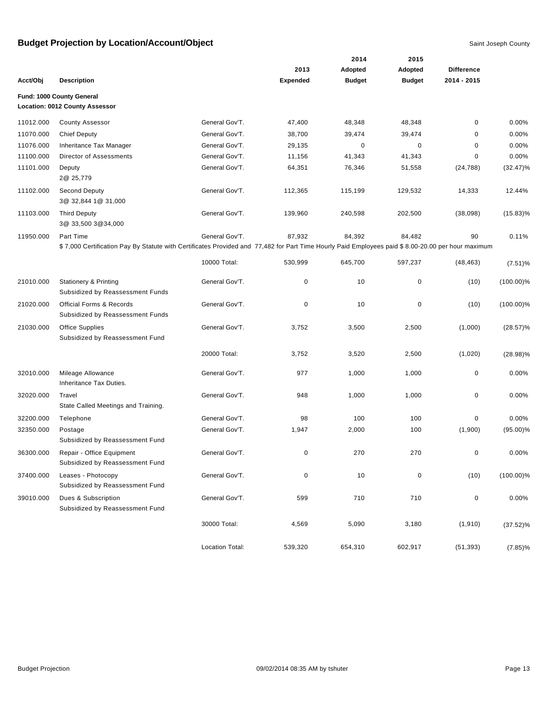|           |                                                                                                                                                   |                 |                 | 2014          | 2015          |                   |              |
|-----------|---------------------------------------------------------------------------------------------------------------------------------------------------|-----------------|-----------------|---------------|---------------|-------------------|--------------|
|           |                                                                                                                                                   |                 | 2013            | Adopted       | Adopted       | <b>Difference</b> |              |
| Acct/Obj  | <b>Description</b>                                                                                                                                |                 | <b>Expended</b> | <b>Budget</b> | <b>Budget</b> | 2014 - 2015       |              |
|           | Fund: 1000 County General                                                                                                                         |                 |                 |               |               |                   |              |
|           | Location: 0012 County Assessor                                                                                                                    |                 |                 |               |               |                   |              |
| 11012.000 | <b>County Assessor</b>                                                                                                                            | General Gov'T.  | 47,400          | 48,348        | 48,348        | $\mathbf 0$       | 0.00%        |
| 11070.000 | <b>Chief Deputy</b>                                                                                                                               | General Gov'T.  | 38,700          | 39,474        | 39,474        | $\mathbf 0$       | 0.00%        |
| 11076.000 | Inheritance Tax Manager                                                                                                                           | General Gov'T.  | 29,135          | 0             | 0             | 0                 | 0.00%        |
| 11100.000 | Director of Assessments                                                                                                                           | General Gov'T.  | 11,156          | 41,343        | 41,343        | 0                 | 0.00%        |
| 11101.000 | Deputy<br>2@ 25,779                                                                                                                               | General Gov'T.  | 64,351          | 76,346        | 51,558        | (24, 788)         | $(32.47)\%$  |
| 11102.000 | Second Deputy<br>3@ 32,844 1@ 31,000                                                                                                              | General Gov'T.  | 112,365         | 115,199       | 129,532       | 14,333            | 12.44%       |
| 11103.000 | <b>Third Deputy</b><br>3@ 33,500 3@34,000                                                                                                         | General Gov'T.  | 139,960         | 240,598       | 202,500       | (38,098)          | $(15.83)\%$  |
| 11950.000 | Part Time                                                                                                                                         | General Gov'T.  | 87,932          | 84,392        | 84,482        | 90                | 0.11%        |
|           | \$7,000 Certification Pay By Statute with Certificates Provided and 77,482 for Part Time Hourly Paid Employees paid \$8.00-20.00 per hour maximum |                 |                 |               |               |                   |              |
|           |                                                                                                                                                   | 10000 Total:    | 530,999         | 645,700       | 597,237       | (48, 463)         | $(7.51)\%$   |
| 21010.000 | <b>Stationery &amp; Printing</b><br>Subsidized by Reassessment Funds                                                                              | General Gov'T.  | 0               | 10            | $\pmb{0}$     | (10)              | $(100.00)\%$ |
| 21020.000 | <b>Official Forms &amp; Records</b><br>Subsidized by Reassessment Funds                                                                           | General Gov'T.  | $\mathbf 0$     | 10            | $\pmb{0}$     | (10)              | $(100.00)\%$ |
| 21030.000 | <b>Office Supplies</b><br>Subsidized by Reassessment Fund                                                                                         | General Gov'T.  | 3,752           | 3,500         | 2,500         | (1,000)           | $(28.57)\%$  |
|           |                                                                                                                                                   | 20000 Total:    | 3,752           | 3,520         | 2,500         | (1,020)           | $(28.98)\%$  |
| 32010.000 | Mileage Allowance<br>Inheritance Tax Duties.                                                                                                      | General Gov'T.  | 977             | 1,000         | 1,000         | $\mathbf 0$       | $0.00\%$     |
| 32020.000 | Travel<br>State Called Meetings and Training.                                                                                                     | General Gov'T.  | 948             | 1,000         | 1,000         | $\pmb{0}$         | 0.00%        |
| 32200.000 | Telephone                                                                                                                                         | General Gov'T.  | 98              | 100           | 100           | $\pmb{0}$         | 0.00%        |
| 32350.000 | Postage<br>Subsidized by Reassessment Fund                                                                                                        | General Gov'T.  | 1,947           | 2,000         | 100           | (1,900)           | $(95.00)\%$  |
| 36300.000 | Repair - Office Equipment<br>Subsidized by Reassessment Fund                                                                                      | General Gov'T.  | 0               | 270           | 270           | 0                 | 0.00%        |
| 37400.000 | Leases - Photocopy<br>Subsidized by Reassessment Fund                                                                                             | General Gov'T.  | $\pmb{0}$       | 10            | $\pmb{0}$     | (10)              | $(100.00)\%$ |
| 39010.000 | Dues & Subscription<br>Subsidized by Reassessment Fund                                                                                            | General Gov'T.  | 599             | 710           | 710           | $\pmb{0}$         | 0.00%        |
|           |                                                                                                                                                   | 30000 Total:    | 4,569           | 5,090         | 3,180         | (1, 910)          | $(37.52)\%$  |
|           |                                                                                                                                                   | Location Total: | 539,320         | 654,310       | 602,917       | (51, 393)         | $(7.85)\%$   |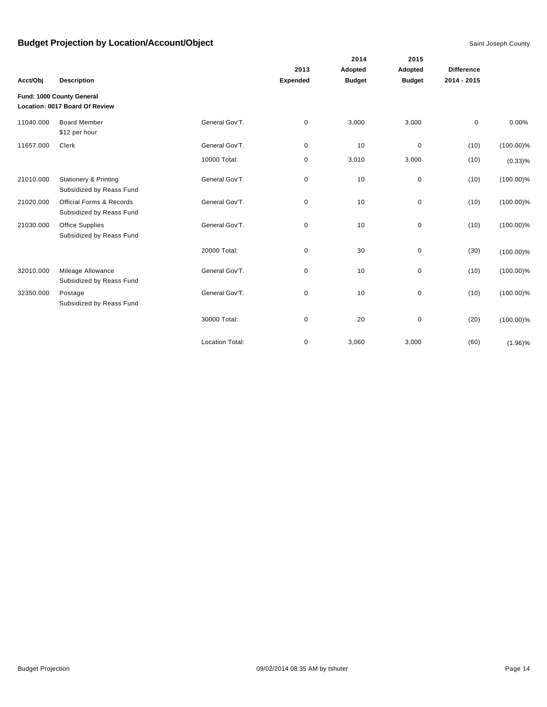|           |                                                                 |                        | 2013        | 2014<br>Adopted | 2015<br>Adopted | <b>Difference</b> |              |
|-----------|-----------------------------------------------------------------|------------------------|-------------|-----------------|-----------------|-------------------|--------------|
| Acct/Obj  | <b>Description</b>                                              |                        | Expended    | <b>Budget</b>   | <b>Budget</b>   | 2014 - 2015       |              |
|           | Fund: 1000 County General<br>Location: 0017 Board Of Review     |                        |             |                 |                 |                   |              |
| 11040.000 | <b>Board Member</b><br>\$12 per hour                            | General Gov'T.         | $\mathbf 0$ | 3,000           | 3,000           | 0                 | 0.00%        |
| 11657.000 | Clerk                                                           | General Gov'T.         | $\mathbf 0$ | 10              | $\mathbf 0$     | (10)              | $(100.00)\%$ |
|           |                                                                 | 10000 Total:           | 0           | 3,010           | 3,000           | (10)              | $(0.33)\%$   |
| 21010.000 | <b>Stationery &amp; Printing</b><br>Subsidized by Reass Fund    | General Gov'T.         | 0           | 10              | $\pmb{0}$       | (10)              | $(100.00)\%$ |
| 21020.000 | <b>Official Forms &amp; Records</b><br>Subsidized by Reass Fund | General Gov'T.         | 0           | 10              | 0               | (10)              | $(100.00)\%$ |
| 21030.000 | Office Supplies<br>Subsidized by Reass Fund                     | General Gov'T.         | $\mathbf 0$ | 10              | $\pmb{0}$       | (10)              | $(100.00)\%$ |
|           |                                                                 | 20000 Total:           | $\mathbf 0$ | 30              | $\pmb{0}$       | (30)              | $(100.00)\%$ |
| 32010.000 | Mileage Allowance<br>Subsidized by Reass Fund                   | General Gov'T.         | $\mathbf 0$ | 10              | $\pmb{0}$       | (10)              | $(100.00)\%$ |
| 32350.000 | Postage<br>Subsidized by Reass Fund                             | General Gov'T.         | $\mathbf 0$ | 10              | $\pmb{0}$       | (10)              | $(100.00)\%$ |
|           |                                                                 | 30000 Total:           | $\mathbf 0$ | 20              | $\pmb{0}$       | (20)              | $(100.00)\%$ |
|           |                                                                 | <b>Location Total:</b> | $\mathbf 0$ | 3,060           | 3,000           | (60)              | $(1.96)\%$   |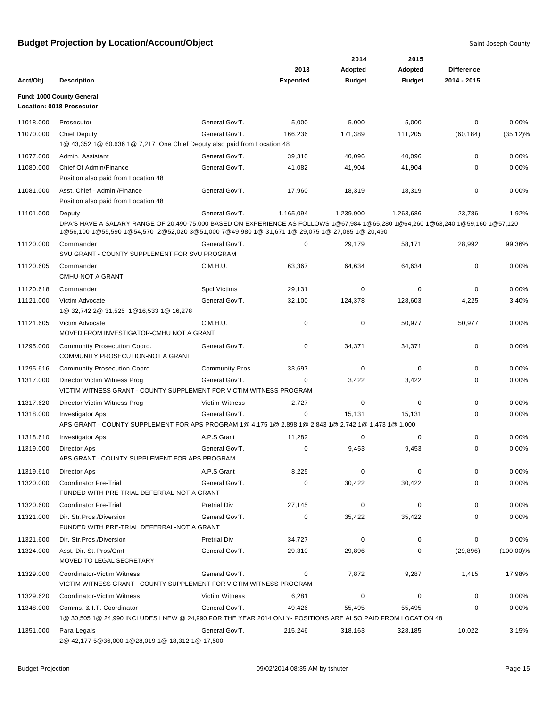|           |                                                                                                                                                                                                                                            |                       |                 | 2014          | 2015          |                   |              |
|-----------|--------------------------------------------------------------------------------------------------------------------------------------------------------------------------------------------------------------------------------------------|-----------------------|-----------------|---------------|---------------|-------------------|--------------|
|           |                                                                                                                                                                                                                                            |                       | 2013            | Adopted       | Adopted       | <b>Difference</b> |              |
| Acct/Obj  | <b>Description</b>                                                                                                                                                                                                                         |                       | <b>Expended</b> | <b>Budget</b> | <b>Budget</b> | 2014 - 2015       |              |
|           | Fund: 1000 County General                                                                                                                                                                                                                  |                       |                 |               |               |                   |              |
|           | <b>Location: 0018 Prosecutor</b>                                                                                                                                                                                                           |                       |                 |               |               |                   |              |
| 11018.000 | Prosecutor                                                                                                                                                                                                                                 | General Gov'T.        | 5,000           | 5,000         | 5,000         | 0                 | 0.00%        |
| 11070.000 | <b>Chief Deputy</b>                                                                                                                                                                                                                        | General Gov'T.        | 166,236         | 171,389       | 111,205       | (60, 184)         | $(35.12)\%$  |
|           | 1@ 43,352 1@ 60.636 1@ 7,217 One Chief Deputy also paid from Location 48                                                                                                                                                                   |                       |                 |               |               |                   |              |
| 11077.000 | Admin. Assistant                                                                                                                                                                                                                           | General Gov'T.        | 39,310          | 40,096        | 40,096        | $\mathbf 0$       | 0.00%        |
| 11080.000 | Chief Of Admin/Finance<br>Position also paid from Location 48                                                                                                                                                                              | General Gov'T.        | 41,082          | 41,904        | 41,904        | $\Omega$          | 0.00%        |
| 11081.000 | Asst. Chief - Admin./Finance<br>Position also paid from Location 48                                                                                                                                                                        | General Gov'T.        | 17,960          | 18,319        | 18,319        | 0                 | 0.00%        |
| 11101.000 | Deputy<br>DPA'S HAVE A SALARY RANGE OF 20,490-75,000 BASED ON EXPERIENCE AS FOLLOWS 1@67,984 1@65,280 1@64,260 1@63,240 1@59,160 1@57,120<br>1@56,100 1@55,590 1@54,570 2@52,020 3@51,000 7@49,980 1@ 31,671 1@ 29,075 1@ 27,085 1@ 20,490 | General Gov'T.        | 1,165,094       | 1,239,900     | 1,263,686     | 23,786            | 1.92%        |
| 11120.000 | Commander<br>SVU GRANT - COUNTY SUPPLEMENT FOR SVU PROGRAM                                                                                                                                                                                 | General Gov'T.        | 0               | 29,179        | 58,171        | 28,992            | 99.36%       |
| 11120.605 | Commander<br><b>CMHU-NOT A GRANT</b>                                                                                                                                                                                                       | C.M.H.U.              | 63,367          | 64,634        | 64,634        | 0                 | 0.00%        |
| 11120.618 | Commander                                                                                                                                                                                                                                  | Spcl. Victims         | 29,131          | 0             | 0             | 0                 | 0.00%        |
| 11121.000 | Victim Advocate<br>1@ 32,742 2@ 31,525 1@16,533 1@ 16,278                                                                                                                                                                                  | General Gov'T.        | 32,100          | 124,378       | 128,603       | 4,225             | 3.40%        |
| 11121.605 | Victim Advocate<br>MOVED FROM INVESTIGATOR-CMHU NOT A GRANT                                                                                                                                                                                | C.M.H.U.              | 0               | 0             | 50,977        | 50,977            | 0.00%        |
| 11295.000 | <b>Community Prosecution Coord.</b><br>COMMUNITY PROSECUTION-NOT A GRANT                                                                                                                                                                   | General Gov'T.        | 0               | 34,371        | 34,371        | 0                 | 0.00%        |
| 11295.616 | Community Prosecution Coord.                                                                                                                                                                                                               | <b>Community Pros</b> | 33,697          | 0             | 0             | 0                 | 0.00%        |
| 11317.000 | Director Victim Witness Prog<br>VICTIM WITNESS GRANT - COUNTY SUPPLEMENT FOR VICTIM WITNESS PROGRAM                                                                                                                                        | General Gov'T.        | 0               | 3,422         | 3,422         | 0                 | 0.00%        |
| 11317.620 | Director Victim Witness Prog                                                                                                                                                                                                               | <b>Victim Witness</b> | 2,727           | 0             | $\mathbf 0$   | $\mathbf 0$       | 0.00%        |
| 11318.000 | <b>Investigator Aps</b><br>APS GRANT - COUNTY SUPPLEMENT FOR APS PROGRAM 1@ 4,175 1@ 2,898 1@ 2,843 1@ 2,742 1@ 1,473 1@ 1,000                                                                                                             | General Gov'T.        | 0               | 15,131        | 15,131        | 0                 | 0.00%        |
| 11318.610 | <b>Investigator Aps</b>                                                                                                                                                                                                                    | A.P.S Grant           | 11,282          | 0             | 0             | 0                 | 0.00%        |
| 11319.000 | Director Aps<br>APS GRANT - COUNTY SUPPLEMENT FOR APS PROGRAM                                                                                                                                                                              | General Gov'T.        | $\mathbf 0$     | 9,453         | 9,453         | 0                 | 0.00%        |
| 11319.610 | Director Aps                                                                                                                                                                                                                               | A.P.S Grant           | 8,225           | 0             | 0             | 0                 | 0.00%        |
| 11320.000 | Coordinator Pre-Trial<br>FUNDED WITH PRE-TRIAL DEFERRAL-NOT A GRANT                                                                                                                                                                        | General Gov'T.        | 0               | 30,422        | 30,422        | 0                 | 0.00%        |
| 11320.600 | Coordinator Pre-Trial                                                                                                                                                                                                                      | <b>Pretrial Div</b>   | 27,145          | 0             | 0             | 0                 | 0.00%        |
| 11321.000 | Dir. Str. Pros./Diversion<br>FUNDED WITH PRE-TRIAL DEFERRAL-NOT A GRANT                                                                                                                                                                    | General Gov'T.        | 0               | 35,422        | 35,422        | 0                 | 0.00%        |
| 11321.600 | Dir. Str. Pros./Diversion                                                                                                                                                                                                                  | <b>Pretrial Div</b>   | 34,727          | 0             | 0             | 0                 | 0.00%        |
| 11324.000 | Asst. Dir. St. Pros/Grnt<br>MOVED TO LEGAL SECRETARY                                                                                                                                                                                       | General Gov'T.        | 29,310          | 29,896        | 0             | (29, 896)         | $(100.00)\%$ |
| 11329.000 | Coordinator-Victim Witness<br>VICTIM WITNESS GRANT - COUNTY SUPPLEMENT FOR VICTIM WITNESS PROGRAM                                                                                                                                          | General Gov'T.        | 0               | 7,872         | 9,287         | 1,415             | 17.98%       |
| 11329.620 | Coordinator-Victim Witness                                                                                                                                                                                                                 | <b>Victim Witness</b> | 6,281           | 0             | 0             | 0                 | 0.00%        |
| 11348.000 | Comms. & I.T. Coordinator<br>1@ 30,505 1@ 24,990 INCLUDES I NEW @ 24,990 FOR THE YEAR 2014 ONLY- POSITIONS ARE ALSO PAID FROM LOCATION 48                                                                                                  | General Gov'T.        | 49,426          | 55,495        | 55,495        | 0                 | $0.00\%$     |
| 11351.000 | Para Legals<br>2@ 42,177 5@36,000 1@28,019 1@ 18,312 1@ 17,500                                                                                                                                                                             | General Gov'T.        | 215,246         | 318,163       | 328,185       | 10,022            | 3.15%        |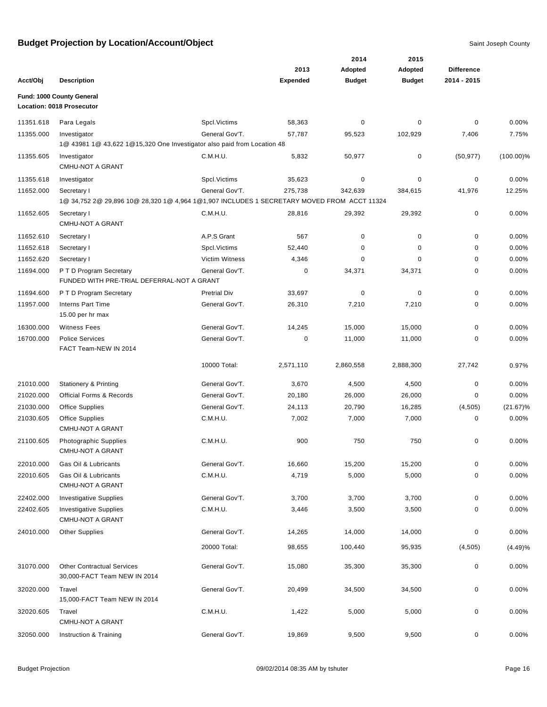|           |                                                                                                           |                       |                 | 2014          | 2015          |                   |              |
|-----------|-----------------------------------------------------------------------------------------------------------|-----------------------|-----------------|---------------|---------------|-------------------|--------------|
|           |                                                                                                           |                       | 2013            | Adopted       | Adopted       | <b>Difference</b> |              |
| Acct/Obj  | <b>Description</b>                                                                                        |                       | <b>Expended</b> | <b>Budget</b> | <b>Budget</b> | 2014 - 2015       |              |
|           | Fund: 1000 County General<br>Location: 0018 Prosecutor                                                    |                       |                 |               |               |                   |              |
| 11351.618 | Para Legals                                                                                               | Spcl. Victims         | 58,363          | 0             | 0             | $\mathbf 0$       | 0.00%        |
| 11355.000 | Investigator                                                                                              | General Gov'T.        | 57,787          | 95,523        | 102,929       | 7,406             | 7.75%        |
|           | 1@ 43981 1@ 43,622 1@15,320 One Investigator also paid from Location 48                                   |                       |                 |               |               |                   |              |
| 11355.605 | Investigator<br><b>CMHU-NOT A GRANT</b>                                                                   | C.M.H.U.              | 5,832           | 50,977        | $\mathbf 0$   | (50, 977)         | $(100.00)\%$ |
| 11355.618 | Investigator                                                                                              | Spcl. Victims         | 35,623          | $\pmb{0}$     | $\pmb{0}$     | 0                 | 0.00%        |
| 11652.000 | Secretary I<br>1@ 34,752 2@ 29,896 10@ 28,320 1@ 4,964 1@1,907 INCLUDES 1 SECRETARY MOVED FROM ACCT 11324 | General Gov'T.        | 275,738         | 342,639       | 384,615       | 41,976            | 12.25%       |
| 11652.605 | Secretary I<br><b>CMHU-NOT A GRANT</b>                                                                    | C.M.H.U.              | 28,816          | 29,392        | 29,392        | 0                 | 0.00%        |
| 11652.610 | Secretary I                                                                                               | A.P.S Grant           | 567             | 0             | $\mathbf 0$   | 0                 | 0.00%        |
| 11652.618 | Secretary I                                                                                               | Spcl. Victims         | 52,440          | 0             | $\mathbf 0$   | $\mathbf 0$       | 0.00%        |
| 11652.620 | Secretary I                                                                                               | <b>Victim Witness</b> | 4,346           | 0             | $\Omega$      | 0                 | 0.00%        |
| 11694.000 | P T D Program Secretary<br>FUNDED WITH PRE-TRIAL DEFERRAL-NOT A GRANT                                     | General Gov'T.        | 0               | 34,371        | 34,371        | 0                 | 0.00%        |
| 11694.600 | P T D Program Secretary                                                                                   | <b>Pretrial Div</b>   | 33,697          | $\mathbf 0$   | $\mathbf 0$   | 0                 | 0.00%        |
| 11957.000 | <b>Interns Part Time</b><br>15.00 per hr max                                                              | General Gov'T.        | 26,310          | 7,210         | 7,210         | 0                 | 0.00%        |
| 16300.000 | <b>Witness Fees</b>                                                                                       | General Gov'T.        | 14,245          | 15,000        | 15,000        | 0                 | 0.00%        |
| 16700.000 | <b>Police Services</b><br>FACT Team-NEW IN 2014                                                           | General Gov'T.        | 0               | 11,000        | 11,000        | $\mathbf 0$       | 0.00%        |
|           |                                                                                                           | 10000 Total:          | 2,571,110       | 2,860,558     | 2,888,300     | 27,742            | 0.97%        |
| 21010.000 | <b>Stationery &amp; Printing</b>                                                                          | General Gov'T.        | 3,670           | 4,500         | 4,500         | 0                 | 0.00%        |
| 21020.000 | <b>Official Forms &amp; Records</b>                                                                       | General Gov'T.        | 20,180          | 26,000        | 26,000        | 0                 | 0.00%        |
| 21030.000 | <b>Office Supplies</b>                                                                                    | General Gov'T.        | 24,113          | 20,790        | 16,285        | (4, 505)          | $(21.67)\%$  |
| 21030.605 | <b>Office Supplies</b><br><b>CMHU-NOT A GRANT</b>                                                         | C.M.H.U.              | 7,002           | 7,000         | 7,000         | 0                 | 0.00%        |
| 21100.605 | Photographic Supplies<br><b>CMHU-NOT A GRANT</b>                                                          | C.M.H.U.              | 900             | 750           | 750           | 0                 | 0.00%        |
| 22010.000 | Gas Oil & Lubricants                                                                                      | General Gov'T.        | 16,660          | 15,200        | 15,200        | 0                 | 0.00%        |
| 22010.605 | Gas Oil & Lubricants<br><b>CMHU-NOT A GRANT</b>                                                           | C.M.H.U.              | 4,719           | 5,000         | 5,000         | 0                 | 0.00%        |
| 22402.000 | <b>Investigative Supplies</b>                                                                             | General Gov'T.        | 3,700           | 3,700         | 3,700         | $\mathbf 0$       | 0.00%        |
| 22402.605 | <b>Investigative Supplies</b><br><b>CMHU-NOT A GRANT</b>                                                  | C.M.H.U.              | 3,446           | 3,500         | 3,500         | 0                 | 0.00%        |
| 24010.000 | <b>Other Supplies</b>                                                                                     | General Gov'T.        | 14,265          | 14,000        | 14,000        | 0                 | 0.00%        |
|           |                                                                                                           | 20000 Total:          | 98,655          | 100,440       | 95,935        | (4, 505)          | (4.49)%      |
| 31070.000 | <b>Other Contractual Services</b><br>30,000-FACT Team NEW IN 2014                                         | General Gov'T.        | 15,080          | 35,300        | 35,300        | 0                 | 0.00%        |
| 32020.000 | Travel<br>15,000-FACT Team NEW IN 2014                                                                    | General Gov'T.        | 20,499          | 34,500        | 34,500        | 0                 | 0.00%        |
| 32020.605 | Travel<br><b>CMHU-NOT A GRANT</b>                                                                         | C.M.H.U.              | 1,422           | 5,000         | 5,000         | 0                 | 0.00%        |
| 32050.000 | Instruction & Training                                                                                    | General Gov'T.        | 19,869          | 9,500         | 9,500         | 0                 | 0.00%        |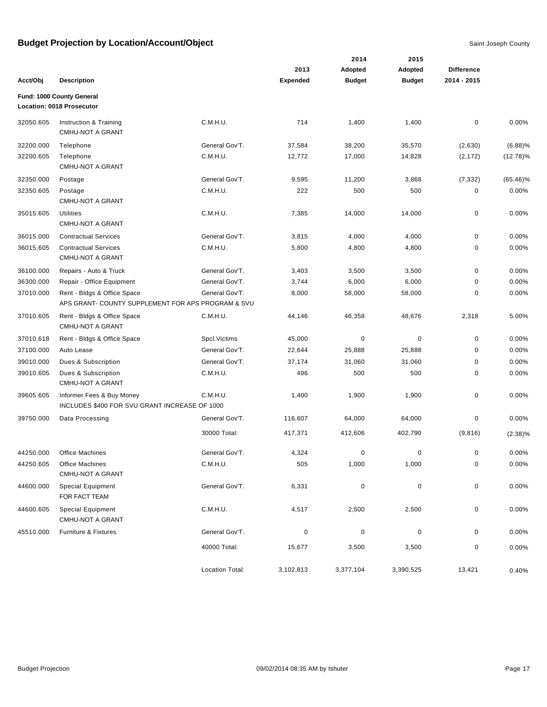|           |                                                                                   |                 |                 | 2014          | 2015          |                   |             |
|-----------|-----------------------------------------------------------------------------------|-----------------|-----------------|---------------|---------------|-------------------|-------------|
|           |                                                                                   |                 | 2013            | Adopted       | Adopted       | <b>Difference</b> |             |
| Acct/Obj  | <b>Description</b>                                                                |                 | <b>Expended</b> | <b>Budget</b> | <b>Budget</b> | 2014 - 2015       |             |
|           | Fund: 1000 County General<br>Location: 0018 Prosecutor                            |                 |                 |               |               |                   |             |
| 32050.605 | Instruction & Training<br><b>CMHU-NOT A GRANT</b>                                 | C.M.H.U.        | 714             | 1,400         | 1,400         | $\pmb{0}$         | 0.00%       |
| 32200.000 | Telephone                                                                         | General Gov'T.  | 37,584          | 38,200        | 35,570        | (2,630)           | (6.88)%     |
| 32200.605 | Telephone<br><b>CMHU-NOT A GRANT</b>                                              | C.M.H.U.        | 12,772          | 17,000        | 14,828        | (2, 172)          | $(12.78)\%$ |
| 32350.000 | Postage                                                                           | General Gov'T.  | 9,595           | 11,200        | 3,868         | (7, 332)          | $(65.46)\%$ |
| 32350.605 | Postage<br><b>CMHU-NOT A GRANT</b>                                                | C.M.H.U.        | 222             | 500           | 500           | $\mathbf 0$       | 0.00%       |
| 35015.605 | <b>Utilities</b><br><b>CMHU-NOT A GRANT</b>                                       | C.M.H.U.        | 7,385           | 14,000        | 14,000        | 0                 | 0.00%       |
| 36015.000 | <b>Contractual Services</b>                                                       | General Gov'T.  | 3,815           | 4,000         | 4,000         | 0                 | 0.00%       |
| 36015.605 | <b>Contractual Services</b><br><b>CMHU-NOT A GRANT</b>                            | C.M.H.U.        | 5,800           | 4,800         | 4,800         | 0                 | 0.00%       |
| 36100.000 | Repairs - Auto & Truck                                                            | General Gov'T.  | 3,403           | 3,500         | 3,500         | 0                 | 0.00%       |
| 36300.000 | Repair - Office Equipment                                                         | General Gov'T.  | 3,744           | 6,000         | 6,000         | 0                 | 0.00%       |
| 37010.000 | Rent - Bldgs & Office Space<br>APS GRANT- COUNTY SUPPLEMENT FOR APS PROGRAM & SVU | General Gov'T.  | 8,000           | 58,000        | 58,000        | 0                 | 0.00%       |
| 37010.605 | Rent - Bldgs & Office Space<br><b>CMHU-NOT A GRANT</b>                            | C.M.H.U.        | 44,146          | 46,358        | 48,676        | 2,318             | 5.00%       |
| 37010.618 | Rent - Bldgs & Office Space                                                       | Spcl. Victims   | 45,000          | $\pmb{0}$     | $\mathbf 0$   | 0                 | 0.00%       |
| 37100.000 | Auto Lease                                                                        | General Gov'T.  | 22,644          | 25,888        | 25,888        | 0                 | 0.00%       |
| 39010.000 | Dues & Subscription                                                               | General Gov'T.  | 37,174          | 31,060        | 31,060        | 0                 | 0.00%       |
| 39010.605 | Dues & Subscription<br><b>CMHU-NOT A GRANT</b>                                    | C.M.H.U.        | 496             | 500           | 500           | $\mathbf 0$       | 0.00%       |
| 39605.605 | Informer Fees & Buy Money<br>INCLUDES \$400 FOR SVU GRANT INCREASE OF 1000        | C.M.H.U.        | 1,400           | 1,900         | 1,900         | 0                 | 0.00%       |
| 39750.000 | Data Processing                                                                   | General Gov'T.  | 116,607         | 64,000        | 64,000        | 0                 | 0.00%       |
|           |                                                                                   | 30000 Total:    | 417,371         | 412,606       | 402,790       | (9,816)           | $(2.38)\%$  |
| 44250.000 | <b>Office Machines</b>                                                            | General Gov'T.  | 4,324           | 0             | 0             | 0                 | 0.00%       |
| 44250.605 | Office Machines<br>CMHU-NOT A GRANT                                               | C.M.H.U.        | 505             | 1,000         | 1,000         | 0                 | 0.00%       |
| 44600.000 | <b>Special Equipment</b><br>FOR FACT TEAM                                         | General Gov'T.  | 6,331           | $\pmb{0}$     | $\pmb{0}$     | 0                 | 0.00%       |
| 44600.605 | <b>Special Equipment</b><br>CMHU-NOT A GRANT                                      | C.M.H.U.        | 4,517           | 2,500         | 2,500         | 0                 | 0.00%       |
| 45510.000 | Furniture & Fixtures                                                              | General Gov'T.  | 0               | $\pmb{0}$     | $\pmb{0}$     | 0                 | 0.00%       |
|           |                                                                                   | 40000 Total:    | 15,677          | 3,500         | 3,500         | 0                 | 0.00%       |
|           |                                                                                   | Location Total: | 3,102,813       | 3,377,104     | 3,390,525     | 13,421            | 0.40%       |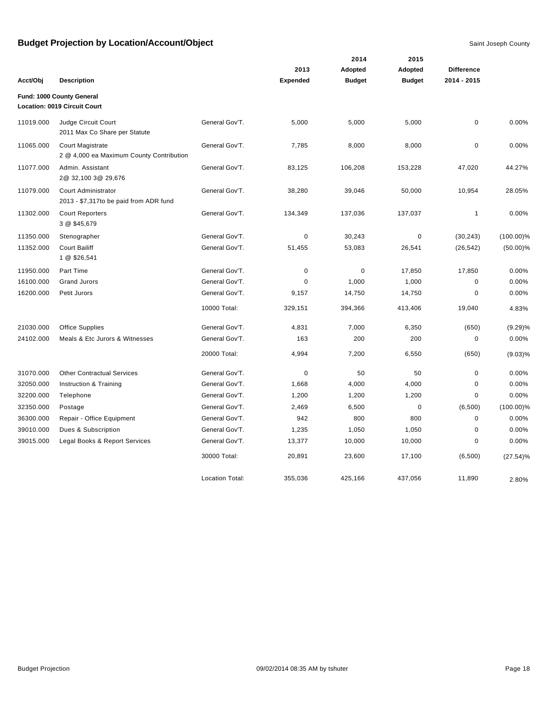|           |                                                                     |                        |                 | 2014          | 2015          |                   |              |
|-----------|---------------------------------------------------------------------|------------------------|-----------------|---------------|---------------|-------------------|--------------|
|           |                                                                     |                        | 2013            | Adopted       | Adopted       | <b>Difference</b> |              |
| Acct/Obj  | <b>Description</b>                                                  |                        | <b>Expended</b> | <b>Budget</b> | <b>Budget</b> | 2014 - 2015       |              |
|           | Fund: 1000 County General<br>Location: 0019 Circuit Court           |                        |                 |               |               |                   |              |
| 11019.000 | Judge Circuit Court<br>2011 Max Co Share per Statute                | General Gov'T.         | 5,000           | 5,000         | 5,000         | $\pmb{0}$         | 0.00%        |
| 11065.000 | <b>Court Magistrate</b><br>2 @ 4,000 ea Maximum County Contribution | General Gov'T.         | 7,785           | 8,000         | 8,000         | $\mathbf 0$       | 0.00%        |
| 11077.000 | Admin. Assistant<br>2@ 32,100 3@ 29,676                             | General Gov'T.         | 83,125          | 106,208       | 153,228       | 47,020            | 44.27%       |
| 11079.000 | Court Administrator<br>2013 - \$7,317to be paid from ADR fund       | General Gov'T.         | 38,280          | 39,046        | 50,000        | 10,954            | 28.05%       |
| 11302.000 | <b>Court Reporters</b><br>3 @ \$45,679                              | General Gov'T.         | 134,349         | 137,036       | 137,037       | $\mathbf{1}$      | 0.00%        |
| 11350.000 | Stenographer                                                        | General Gov'T.         | $\mathbf 0$     | 30,243        | $\pmb{0}$     | (30, 243)         | $(100.00)\%$ |
| 11352.000 | <b>Court Bailiff</b><br>1 @ \$26,541                                | General Gov'T.         | 51,455          | 53,083        | 26,541        | (26, 542)         | $(50.00)\%$  |
| 11950.000 | Part Time                                                           | General Gov'T.         | $\mathbf 0$     | $\pmb{0}$     | 17,850        | 17,850            | 0.00%        |
| 16100.000 | <b>Grand Jurors</b>                                                 | General Gov'T.         | 0               | 1,000         | 1,000         | $\mathbf 0$       | 0.00%        |
| 16200.000 | Petit Jurors                                                        | General Gov'T.         | 9,157           | 14,750        | 14,750        | $\mathbf 0$       | 0.00%        |
|           |                                                                     | 10000 Total:           | 329,151         | 394,366       | 413,406       | 19,040            | 4.83%        |
| 21030.000 | Office Supplies                                                     | General Gov'T.         | 4,831           | 7,000         | 6,350         | (650)             | (9.29)%      |
| 24102.000 | Meals & Etc Jurors & Witnesses                                      | General Gov'T.         | 163             | 200           | 200           | $\mathbf 0$       | 0.00%        |
|           |                                                                     | 20000 Total:           | 4,994           | 7,200         | 6,550         | (650)             | $(9.03)\%$   |
| 31070.000 | <b>Other Contractual Services</b>                                   | General Gov'T.         | $\mathbf 0$     | 50            | 50            | $\pmb{0}$         | 0.00%        |
| 32050.000 | Instruction & Training                                              | General Gov'T.         | 1,668           | 4,000         | 4,000         | $\mathbf 0$       | 0.00%        |
| 32200.000 | Telephone                                                           | General Gov'T.         | 1,200           | 1,200         | 1,200         | $\mathbf 0$       | 0.00%        |
| 32350.000 | Postage                                                             | General Gov'T.         | 2,469           | 6,500         | $\mathbf 0$   | (6,500)           | $(100.00)\%$ |
| 36300.000 | Repair - Office Equipment                                           | General Gov'T.         | 942             | 800           | 800           | $\mathbf 0$       | 0.00%        |
| 39010.000 | Dues & Subscription                                                 | General Gov'T.         | 1,235           | 1,050         | 1,050         | $\mathbf 0$       | 0.00%        |
| 39015.000 | Legal Books & Report Services                                       | General Gov'T.         | 13,377          | 10,000        | 10,000        | $\mathbf 0$       | 0.00%        |
|           |                                                                     | 30000 Total:           | 20,891          | 23,600        | 17,100        | (6,500)           | $(27.54)\%$  |
|           |                                                                     | <b>Location Total:</b> | 355,036         | 425,166       | 437,056       | 11,890            | 2.80%        |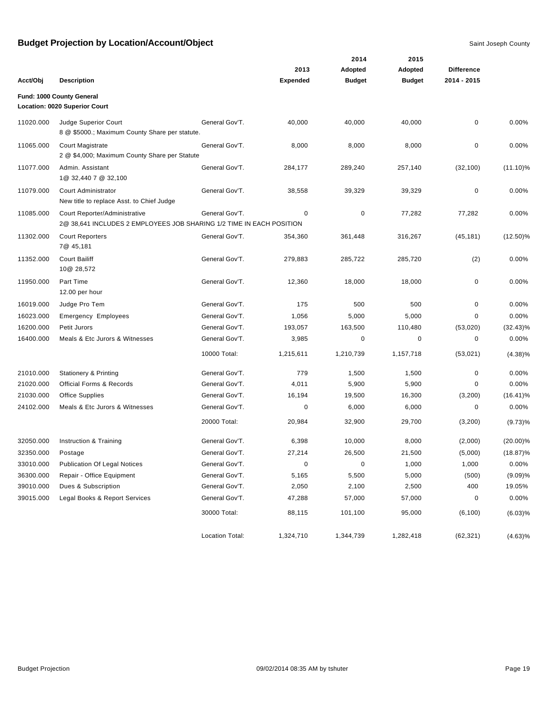|           |                                                                                                       |                 |                 | 2014          | 2015          |                   |             |
|-----------|-------------------------------------------------------------------------------------------------------|-----------------|-----------------|---------------|---------------|-------------------|-------------|
|           |                                                                                                       |                 | 2013            | Adopted       | Adopted       | <b>Difference</b> |             |
| Acct/Obj  | <b>Description</b>                                                                                    |                 | <b>Expended</b> | <b>Budget</b> | <b>Budget</b> | 2014 - 2015       |             |
|           | Fund: 1000 County General                                                                             |                 |                 |               |               |                   |             |
|           | Location: 0020 Superior Court                                                                         |                 |                 |               |               |                   |             |
| 11020.000 | Judge Superior Court<br>8 @ \$5000.; Maximum County Share per statute.                                | General Gov'T.  | 40,000          | 40,000        | 40,000        | 0                 | 0.00%       |
| 11065.000 | <b>Court Magistrate</b><br>2 @ \$4,000; Maximum County Share per Statute                              | General Gov'T.  | 8,000           | 8,000         | 8,000         | $\pmb{0}$         | 0.00%       |
| 11077.000 | Admin. Assistant<br>1@ 32,440 7 @ 32,100                                                              | General Gov'T.  | 284,177         | 289,240       | 257,140       | (32, 100)         | $(11.10)\%$ |
| 11079.000 | Court Administrator<br>New title to replace Asst. to Chief Judge                                      | General Gov'T.  | 38,558          | 39,329        | 39,329        | 0                 | 0.00%       |
| 11085.000 | Court Reporter/Administrative<br>2@ 38,641 INCLUDES 2 EMPLOYEES JOB SHARING 1/2 TIME IN EACH POSITION | General Gov'T.  | 0               | 0             | 77,282        | 77,282            | 0.00%       |
| 11302.000 | <b>Court Reporters</b><br>7@ 45,181                                                                   | General Gov'T.  | 354,360         | 361,448       | 316,267       | (45, 181)         | $(12.50)\%$ |
| 11352.000 | <b>Court Bailiff</b><br>10@ 28,572                                                                    | General Gov'T.  | 279,883         | 285,722       | 285,720       | (2)               | 0.00%       |
| 11950.000 | Part Time<br>12.00 per hour                                                                           | General Gov'T.  | 12,360          | 18,000        | 18,000        | 0                 | 0.00%       |
| 16019.000 | Judge Pro Tem                                                                                         | General Gov'T.  | 175             | 500           | 500           | 0                 | 0.00%       |
| 16023.000 | <b>Emergency Employees</b>                                                                            | General Gov'T.  | 1,056           | 5,000         | 5,000         | 0                 | 0.00%       |
| 16200.000 | Petit Jurors                                                                                          | General Gov'T.  | 193,057         | 163,500       | 110,480       | (53,020)          | $(32.43)\%$ |
| 16400.000 | Meals & Etc Jurors & Witnesses                                                                        | General Gov'T.  | 3,985           | 0             | 0             | 0                 | 0.00%       |
|           |                                                                                                       | 10000 Total:    | 1,215,611       | 1,210,739     | 1,157,718     | (53,021)          | $(4.38)\%$  |
| 21010.000 | <b>Stationery &amp; Printing</b>                                                                      | General Gov'T.  | 779             | 1,500         | 1,500         | 0                 | 0.00%       |
| 21020.000 | <b>Official Forms &amp; Records</b>                                                                   | General Gov'T.  | 4,011           | 5,900         | 5,900         | 0                 | 0.00%       |
| 21030.000 | <b>Office Supplies</b>                                                                                | General Gov'T.  | 16,194          | 19,500        | 16,300        | (3,200)           | $(16.41)\%$ |
| 24102.000 | Meals & Etc Jurors & Witnesses                                                                        | General Gov'T.  | 0               | 6,000         | 6,000         | 0                 | 0.00%       |
|           |                                                                                                       | 20000 Total:    | 20,984          | 32,900        | 29,700        | (3,200)           | (9.73)%     |
| 32050.000 | Instruction & Training                                                                                | General Gov'T.  | 6,398           | 10,000        | 8,000         | (2,000)           | $(20.00)\%$ |
| 32350.000 | Postage                                                                                               | General Gov'T.  | 27,214          | 26,500        | 21,500        | (5,000)           | $(18.87)\%$ |
| 33010.000 | <b>Publication Of Legal Notices</b>                                                                   | General Gov'T.  | 0               | $\pmb{0}$     | 1,000         | 1,000             | 0.00%       |
| 36300.000 | Repair - Office Equipment                                                                             | General Gov'T.  | 5,165           | 5,500         | 5,000         | (500)             | (9.09)%     |
| 39010.000 | Dues & Subscription                                                                                   | General Gov'T.  | 2,050           | 2,100         | 2,500         | 400               | 19.05%      |
| 39015.000 | Legal Books & Report Services                                                                         | General Gov'T.  | 47,288          | 57,000        | 57,000        | 0                 | 0.00%       |
|           |                                                                                                       | 30000 Total:    | 88,115          | 101,100       | 95,000        | (6, 100)          | (6.03)%     |
|           |                                                                                                       | Location Total: | 1,324,710       | 1,344,739     | 1,282,418     | (62, 321)         | $(4.63)\%$  |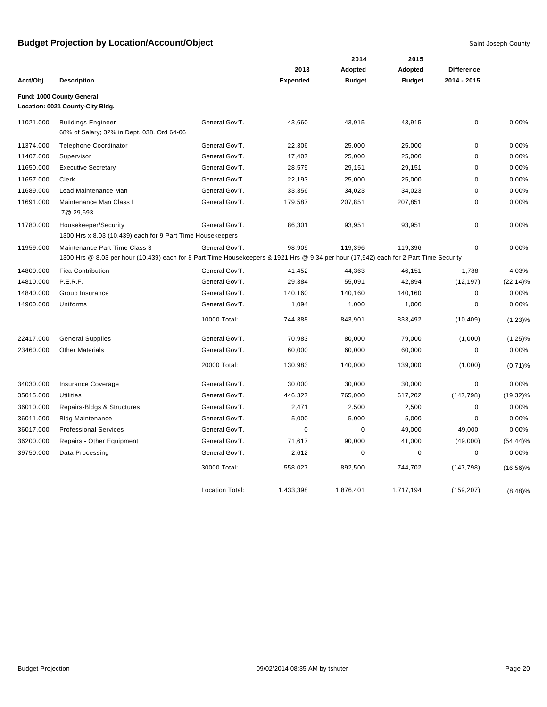|           |                                                                                                                                                                        |                        |                 | 2014          | 2015          |                   |             |
|-----------|------------------------------------------------------------------------------------------------------------------------------------------------------------------------|------------------------|-----------------|---------------|---------------|-------------------|-------------|
|           |                                                                                                                                                                        |                        | 2013            | Adopted       | Adopted       | <b>Difference</b> |             |
| Acct/Obj  | <b>Description</b>                                                                                                                                                     |                        | <b>Expended</b> | <b>Budget</b> | <b>Budget</b> | 2014 - 2015       |             |
|           | Fund: 1000 County General<br>Location: 0021 County-City Bldg.                                                                                                          |                        |                 |               |               |                   |             |
| 11021.000 | <b>Buildings Engineer</b><br>68% of Salary; 32% in Dept. 038. Ord 64-06                                                                                                | General Gov'T.         | 43,660          | 43,915        | 43,915        | $\mathbf 0$       | 0.00%       |
| 11374.000 | <b>Telephone Coordinator</b>                                                                                                                                           | General Gov'T.         | 22,306          | 25,000        | 25,000        | $\mathbf 0$       | 0.00%       |
| 11407.000 | Supervisor                                                                                                                                                             | General Gov'T.         | 17,407          | 25,000        | 25,000        | $\mathbf 0$       | 0.00%       |
| 11650.000 | <b>Executive Secretary</b>                                                                                                                                             | General Gov'T.         | 28,579          | 29,151        | 29,151        | $\mathbf 0$       | 0.00%       |
| 11657.000 | Clerk                                                                                                                                                                  | General Gov'T.         | 22,193          | 25,000        | 25,000        | $\mathbf 0$       | 0.00%       |
| 11689.000 | Lead Maintenance Man                                                                                                                                                   | General Gov'T.         | 33,356          | 34,023        | 34,023        | $\mathbf 0$       | 0.00%       |
| 11691.000 | Maintenance Man Class I<br>7@ 29,693                                                                                                                                   | General Gov'T.         | 179,587         | 207,851       | 207,851       | $\mathbf 0$       | 0.00%       |
| 11780.000 | Housekeeper/Security<br>1300 Hrs x 8.03 (10,439) each for 9 Part Time Housekeepers                                                                                     | General Gov'T.         | 86,301          | 93,951        | 93,951        | $\mathbf 0$       | 0.00%       |
| 11959.000 | Maintenance Part Time Class 3<br>1300 Hrs @ 8.03 per hour (10,439) each for 8 Part Time Housekeepers & 1921 Hrs @ 9.34 per hour (17,942) each for 2 Part Time Security | General Gov'T.         | 98,909          | 119,396       | 119,396       | $\mathbf 0$       | 0.00%       |
| 14800.000 | <b>Fica Contribution</b>                                                                                                                                               | General Gov'T.         | 41,452          | 44,363        | 46,151        | 1,788             | 4.03%       |
| 14810.000 | P.E.R.F.                                                                                                                                                               | General Gov'T.         | 29,384          | 55,091        | 42,894        | (12, 197)         | $(22.14)\%$ |
| 14840.000 | Group Insurance                                                                                                                                                        | General Gov'T.         | 140,160         | 140,160       | 140,160       | $\mathbf 0$       | 0.00%       |
| 14900.000 | Uniforms                                                                                                                                                               | General Gov'T.         | 1,094           | 1,000         | 1,000         | $\mathbf 0$       | 0.00%       |
|           |                                                                                                                                                                        | 10000 Total:           | 744.388         | 843,901       | 833.492       | (10, 409)         | $(1.23)\%$  |
| 22417.000 | <b>General Supplies</b>                                                                                                                                                | General Gov'T.         | 70,983          | 80,000        | 79,000        | (1,000)           | $(1.25)\%$  |
| 23460.000 | <b>Other Materials</b>                                                                                                                                                 | General Gov'T.         | 60,000          | 60,000        | 60,000        | $\pmb{0}$         | 0.00%       |
|           |                                                                                                                                                                        | 20000 Total:           | 130,983         | 140,000       | 139,000       | (1,000)           | $(0.71)$ %  |
| 34030.000 | Insurance Coverage                                                                                                                                                     | General Gov'T.         | 30,000          | 30,000        | 30,000        | $\mathbf 0$       | $0.00\%$    |
| 35015.000 | Utilities                                                                                                                                                              | General Gov'T.         | 446,327         | 765,000       | 617,202       | (147, 798)        | $(19.32)\%$ |
| 36010.000 | Repairs-Bldgs & Structures                                                                                                                                             | General Gov'T.         | 2,471           | 2,500         | 2,500         | 0                 | 0.00%       |
| 36011.000 | <b>Bldg Maintenance</b>                                                                                                                                                | General Gov'T.         | 5,000           | 5,000         | 5,000         | 0                 | 0.00%       |
| 36017.000 | <b>Professional Services</b>                                                                                                                                           | General Gov'T.         | 0               | $\mathbf 0$   | 49,000        | 49,000            | 0.00%       |
| 36200.000 | Repairs - Other Equipment                                                                                                                                              | General Gov'T.         | 71,617          | 90,000        | 41,000        | (49,000)          | $(54.44)\%$ |
| 39750.000 | Data Processing                                                                                                                                                        | General Gov'T.         | 2,612           | 0             | $\mathbf 0$   | $\mathbf 0$       | 0.00%       |
|           |                                                                                                                                                                        | 30000 Total:           | 558,027         | 892,500       | 744,702       | (147, 798)        | $(16.56)\%$ |
|           |                                                                                                                                                                        | <b>Location Total:</b> | 1,433,398       | 1,876,401     | 1,717,194     | (159, 207)        | $(8.48)\%$  |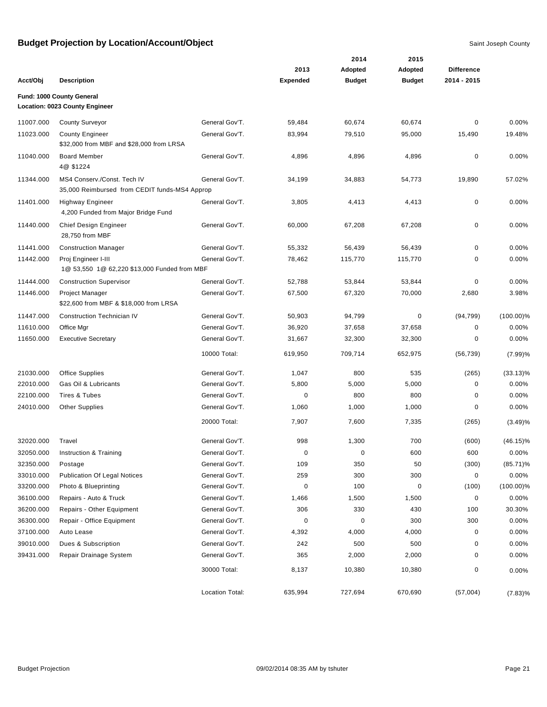|           |                                                                              |                 |                         | 2014                     | 2015                     |                                  |              |
|-----------|------------------------------------------------------------------------------|-----------------|-------------------------|--------------------------|--------------------------|----------------------------------|--------------|
| Acct/Obi  | <b>Description</b>                                                           |                 | 2013<br><b>Expended</b> | Adopted<br><b>Budget</b> | Adopted<br><b>Budget</b> | <b>Difference</b><br>2014 - 2015 |              |
|           |                                                                              |                 |                         |                          |                          |                                  |              |
|           | Fund: 1000 County General<br>Location: 0023 County Engineer                  |                 |                         |                          |                          |                                  |              |
| 11007.000 | <b>County Surveyor</b>                                                       | General Gov'T.  | 59,484                  | 60,674                   | 60,674                   | 0                                | 0.00%        |
| 11023.000 | <b>County Engineer</b><br>\$32,000 from MBF and \$28,000 from LRSA           | General Gov'T.  | 83,994                  | 79,510                   | 95,000                   | 15,490                           | 19.48%       |
| 11040.000 | <b>Board Member</b><br>4@ \$1224                                             | General Gov'T.  | 4,896                   | 4,896                    | 4,896                    | 0                                | 0.00%        |
| 11344.000 | MS4 Conserv./Const. Tech IV<br>35,000 Reimbursed from CEDIT funds-MS4 Approp | General Gov'T.  | 34,199                  | 34,883                   | 54,773                   | 19,890                           | 57.02%       |
| 11401.000 | <b>Highway Engineer</b><br>4,200 Funded from Major Bridge Fund               | General Gov'T.  | 3,805                   | 4,413                    | 4,413                    | 0                                | 0.00%        |
| 11440.000 | Chief Design Engineer<br>28,750 from MBF                                     | General Gov'T.  | 60,000                  | 67,208                   | 67,208                   | 0                                | 0.00%        |
| 11441.000 | <b>Construction Manager</b>                                                  | General Gov'T.  | 55,332                  | 56,439                   | 56,439                   | 0                                | 0.00%        |
| 11442.000 | Proj Engineer I-III<br>1@ 53,550 1@ 62,220 \$13,000 Funded from MBF          | General Gov'T.  | 78,462                  | 115,770                  | 115,770                  | 0                                | 0.00%        |
| 11444.000 | <b>Construction Supervisor</b>                                               | General Gov'T.  | 52,788                  | 53,844                   | 53,844                   | 0                                | 0.00%        |
| 11446.000 | Project Manager<br>\$22,600 from MBF & \$18,000 from LRSA                    | General Gov'T.  | 67,500                  | 67,320                   | 70,000                   | 2,680                            | 3.98%        |
| 11447.000 | <b>Construction Technician IV</b>                                            | General Gov'T.  | 50,903                  | 94,799                   | $\mathbf 0$              | (94, 799)                        | $(100.00)\%$ |
| 11610.000 | Office Mgr                                                                   | General Gov'T.  | 36,920                  | 37,658                   | 37,658                   | 0                                | 0.00%        |
| 11650.000 | <b>Executive Secretary</b>                                                   | General Gov'T.  | 31,667                  | 32,300                   | 32,300                   | 0                                | 0.00%        |
|           |                                                                              | 10000 Total:    | 619,950                 | 709,714                  | 652,975                  | (56, 739)                        | (7.99)%      |
| 21030.000 | <b>Office Supplies</b>                                                       | General Gov'T.  | 1,047                   | 800                      | 535                      | (265)                            | $(33.13)\%$  |
| 22010.000 | Gas Oil & Lubricants                                                         | General Gov'T.  | 5,800                   | 5,000                    | 5,000                    | 0                                | 0.00%        |
| 22100.000 | Tires & Tubes                                                                | General Gov'T.  | 0                       | 800                      | 800                      | 0                                | 0.00%        |
| 24010.000 | <b>Other Supplies</b>                                                        | General Gov'T.  | 1,060                   | 1,000                    | 1,000                    | 0                                | 0.00%        |
|           |                                                                              | 20000 Total:    | 7,907                   | 7,600                    | 7,335                    | (265)                            | (3.49)%      |
| 32020.000 | Travel                                                                       | General Gov'T.  | 998                     | 1,300                    | 700                      | (600)                            | $(46.15)\%$  |
| 32050.000 | Instruction & Training                                                       | General Gov'T.  | 0                       | 0                        | 600                      | 600                              | 0.00%        |
| 32350.000 | Postage                                                                      | General Gov'T.  | 109                     | 350                      | 50                       | (300)                            | $(85.71)\%$  |
| 33010.000 | <b>Publication Of Legal Notices</b>                                          | General Gov'T.  | 259                     | 300                      | 300                      | 0                                | 0.00%        |
| 33200.000 | Photo & Blueprinting                                                         | General Gov'T.  | $\pmb{0}$               | 100                      | 0                        | (100)                            | $(100.00)\%$ |
| 36100.000 | Repairs - Auto & Truck                                                       | General Gov'T.  | 1,466                   | 1,500                    | 1,500                    | 0                                | 0.00%        |
| 36200.000 | Repairs - Other Equipment                                                    | General Gov'T.  | 306                     | 330                      | 430                      | 100                              | 30.30%       |
| 36300.000 | Repair - Office Equipment                                                    | General Gov'T.  | $\pmb{0}$               | $\pmb{0}$                | 300                      | 300                              | 0.00%        |
| 37100.000 | Auto Lease                                                                   | General Gov'T.  | 4,392                   | 4,000                    | 4,000                    | 0                                | 0.00%        |
| 39010.000 | Dues & Subscription                                                          | General Gov'T.  | 242                     | 500                      | 500                      | 0                                | 0.00%        |
| 39431.000 | Repair Drainage System                                                       | General Gov'T.  | 365                     | 2,000                    | 2,000                    | 0                                | 0.00%        |
|           |                                                                              | 30000 Total:    | 8,137                   | 10,380                   | 10,380                   | 0                                | 0.00%        |
|           |                                                                              | Location Total: | 635,994                 | 727,694                  | 670,690                  | (57,004)                         | $(7.83)\%$   |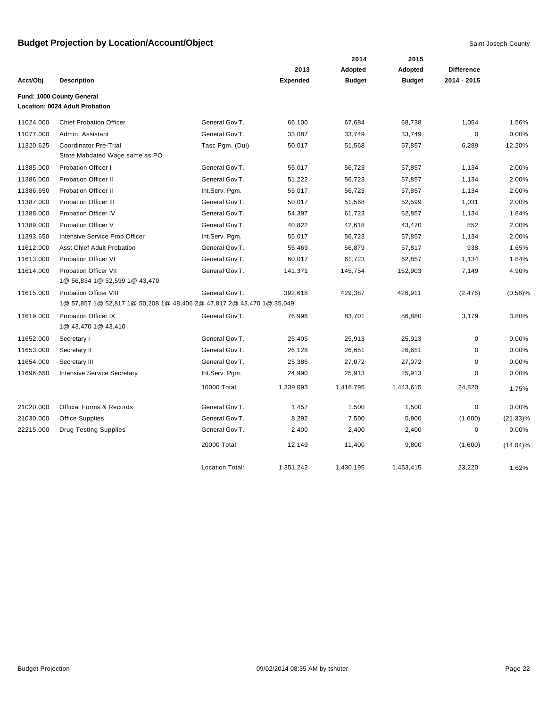|           |                                                                       |                        |                 | 2014          | 2015          |                   |             |
|-----------|-----------------------------------------------------------------------|------------------------|-----------------|---------------|---------------|-------------------|-------------|
|           |                                                                       |                        | 2013            | Adopted       | Adopted       | <b>Difference</b> |             |
| Acct/Obj  | <b>Description</b>                                                    |                        | <b>Expended</b> | <b>Budget</b> | <b>Budget</b> | 2014 - 2015       |             |
|           | Fund: 1000 County General                                             |                        |                 |               |               |                   |             |
|           | Location: 0024 Adult Probation                                        |                        |                 |               |               |                   |             |
| 11024.000 | <b>Chief Probation Officer</b>                                        | General Gov'T.         | 66,100          | 67,684        | 68,738        | 1,054             | 1.56%       |
| 11077.000 | Admin, Assistant                                                      | General Gov'T.         | 33,087          | 33,749        | 33,749        | 0                 | 0.00%       |
| 11320.625 | <b>Coordinator Pre-Trial</b>                                          | Tasc Pgm. (Dui)        | 50,017          | 51,568        | 57,857        | 6,289             | 12.20%      |
|           | State Mabdated Wage same as PO                                        |                        |                 |               |               |                   |             |
| 11385.000 | Probation Officer I                                                   | General Gov'T.         | 55,017          | 56,723        | 57,857        | 1,134             | 2.00%       |
| 11386.000 | <b>Probation Officer II</b>                                           | General Gov'T.         | 51,222          | 56,723        | 57,857        | 1,134             | 2.00%       |
| 11386.650 | <b>Probation Officer II</b>                                           | Int.Serv. Pgm.         | 55,017          | 56,723        | 57,857        | 1,134             | 2.00%       |
| 11387.000 | <b>Probation Officer III</b>                                          | General Gov'T.         | 50,017          | 51,568        | 52,599        | 1,031             | 2.00%       |
| 11388.000 | Probation Officer IV                                                  | General Gov'T.         | 54,397          | 61,723        | 62,857        | 1,134             | 1.84%       |
| 11389.000 | Probation Officer V                                                   | General Gov'T.         | 40,822          | 42,618        | 43,470        | 852               | 2.00%       |
| 11393.650 | Intensive Service Prob Officer                                        | Int.Serv. Pqm.         | 55,017          | 56,723        | 57,857        | 1,134             | 2.00%       |
| 11612.000 | <b>Asst Chief Adult Probation</b>                                     | General Gov'T.         | 55,469          | 56,879        | 57,817        | 938               | 1.65%       |
| 11613.000 | Probation Officer VI                                                  | General Gov'T.         | 60,017          | 61,723        | 62,857        | 1,134             | 1.84%       |
| 11614.000 | Probation Officer VII                                                 | General Gov'T.         | 141,371         | 145,754       | 152,903       | 7,149             | 4.90%       |
|           | 1@ 56,834 1@ 52,599 1@ 43,470                                         |                        |                 |               |               |                   |             |
| 11615.000 | <b>Probation Officer VIII</b>                                         | General Gov'T.         | 392,618         | 429,387       | 426,911       | (2, 476)          | (0.58)%     |
|           | 1@ 57,857 1@ 52,817 1@ 50,208 1@ 48,406 2@ 47,817 2@ 43,470 1@ 35,049 |                        |                 |               |               |                   |             |
| 11619.000 | <b>Probation Officer IX</b>                                           | General Gov'T.         | 76,996          | 83,701        | 86,880        | 3,179             | 3.80%       |
|           | 1@ 43,470 1@ 43,410                                                   |                        |                 |               |               |                   |             |
| 11652.000 | Secretary I                                                           | General Gov'T.         | 25,405          | 25,913        | 25,913        | 0                 | 0.00%       |
| 11653.000 | Secretary II                                                          | General Gov'T.         | 26,128          | 26,651        | 26,651        | 0                 | 0.00%       |
| 11654.000 | Secretary III                                                         | General Gov'T.         | 25,386          | 27,072        | 27,072        | 0                 | 0.00%       |
| 11696.650 | <b>Intensive Service Secretary</b>                                    | Int.Serv. Pgm.         | 24,990          | 25,913        | 25,913        | 0                 | 0.00%       |
|           |                                                                       | 10000 Total:           | 1,339,093       | 1,418,795     | 1,443,615     | 24,820            | 1.75%       |
| 21020.000 | <b>Official Forms &amp; Records</b>                                   | General Gov'T.         | 1,457           | 1,500         | 1,500         | $\mathbf 0$       | 0.00%       |
| 21030.000 | <b>Office Supplies</b>                                                | General Gov'T.         | 8,292           | 7,500         | 5,900         | (1,600)           | $(21.33)\%$ |
| 22215.000 | <b>Drug Testing Supplies</b>                                          | General Gov'T.         | 2,400           | 2,400         | 2,400         | 0                 | 0.00%       |
|           |                                                                       | 20000 Total:           | 12,149          | 11,400        | 9,800         | (1,600)           | $(14.04)\%$ |
|           |                                                                       | <b>Location Total:</b> | 1,351,242       | 1,430,195     | 1,453,415     | 23.220            | 1.62%       |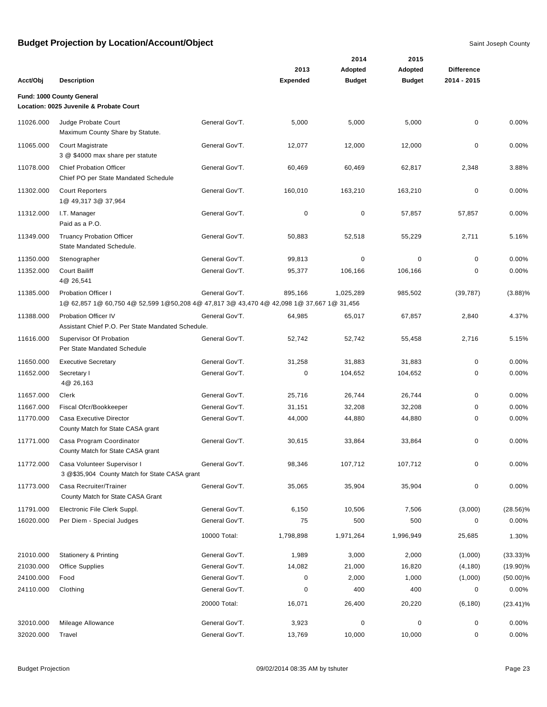|           |                                                                                                                        |                |                 | 2014          | 2015          |                   |             |
|-----------|------------------------------------------------------------------------------------------------------------------------|----------------|-----------------|---------------|---------------|-------------------|-------------|
|           |                                                                                                                        |                | 2013            | Adopted       | Adopted       | <b>Difference</b> |             |
| Acct/Obj  | <b>Description</b>                                                                                                     |                | <b>Expended</b> | <b>Budget</b> | <b>Budget</b> | 2014 - 2015       |             |
|           | Fund: 1000 County General                                                                                              |                |                 |               |               |                   |             |
|           | Location: 0025 Juvenile & Probate Court                                                                                |                |                 |               |               |                   |             |
| 11026.000 | Judge Probate Court<br>Maximum County Share by Statute.                                                                | General Gov'T. | 5,000           | 5,000         | 5,000         | 0                 | 0.00%       |
| 11065.000 | Court Magistrate<br>3 @ \$4000 max share per statute                                                                   | General Gov'T. | 12,077          | 12,000        | 12,000        | 0                 | 0.00%       |
| 11078.000 | <b>Chief Probation Officer</b><br>Chief PO per State Mandated Schedule                                                 | General Gov'T. | 60,469          | 60,469        | 62,817        | 2,348             | 3.88%       |
| 11302.000 | <b>Court Reporters</b><br>1@ 49,317 3@ 37,964                                                                          | General Gov'T. | 160,010         | 163,210       | 163,210       | $\mathbf 0$       | 0.00%       |
| 11312.000 | I.T. Manager<br>Paid as a P.O.                                                                                         | General Gov'T. | 0               | $\mathbf 0$   | 57,857        | 57,857            | 0.00%       |
| 11349.000 | <b>Truancy Probation Officer</b><br>State Mandated Schedule.                                                           | General Gov'T. | 50,883          | 52,518        | 55,229        | 2,711             | 5.16%       |
| 11350.000 | Stenographer                                                                                                           | General Gov'T. | 99,813          | 0             | $\mathbf 0$   | 0                 | 0.00%       |
| 11352.000 | <b>Court Bailiff</b><br>4@ 26,541                                                                                      | General Gov'T. | 95,377          | 106,166       | 106,166       | 0                 | 0.00%       |
| 11385.000 | <b>Probation Officer I</b><br>1@ 62,857 1@ 60,750 4@ 52,599 1@50,208 4@ 47,817 3@ 43,470 4@ 42,098 1@ 37,667 1@ 31,456 | General Gov'T. | 895,166         | 1,025,289     | 985,502       | (39, 787)         | (3.88)%     |
| 11388.000 | Probation Officer IV<br>Assistant Chief P.O. Per State Mandated Schedule.                                              | General Gov'T. | 64,985          | 65,017        | 67,857        | 2,840             | 4.37%       |
| 11616.000 | Supervisor Of Probation<br>Per State Mandated Schedule                                                                 | General Gov'T. | 52,742          | 52,742        | 55,458        | 2,716             | 5.15%       |
| 11650.000 | <b>Executive Secretary</b>                                                                                             | General Gov'T. | 31,258          | 31,883        | 31,883        | 0                 | 0.00%       |
| 11652.000 | Secretary I<br>4@ 26,163                                                                                               | General Gov'T. | 0               | 104,652       | 104,652       | 0                 | 0.00%       |
| 11657.000 | Clerk                                                                                                                  | General Gov'T. | 25,716          | 26,744        | 26,744        | 0                 | 0.00%       |
| 11667.000 | Fiscal Ofcr/Bookkeeper                                                                                                 | General Gov'T. | 31,151          | 32,208        | 32,208        | 0                 | 0.00%       |
| 11770.000 | Casa Executive Director<br>County Match for State CASA grant                                                           | General Gov'T. | 44,000          | 44,880        | 44,880        | 0                 | 0.00%       |
| 11771.000 | Casa Program Coordinator<br>County Match for State CASA grant                                                          | General Gov'T. | 30,615          | 33,864        | 33,864        | 0                 | 0.00%       |
| 11772.000 | Casa Volunteer Supervisor I<br>3 @\$35,904 County Match for State CASA grant                                           | General Gov'T. | 98,346          | 107,712       | 107,712       | 0                 | 0.00%       |
| 11773.000 | Casa Recruiter/Trainer<br>County Match for State CASA Grant                                                            | General Gov'T. | 35,065          | 35,904        | 35,904        | 0                 | 0.00%       |
| 11791.000 | Electronic File Clerk Suppl.                                                                                           | General Gov'T. | 6,150           | 10,506        | 7,506         | (3,000)           | $(28.56)\%$ |
| 16020.000 | Per Diem - Special Judges                                                                                              | General Gov'T. | 75              | 500           | 500           | 0                 | 0.00%       |
|           |                                                                                                                        | 10000 Total:   | 1,798,898       | 1,971,264     | 1,996,949     | 25,685            | 1.30%       |
| 21010.000 | <b>Stationery &amp; Printing</b>                                                                                       | General Gov'T. | 1,989           | 3,000         | 2,000         | (1,000)           | $(33.33)\%$ |
| 21030.000 | <b>Office Supplies</b>                                                                                                 | General Gov'T. | 14,082          | 21,000        | 16,820        | (4, 180)          | $(19.90)\%$ |
| 24100.000 | Food                                                                                                                   | General Gov'T. | 0               | 2,000         | 1,000         | (1,000)           | $(50.00)\%$ |
| 24110.000 | Clothing                                                                                                               | General Gov'T. | 0               | 400           | 400           | 0                 | 0.00%       |
|           |                                                                                                                        | 20000 Total:   | 16,071          | 26,400        | 20,220        | (6, 180)          | $(23.41)\%$ |
| 32010.000 | Mileage Allowance                                                                                                      | General Gov'T. | 3,923           | $\pmb{0}$     | $\mathbf 0$   | 0                 | 0.00%       |
| 32020.000 | Travel                                                                                                                 | General Gov'T. | 13,769          | 10,000        | 10,000        | 0                 | 0.00%       |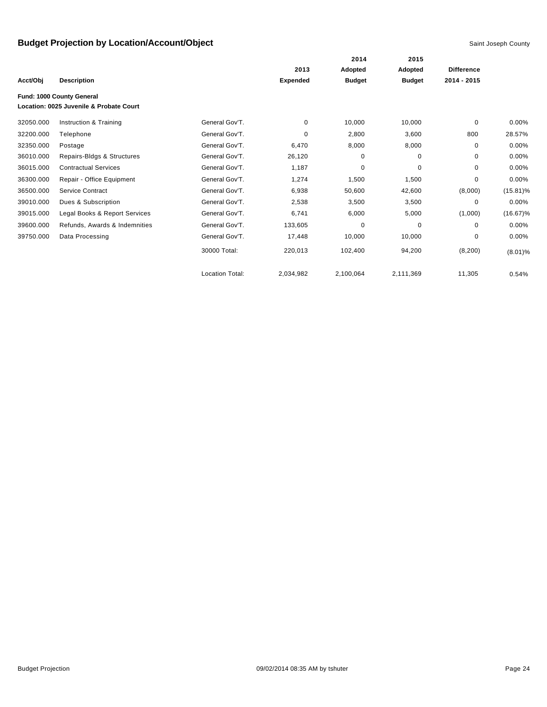|           |                                         |                        |                 | 2014          | 2015          |                   |             |
|-----------|-----------------------------------------|------------------------|-----------------|---------------|---------------|-------------------|-------------|
|           |                                         |                        | 2013            | Adopted       | Adopted       | <b>Difference</b> |             |
| Acct/Obj  | <b>Description</b>                      |                        | <b>Expended</b> | <b>Budget</b> | <b>Budget</b> | 2014 - 2015       |             |
|           | Fund: 1000 County General               |                        |                 |               |               |                   |             |
|           | Location: 0025 Juvenile & Probate Court |                        |                 |               |               |                   |             |
| 32050.000 | Instruction & Training                  | General Gov'T.         | 0               | 10,000        | 10,000        | 0                 | 0.00%       |
| 32200.000 | Telephone                               | General Gov'T.         | 0               | 2,800         | 3,600         | 800               | 28.57%      |
| 32350.000 | Postage                                 | General Gov'T.         | 6,470           | 8,000         | 8,000         | 0                 | 0.00%       |
| 36010.000 | Repairs-Bldgs & Structures              | General Gov'T.         | 26,120          | 0             | 0             | $\mathbf 0$       | 0.00%       |
| 36015.000 | <b>Contractual Services</b>             | General Gov'T.         | 1,187           | 0             | 0             | 0                 | 0.00%       |
| 36300.000 | Repair - Office Equipment               | General Gov'T.         | 1,274           | 1,500         | 1,500         | $\mathbf 0$       | $0.00\%$    |
| 36500.000 | <b>Service Contract</b>                 | General Gov'T.         | 6,938           | 50,600        | 42,600        | (8,000)           | $(15.81)\%$ |
| 39010.000 | Dues & Subscription                     | General Gov'T.         | 2,538           | 3,500         | 3,500         | 0                 | $0.00\%$    |
| 39015.000 | Legal Books & Report Services           | General Gov'T.         | 6,741           | 6,000         | 5,000         | (1,000)           | $(16.67)\%$ |
| 39600.000 | Refunds, Awards & Indemnities           | General Gov'T.         | 133,605         | 0             | 0             | $\Omega$          | 0.00%       |
| 39750.000 | Data Processing                         | General Gov'T.         | 17,448          | 10,000        | 10,000        | $\Omega$          | $0.00\%$    |
|           |                                         | 30000 Total:           | 220,013         | 102,400       | 94,200        | (8, 200)          | $(8.01)\%$  |
|           |                                         | <b>Location Total:</b> | 2,034,982       | 2,100,064     | 2,111,369     | 11,305            | 0.54%       |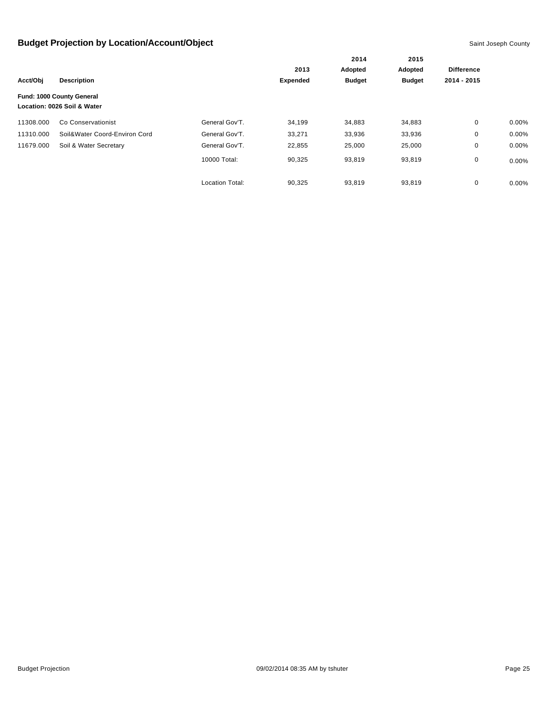|           |                               |                        | 2014            | 2015          |               |                   |          |
|-----------|-------------------------------|------------------------|-----------------|---------------|---------------|-------------------|----------|
|           |                               |                        | 2013            | Adopted       | Adopted       | <b>Difference</b> |          |
| Acct/Obj  | <b>Description</b>            |                        | <b>Expended</b> | <b>Budget</b> | <b>Budget</b> | 2014 - 2015       |          |
|           | Fund: 1000 County General     |                        |                 |               |               |                   |          |
|           | Location: 0026 Soil & Water   |                        |                 |               |               |                   |          |
| 11308.000 | Co Conservationist            | General Gov'T.         | 34,199          | 34,883        | 34,883        | 0                 | $0.00\%$ |
| 11310.000 | Soil&Water Coord-Environ Cord | General Gov'T.         | 33,271          | 33,936        | 33,936        | 0                 | $0.00\%$ |
| 11679.000 | Soil & Water Secretary        | General Gov'T.         | 22,855          | 25,000        | 25,000        | 0                 | 0.00%    |
|           |                               | 10000 Total:           | 90,325          | 93,819        | 93,819        | 0                 | $0.00\%$ |
|           |                               | <b>Location Total:</b> | 90,325          | 93,819        | 93,819        | 0                 | $0.00\%$ |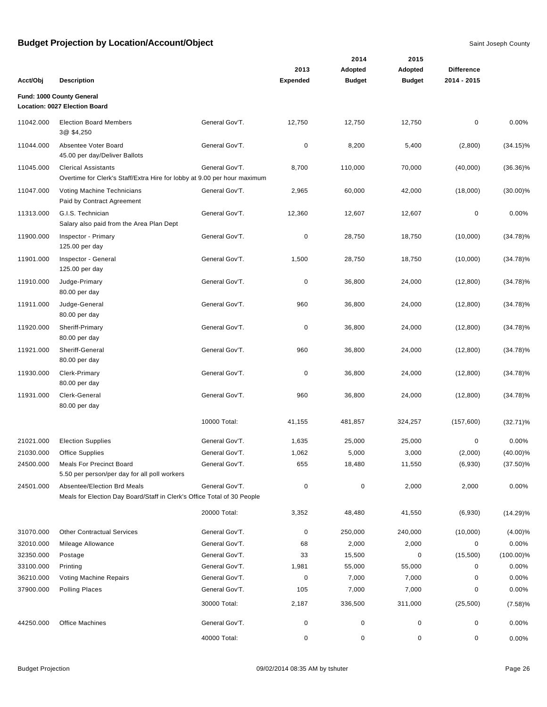|           |                                                                                                        |                |                 | 2014          | 2015          |                   |              |
|-----------|--------------------------------------------------------------------------------------------------------|----------------|-----------------|---------------|---------------|-------------------|--------------|
|           |                                                                                                        |                | 2013            | Adopted       | Adopted       | <b>Difference</b> |              |
| Acct/Obj  | <b>Description</b>                                                                                     |                | <b>Expended</b> | <b>Budget</b> | <b>Budget</b> | 2014 - 2015       |              |
|           | Fund: 1000 County General                                                                              |                |                 |               |               |                   |              |
|           | Location: 0027 Election Board                                                                          |                |                 |               |               |                   |              |
| 11042.000 | <b>Election Board Members</b><br>3@ \$4,250                                                            | General Gov'T. | 12,750          | 12,750        | 12,750        | $\pmb{0}$         | 0.00%        |
| 11044.000 | Absentee Voter Board<br>45.00 per day/Deliver Ballots                                                  | General Gov'T. | 0               | 8,200         | 5,400         | (2,800)           | $(34.15)\%$  |
| 11045.000 | <b>Clerical Assistants</b><br>Overtime for Clerk's Staff/Extra Hire for lobby at 9.00 per hour maximum | General Gov'T. | 8,700           | 110,000       | 70,000        | (40,000)          | $(36.36)\%$  |
| 11047.000 | Voting Machine Technicians<br>Paid by Contract Agreement                                               | General Gov'T. | 2,965           | 60,000        | 42,000        | (18,000)          | $(30.00)\%$  |
| 11313.000 | G.I.S. Technician<br>Salary also paid from the Area Plan Dept                                          | General Gov'T. | 12,360          | 12,607        | 12,607        | $\mathbf 0$       | 0.00%        |
| 11900.000 | Inspector - Primary<br>125.00 per day                                                                  | General Gov'T. | 0               | 28,750        | 18,750        | (10,000)          | $(34.78)\%$  |
| 11901.000 | Inspector - General<br>125.00 per day                                                                  | General Gov'T. | 1,500           | 28,750        | 18,750        | (10,000)          | $(34.78)\%$  |
| 11910.000 | Judge-Primary<br>80.00 per day                                                                         | General Gov'T. | 0               | 36,800        | 24,000        | (12,800)          | $(34.78)\%$  |
| 11911.000 | Judge-General<br>80.00 per day                                                                         | General Gov'T. | 960             | 36,800        | 24,000        | (12,800)          | $(34.78)\%$  |
| 11920.000 | Sheriff-Primary<br>80.00 per day                                                                       | General Gov'T. | 0               | 36,800        | 24,000        | (12,800)          | $(34.78)\%$  |
| 11921.000 | Sheriff-General<br>80.00 per day                                                                       | General Gov'T. | 960             | 36,800        | 24,000        | (12,800)          | $(34.78)\%$  |
| 11930.000 | Clerk-Primary<br>80.00 per day                                                                         | General Gov'T. | 0               | 36,800        | 24,000        | (12,800)          | $(34.78)\%$  |
| 11931.000 | Clerk-General<br>80.00 per day                                                                         | General Gov'T. | 960             | 36,800        | 24,000        | (12,800)          | $(34.78)\%$  |
|           |                                                                                                        | 10000 Total:   | 41,155          | 481,857       | 324,257       | (157,600)         | $(32.71)\%$  |
| 21021.000 | <b>Election Supplies</b>                                                                               | General Gov'T. | 1,635           | 25,000        | 25,000        | $\mathbf 0$       | $0.00\%$     |
| 21030.000 | <b>Office Supplies</b>                                                                                 | General Gov'T. | 1,062           | 5,000         | 3,000         | (2,000)           | $(40.00)\%$  |
| 24500.000 | <b>Meals For Precinct Board</b><br>5.50 per person/per day for all poll workers                        | General Gov'T. | 655             | 18,480        | 11,550        | (6,930)           | $(37.50)\%$  |
| 24501.000 | Absentee/Election Brd Meals<br>Meals for Election Day Board/Staff in Clerk's Office Total of 30 People | General Gov'T. | $\pmb{0}$       | $\mathbf 0$   | 2,000         | 2,000             | 0.00%        |
|           |                                                                                                        | 20000 Total:   | 3,352           | 48,480        | 41,550        | (6,930)           | $(14.29)\%$  |
| 31070.000 | <b>Other Contractual Services</b>                                                                      | General Gov'T. | 0               | 250,000       | 240,000       | (10,000)          | $(4.00)\%$   |
| 32010.000 | Mileage Allowance                                                                                      | General Gov'T. | 68              | 2,000         | 2,000         | 0                 | 0.00%        |
| 32350.000 | Postage                                                                                                | General Gov'T. | 33              | 15,500        | 0             | (15,500)          | $(100.00)\%$ |
| 33100.000 | Printing                                                                                               | General Gov'T. | 1,981           | 55,000        | 55,000        | 0                 | 0.00%        |
| 36210.000 | Voting Machine Repairs                                                                                 | General Gov'T. | $\pmb{0}$       | 7,000         | 7,000         | 0                 | 0.00%        |
| 37900.000 | <b>Polling Places</b>                                                                                  | General Gov'T. | 105             | 7,000         | 7,000         | 0                 | 0.00%        |
|           |                                                                                                        | 30000 Total:   | 2,187           | 336,500       | 311,000       | (25, 500)         | (7.58)%      |
| 44250.000 | Office Machines                                                                                        | General Gov'T. | 0               | $\pmb{0}$     | 0             | 0                 | 0.00%        |
|           |                                                                                                        | 40000 Total:   | 0               | 0             | $\mathbf 0$   | 0                 | $0.00\%$     |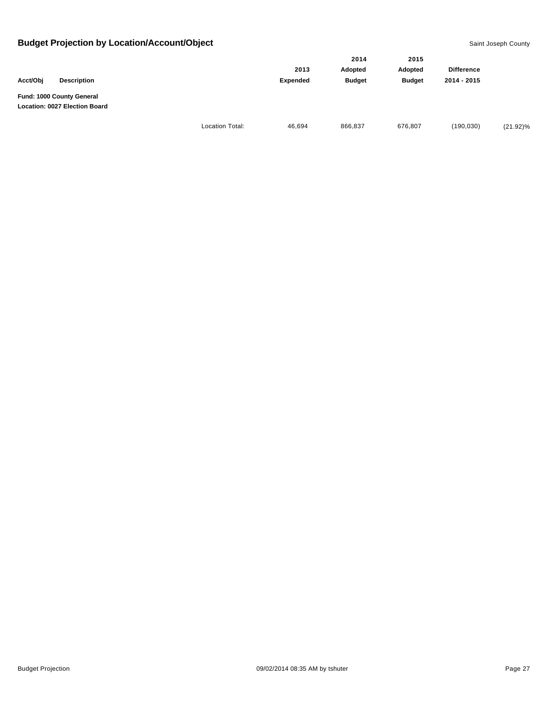|                                                            |                        |                         | 2014                     | 2015                     |                                  |             |
|------------------------------------------------------------|------------------------|-------------------------|--------------------------|--------------------------|----------------------------------|-------------|
| Acct/Obj<br><b>Description</b>                             |                        | 2013<br><b>Expended</b> | Adopted<br><b>Budget</b> | Adopted<br><b>Budget</b> | <b>Difference</b><br>2014 - 2015 |             |
| Fund: 1000 County General<br>Location: 0027 Election Board |                        |                         |                          |                          |                                  |             |
|                                                            | <b>Location Total:</b> | 46,694                  | 866,837                  | 676,807                  | (190, 030)                       | $(21.92)\%$ |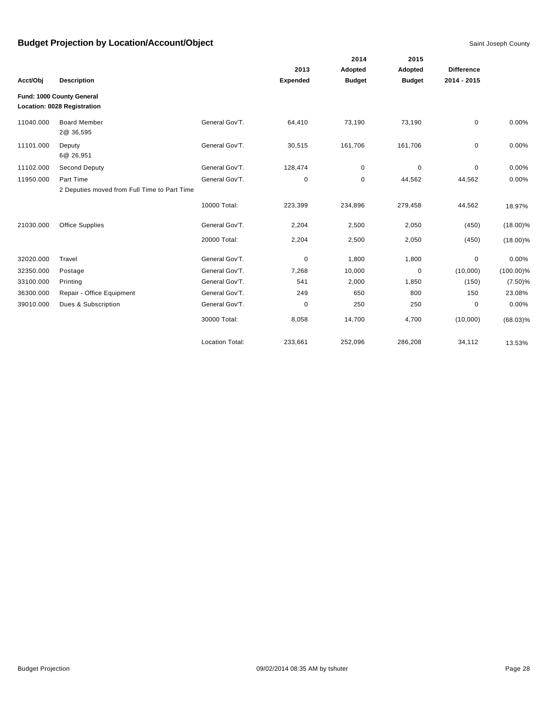|           |                                              |                        |                 | 2014          | 2015          |                   |              |
|-----------|----------------------------------------------|------------------------|-----------------|---------------|---------------|-------------------|--------------|
|           |                                              |                        | 2013            | Adopted       | Adopted       | <b>Difference</b> |              |
| Acct/Obj  | <b>Description</b>                           |                        | <b>Expended</b> | <b>Budget</b> | <b>Budget</b> | 2014 - 2015       |              |
|           | Fund: 1000 County General                    |                        |                 |               |               |                   |              |
|           | Location: 0028 Registration                  |                        |                 |               |               |                   |              |
| 11040.000 | <b>Board Member</b><br>2@ 36,595             | General Gov'T.         | 64,410          | 73,190        | 73,190        | $\mathbf 0$       | 0.00%        |
| 11101.000 | Deputy<br>6@ 26,951                          | General Gov'T.         | 30,515          | 161,706       | 161,706       | $\mathbf 0$       | 0.00%        |
| 11102.000 | Second Deputy                                | General Gov'T.         | 128,474         | $\mathbf 0$   | 0             | 0                 | 0.00%        |
| 11950.000 | Part Time                                    | General Gov'T.         | 0               | 0             | 44,562        | 44,562            | 0.00%        |
|           | 2 Deputies moved from Full Time to Part Time |                        |                 |               |               |                   |              |
|           |                                              | 10000 Total:           | 223,399         | 234,896       | 279,458       | 44,562            | 18.97%       |
| 21030.000 | <b>Office Supplies</b>                       | General Gov'T.         | 2,204           | 2,500         | 2,050         | (450)             | $(18.00)\%$  |
|           |                                              | 20000 Total:           | 2,204           | 2,500         | 2,050         | (450)             | $(18.00)\%$  |
| 32020.000 | Travel                                       | General Gov'T.         | 0               | 1,800         | 1,800         | 0                 | 0.00%        |
| 32350.000 | Postage                                      | General Gov'T.         | 7,268           | 10,000        | 0             | (10,000)          | $(100.00)\%$ |
| 33100.000 | Printing                                     | General Gov'T.         | 541             | 2,000         | 1,850         | (150)             | $(7.50)\%$   |
| 36300.000 | Repair - Office Equipment                    | General Gov'T.         | 249             | 650           | 800           | 150               | 23.08%       |
| 39010.000 | Dues & Subscription                          | General Gov'T.         | 0               | 250           | 250           | 0                 | 0.00%        |
|           |                                              | 30000 Total:           | 8,058           | 14,700        | 4,700         | (10,000)          | $(68.03)\%$  |
|           |                                              | <b>Location Total:</b> | 233,661         | 252,096       | 286,208       | 34,112            | 13.53%       |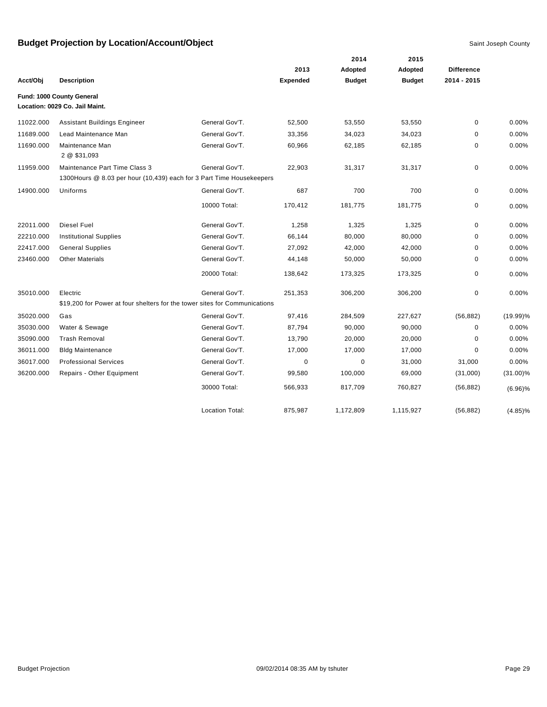|           |                                                                                                        |                        |                 | 2014          | 2015          |                   |             |
|-----------|--------------------------------------------------------------------------------------------------------|------------------------|-----------------|---------------|---------------|-------------------|-------------|
|           |                                                                                                        |                        | 2013            | Adopted       | Adopted       | <b>Difference</b> |             |
| Acct/Obj  | <b>Description</b>                                                                                     |                        | <b>Expended</b> | <b>Budget</b> | <b>Budget</b> | 2014 - 2015       |             |
|           | Fund: 1000 County General<br>Location: 0029 Co. Jail Maint.                                            |                        |                 |               |               |                   |             |
| 11022.000 | <b>Assistant Buildings Engineer</b>                                                                    | General Gov'T.         | 52,500          | 53,550        | 53,550        | 0                 | 0.00%       |
| 11689.000 | Lead Maintenance Man                                                                                   | General Gov'T.         | 33,356          | 34,023        | 34,023        | 0                 | 0.00%       |
| 11690.000 | Maintenance Man<br>2 @ \$31,093                                                                        | General Gov'T.         | 60,966          | 62,185        | 62,185        | 0                 | 0.00%       |
| 11959.000 | Maintenance Part Time Class 3<br>1300 Hours @ 8.03 per hour (10,439) each for 3 Part Time Housekeepers | General Gov'T.         | 22,903          | 31,317        | 31,317        | 0                 | 0.00%       |
| 14900.000 | Uniforms                                                                                               | General Gov'T.         | 687             | 700           | 700           | 0                 | 0.00%       |
|           |                                                                                                        | 10000 Total:           | 170,412         | 181,775       | 181,775       | 0                 | 0.00%       |
| 22011.000 | <b>Diesel Fuel</b>                                                                                     | General Gov'T.         | 1,258           | 1,325         | 1,325         | $\mathbf 0$       | 0.00%       |
| 22210.000 | <b>Institutional Supplies</b>                                                                          | General Gov'T.         | 66,144          | 80,000        | 80,000        | 0                 | 0.00%       |
| 22417.000 | <b>General Supplies</b>                                                                                | General Gov'T.         | 27,092          | 42,000        | 42,000        | 0                 | 0.00%       |
| 23460.000 | <b>Other Materials</b>                                                                                 | General Gov'T.         | 44,148          | 50,000        | 50,000        | 0                 | 0.00%       |
|           |                                                                                                        | 20000 Total:           | 138,642         | 173,325       | 173,325       | 0                 | 0.00%       |
| 35010.000 | Electric                                                                                               | General Gov'T.         | 251,353         | 306,200       | 306,200       | 0                 | 0.00%       |
|           | \$19,200 for Power at four shelters for the tower sites for Communications                             |                        |                 |               |               |                   |             |
| 35020.000 | Gas                                                                                                    | General Gov'T.         | 97,416          | 284,509       | 227,627       | (56, 882)         | (19.99)%    |
| 35030.000 | Water & Sewage                                                                                         | General Gov'T.         | 87,794          | 90,000        | 90,000        | 0                 | 0.00%       |
| 35090.000 | <b>Trash Removal</b>                                                                                   | General Gov'T.         | 13,790          | 20,000        | 20,000        | 0                 | 0.00%       |
| 36011.000 | <b>Bldg Maintenance</b>                                                                                | General Gov'T.         | 17,000          | 17,000        | 17,000        | $\Omega$          | 0.00%       |
| 36017.000 | <b>Professional Services</b>                                                                           | General Gov'T.         | 0               | 0             | 31,000        | 31,000            | 0.00%       |
| 36200.000 | Repairs - Other Equipment                                                                              | General Gov'T.         | 99,580          | 100,000       | 69,000        | (31,000)          | $(31.00)\%$ |
|           |                                                                                                        | 30000 Total:           | 566,933         | 817,709       | 760,827       | (56, 882)         | $(6.96)\%$  |
|           |                                                                                                        | <b>Location Total:</b> | 875,987         | 1,172,809     | 1,115,927     | (56, 882)         | $(4.85)\%$  |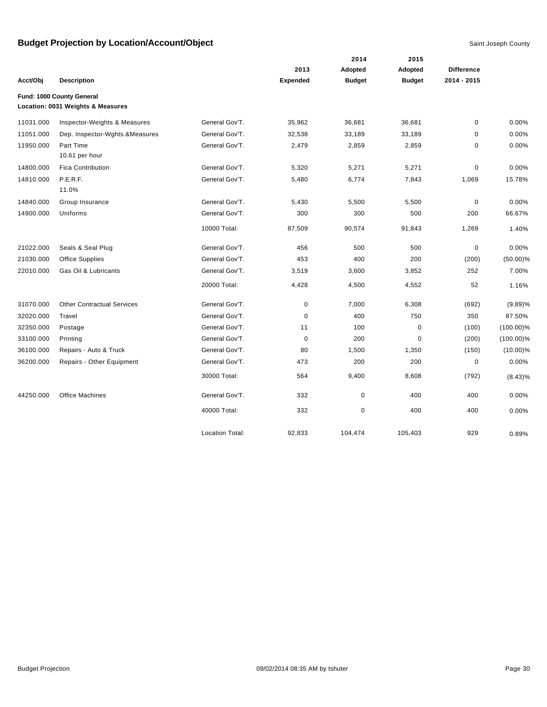|           |                                   |                        |                 | 2014          | 2015          |                   |              |
|-----------|-----------------------------------|------------------------|-----------------|---------------|---------------|-------------------|--------------|
|           |                                   |                        | 2013            | Adopted       | Adopted       | <b>Difference</b> |              |
| Acct/Obj  | <b>Description</b>                |                        | <b>Expended</b> | <b>Budget</b> | <b>Budget</b> | 2014 - 2015       |              |
|           | Fund: 1000 County General         |                        |                 |               |               |                   |              |
|           | Location: 0031 Weights & Measures |                        |                 |               |               |                   |              |
| 11031.000 | Inspector-Weights & Measures      | General Gov'T.         | 35,962          | 36,681        | 36,681        | $\mathbf 0$       | 0.00%        |
| 11051.000 | Dep. Inspector-Wghts.&Measures    | General Gov'T.         | 32,538          | 33,189        | 33,189        | $\mathbf 0$       | 0.00%        |
| 11950.000 | Part Time                         | General Gov'T.         | 2,479           | 2,859         | 2,859         | $\mathbf 0$       | 0.00%        |
|           | 10.61 per hour                    |                        |                 |               |               |                   |              |
| 14800.000 | <b>Fica Contribution</b>          | General Gov'T.         | 5,320           | 5,271         | 5,271         | $\pmb{0}$         | 0.00%        |
| 14810.000 | P.E.R.F.                          | General Gov'T.         | 5,480           | 6,774         | 7,843         | 1,069             | 15.78%       |
|           | 11.0%                             |                        |                 |               |               |                   |              |
| 14840.000 | Group Insurance                   | General Gov'T.         | 5,430           | 5,500         | 5,500         | $\mathbf 0$       | 0.00%        |
| 14900.000 | Uniforms                          | General Gov'T.         | 300             | 300           | 500           | 200               | 66.67%       |
|           |                                   | 10000 Total:           | 87,509          | 90,574        | 91,843        | 1,269             | 1.40%        |
| 21022.000 | Seals & Seal Plug                 | General Gov'T.         | 456             | 500           | 500           | $\mathbf 0$       | 0.00%        |
| 21030.000 | <b>Office Supplies</b>            | General Gov'T.         | 453             | 400           | 200           | (200)             | $(50.00)\%$  |
| 22010.000 | Gas Oil & Lubricants              | General Gov'T.         | 3,519           | 3,600         | 3,852         | 252               | 7.00%        |
|           |                                   | 20000 Total:           | 4,428           | 4,500         | 4,552         | 52                | 1.16%        |
| 31070.000 | <b>Other Contractual Services</b> | General Gov'T.         | $\mathbf 0$     | 7,000         | 6,308         | (692)             | $(9.89)\%$   |
| 32020.000 | Travel                            | General Gov'T.         | $\mathbf 0$     | 400           | 750           | 350               | 87.50%       |
| 32350.000 | Postage                           | General Gov'T.         | 11              | 100           | $\mathbf 0$   | (100)             | $(100.00)\%$ |
| 33100.000 | Printing                          | General Gov'T.         | $\mathbf 0$     | 200           | $\mathbf 0$   | (200)             | $(100.00)\%$ |
| 36100.000 | Repairs - Auto & Truck            | General Gov'T.         | 80              | 1,500         | 1,350         | (150)             | $(10.00)\%$  |
| 36200.000 | Repairs - Other Equipment         | General Gov'T.         | 473             | 200           | 200           | $\mathbf 0$       | 0.00%        |
|           |                                   | 30000 Total:           | 564             | 9,400         | 8,608         | (792)             | $(8.43)\%$   |
| 44250.000 | <b>Office Machines</b>            | General Gov'T.         | 332             | $\pmb{0}$     | 400           | 400               | 0.00%        |
|           |                                   | 40000 Total:           | 332             | $\pmb{0}$     | 400           | 400               | 0.00%        |
|           |                                   | <b>Location Total:</b> | 92,833          | 104,474       | 105,403       | 929               | 0.89%        |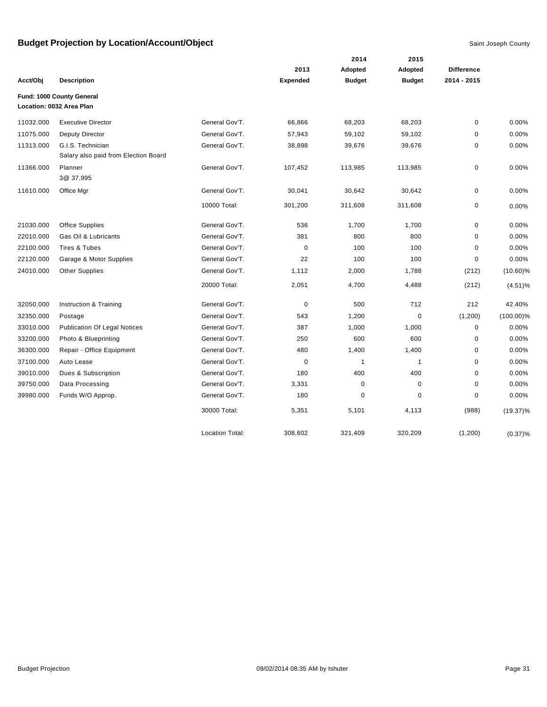|           |                                      |                        |                 | 2014          | 2015          |                   |              |
|-----------|--------------------------------------|------------------------|-----------------|---------------|---------------|-------------------|--------------|
|           |                                      |                        | 2013            | Adopted       | Adopted       | <b>Difference</b> |              |
| Acct/Obj  | <b>Description</b>                   |                        | <b>Expended</b> | <b>Budget</b> | <b>Budget</b> | 2014 - 2015       |              |
|           | Fund: 1000 County General            |                        |                 |               |               |                   |              |
|           | Location: 0032 Area Plan             |                        |                 |               |               |                   |              |
| 11032.000 | <b>Executive Director</b>            | General Gov'T.         | 66,866          | 68,203        | 68,203        | $\mathbf 0$       | 0.00%        |
| 11075.000 | Deputy Director                      | General Gov'T.         | 57,943          | 59,102        | 59,102        | $\pmb{0}$         | 0.00%        |
| 11313.000 | G.I.S. Technician                    | General Gov'T.         | 38,898          | 39,676        | 39,676        | $\mathbf 0$       | 0.00%        |
|           | Salary also paid from Election Board |                        |                 |               |               |                   |              |
| 11366.000 | Planner<br>3@ 37,995                 | General Gov'T.         | 107,452         | 113,985       | 113,985       | 0                 | 0.00%        |
| 11610.000 | Office Mgr                           | General Gov'T.         | 30,041          | 30,642        | 30,642        | $\mathbf 0$       | 0.00%        |
|           |                                      | 10000 Total:           | 301,200         | 311,608       | 311,608       | $\mathbf 0$       | 0.00%        |
| 21030.000 | <b>Office Supplies</b>               | General Gov'T.         | 536             | 1,700         | 1,700         | $\mathbf 0$       | 0.00%        |
| 22010.000 | Gas Oil & Lubricants                 | General Gov'T.         | 381             | 800           | 800           | 0                 | 0.00%        |
| 22100.000 | <b>Tires &amp; Tubes</b>             | General Gov'T.         | $\mathbf 0$     | 100           | 100           | $\mathbf 0$       | 0.00%        |
| 22120.000 | Garage & Motor Supplies              | General Gov'T.         | 22              | 100           | 100           | $\mathbf 0$       | 0.00%        |
| 24010.000 | Other Supplies                       | General Gov'T.         | 1,112           | 2,000         | 1,788         | (212)             | $(10.60)\%$  |
|           |                                      | 20000 Total:           | 2,051           | 4,700         | 4,488         | (212)             | (4.51)%      |
| 32050.000 | Instruction & Training               | General Gov'T.         | $\mathbf 0$     | 500           | 712           | 212               | 42.40%       |
| 32350.000 | Postage                              | General Gov'T.         | 543             | 1,200         | 0             | (1,200)           | $(100.00)\%$ |
| 33010.000 | <b>Publication Of Legal Notices</b>  | General Gov'T.         | 387             | 1,000         | 1,000         | $\pmb{0}$         | 0.00%        |
| 33200.000 | Photo & Blueprinting                 | General Gov'T.         | 250             | 600           | 600           | 0                 | 0.00%        |
| 36300.000 | Repair - Office Equipment            | General Gov'T.         | 480             | 1,400         | 1,400         | $\mathbf 0$       | 0.00%        |
| 37100.000 | Auto Lease                           | General Gov'T.         | $\mathbf 0$     | $\mathbf{1}$  | $\mathbf{1}$  | $\mathbf 0$       | 0.00%        |
| 39010.000 | Dues & Subscription                  | General Gov'T.         | 180             | 400           | 400           | $\mathbf 0$       | 0.00%        |
| 39750.000 | Data Processing                      | General Gov'T.         | 3,331           | 0             | 0             | $\pmb{0}$         | 0.00%        |
| 39980.000 | Funds W/O Approp.                    | General Gov'T.         | 180             | $\mathbf 0$   | 0             | $\pmb{0}$         | 0.00%        |
|           |                                      | 30000 Total:           | 5,351           | 5,101         | 4,113         | (988)             | $(19.37)\%$  |
|           |                                      | <b>Location Total:</b> | 308,602         | 321,409       | 320,209       | (1,200)           | $(0.37)\%$   |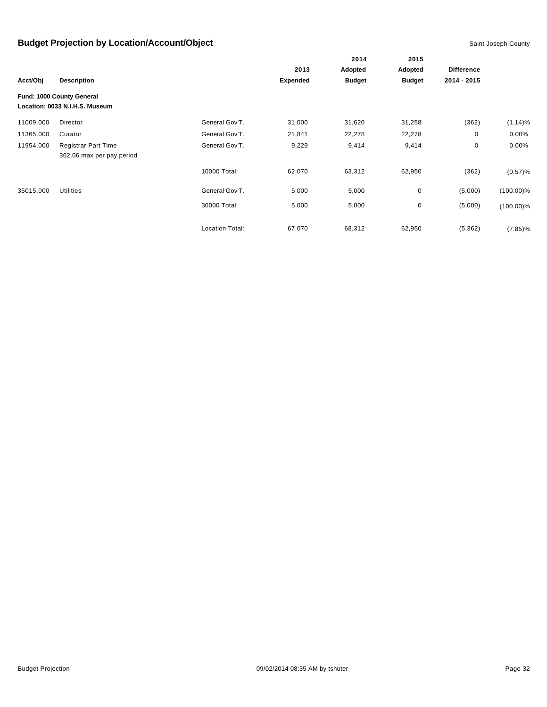|           |                                                             |                        |                 | 2014          | 2015          |                   |              |
|-----------|-------------------------------------------------------------|------------------------|-----------------|---------------|---------------|-------------------|--------------|
|           |                                                             |                        | 2013            |               | Adopted       | <b>Difference</b> |              |
| Acct/Obj  | <b>Description</b>                                          |                        | <b>Expended</b> | <b>Budget</b> | <b>Budget</b> | 2014 - 2015       |              |
|           | Fund: 1000 County General<br>Location: 0033 N.I.H.S. Museum |                        |                 |               |               |                   |              |
| 11009.000 | Director                                                    | General Gov'T.         | 31,000          | 31,620        | 31,258        | (362)             | $(1.14)\%$   |
| 11365.000 | Curator                                                     | General Gov'T.         | 21,841          | 22,278        | 22,278        | 0                 | $0.00\%$     |
| 11954.000 | <b>Registrar Part Time</b>                                  | General Gov'T.         | 9,229           | 9,414         | 9,414         | 0                 | 0.00%        |
|           | 362.06 max per pay period                                   |                        |                 |               |               |                   |              |
|           |                                                             | 10000 Total:           | 62,070          | 63,312        | 62,950        | (362)             | (0.57)%      |
| 35015.000 | <b>Utilities</b>                                            | General Gov'T.         | 5,000           | 5,000         | $\mathbf 0$   | (5,000)           | $(100.00)\%$ |
|           |                                                             | 30000 Total:           | 5,000           | 5,000         | 0             | (5,000)           | $(100.00)\%$ |
|           |                                                             | <b>Location Total:</b> | 67,070          | 68,312        | 62,950        | (5, 362)          | $(7.85)\%$   |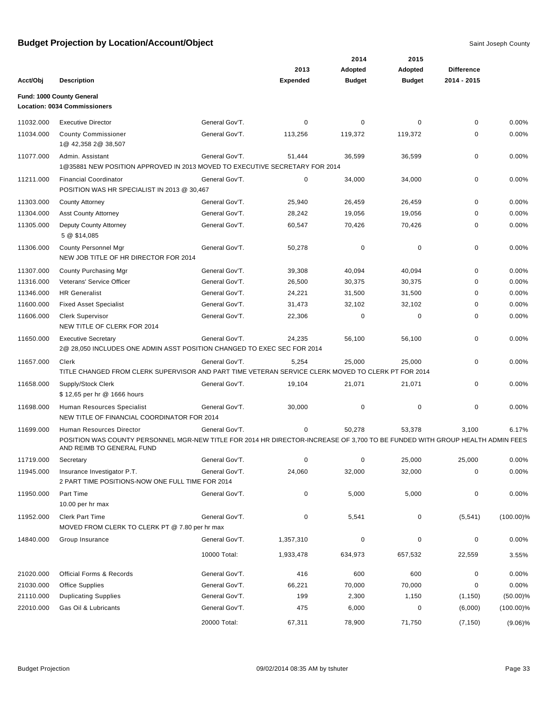|           |                                                                                                                                                           |                |                 | 2014          | 2015          |                   |              |
|-----------|-----------------------------------------------------------------------------------------------------------------------------------------------------------|----------------|-----------------|---------------|---------------|-------------------|--------------|
|           |                                                                                                                                                           |                | 2013            | Adopted       | Adopted       | <b>Difference</b> |              |
| Acct/Obj  | <b>Description</b>                                                                                                                                        |                | <b>Expended</b> | <b>Budget</b> | <b>Budget</b> | 2014 - 2015       |              |
|           | Fund: 1000 County General<br><b>Location: 0034 Commissioners</b>                                                                                          |                |                 |               |               |                   |              |
| 11032.000 | <b>Executive Director</b>                                                                                                                                 | General Gov'T. | 0               | 0             | 0             | 0                 | 0.00%        |
| 11034.000 | <b>County Commissioner</b>                                                                                                                                | General Gov'T. | 113,256         | 119,372       | 119,372       | 0                 | 0.00%        |
|           | 1@ 42,358 2@ 38,507                                                                                                                                       |                |                 |               |               |                   |              |
| 11077.000 | Admin. Assistant<br>1@35881 NEW POSITION APPROVED IN 2013 MOVED TO EXECUTIVE SECRETARY FOR 2014                                                           | General Gov'T. | 51,444          | 36,599        | 36,599        | 0                 | 0.00%        |
| 11211.000 | <b>Financial Coordinator</b><br>POSITION WAS HR SPECIALIST IN 2013 @ 30,467                                                                               | General Gov'T. | 0               | 34,000        | 34,000        | 0                 | 0.00%        |
| 11303.000 | <b>County Attorney</b>                                                                                                                                    | General Gov'T. | 25,940          | 26,459        | 26,459        | 0                 | 0.00%        |
| 11304.000 | <b>Asst County Attorney</b>                                                                                                                               | General Gov'T. | 28,242          | 19,056        | 19,056        | 0                 | 0.00%        |
| 11305.000 | Deputy County Attorney<br>5 @ \$14,085                                                                                                                    | General Gov'T. | 60,547          | 70,426        | 70,426        | 0                 | 0.00%        |
| 11306.000 | <b>County Personnel Mgr</b><br>NEW JOB TITLE OF HR DIRECTOR FOR 2014                                                                                      | General Gov'T. | 50,278          | 0             | 0             | 0                 | 0.00%        |
| 11307.000 | County Purchasing Mgr                                                                                                                                     | General Gov'T. | 39,308          | 40,094        | 40,094        | 0                 | 0.00%        |
| 11316.000 | Veterans' Service Officer                                                                                                                                 | General Gov'T. | 26,500          | 30,375        | 30,375        | 0                 | 0.00%        |
| 11346.000 | <b>HR Generalist</b>                                                                                                                                      | General Gov'T. | 24,221          | 31,500        | 31,500        | 0                 | 0.00%        |
| 11600.000 | <b>Fixed Asset Specialist</b>                                                                                                                             | General Gov'T. | 31,473          | 32,102        | 32,102        | 0                 | 0.00%        |
| 11606.000 | <b>Clerk Supervisor</b><br>NEW TITLE OF CLERK FOR 2014                                                                                                    | General Gov'T. | 22,306          | 0             | 0             | 0                 | 0.00%        |
| 11650.000 | <b>Executive Secretary</b><br>2@ 28,050 INCLUDES ONE ADMIN ASST POSITION CHANGED TO EXEC SEC FOR 2014                                                     | General Gov'T. | 24,235          | 56,100        | 56,100        | 0                 | 0.00%        |
| 11657.000 | Clerk                                                                                                                                                     | General Gov'T. | 5,254           | 25,000        | 25,000        | 0                 | 0.00%        |
|           | TITLE CHANGED FROM CLERK SUPERVISOR AND PART TIME VETERAN SERVICE CLERK MOVED TO CLERK PT FOR 2014                                                        |                |                 |               |               |                   |              |
| 11658.000 | Supply/Stock Clerk<br>\$12,65 per hr @ 1666 hours                                                                                                         | General Gov'T. | 19,104          | 21,071        | 21,071        | 0                 | 0.00%        |
| 11698.000 | Human Resources Specialist<br>NEW TITLE OF FINANCIAL COORDINATOR FOR 2014                                                                                 | General Gov'T. | 30,000          | 0             | 0             | 0                 | 0.00%        |
| 11699.000 | Human Resources Director                                                                                                                                  | General Gov'T. | 0               | 50,278        | 53,378        | 3,100             | 6.17%        |
|           | POSITION WAS COUNTY PERSONNEL MGR-NEW TITLE FOR 2014 HR DIRECTOR-INCREASE OF 3,700 TO BE FUNDED WITH GROUP HEALTH ADMIN FEES<br>AND REIMB TO GENERAL FUND |                |                 |               |               |                   |              |
| 11719.000 | Secretary                                                                                                                                                 | General Gov'T. | 0               | 0             | 25,000        | 25,000            | 0.00%        |
| 11945.000 | Insurance Investigator P.T.<br>2 PART TIME POSITIONS-NOW ONE FULL TIME FOR 2014                                                                           | General Gov'T. | 24,060          | 32,000        | 32,000        | 0                 | 0.00%        |
| 11950.000 | Part Time<br>10.00 per hr max                                                                                                                             | General Gov'T. | 0               | 5,000         | 5,000         | 0                 | 0.00%        |
| 11952.000 | <b>Clerk Part Time</b><br>MOVED FROM CLERK TO CLERK PT @ 7.80 per hr max                                                                                  | General Gov'T. | 0               | 5,541         | 0             | (5, 541)          | $(100.00)\%$ |
| 14840.000 | Group Insurance                                                                                                                                           | General Gov'T. | 1,357,310       | 0             | 0             | 0                 | 0.00%        |
|           |                                                                                                                                                           | 10000 Total:   | 1,933,478       | 634,973       | 657,532       | 22,559            | 3.55%        |
| 21020.000 | <b>Official Forms &amp; Records</b>                                                                                                                       | General Gov'T. | 416             | 600           | 600           | 0                 | 0.00%        |
| 21030.000 | <b>Office Supplies</b>                                                                                                                                    | General Gov'T. | 66,221          | 70,000        | 70,000        | 0                 | 0.00%        |
| 21110.000 | <b>Duplicating Supplies</b>                                                                                                                               | General Gov'T. | 199             | 2,300         | 1,150         | (1, 150)          | $(50.00)\%$  |
| 22010.000 | Gas Oil & Lubricants                                                                                                                                      | General Gov'T. | 475             | 6,000         | 0             | (6,000)           | $(100.00)\%$ |
|           |                                                                                                                                                           | 20000 Total:   | 67,311          | 78,900        | 71,750        | (7, 150)          | $(9.06)\%$   |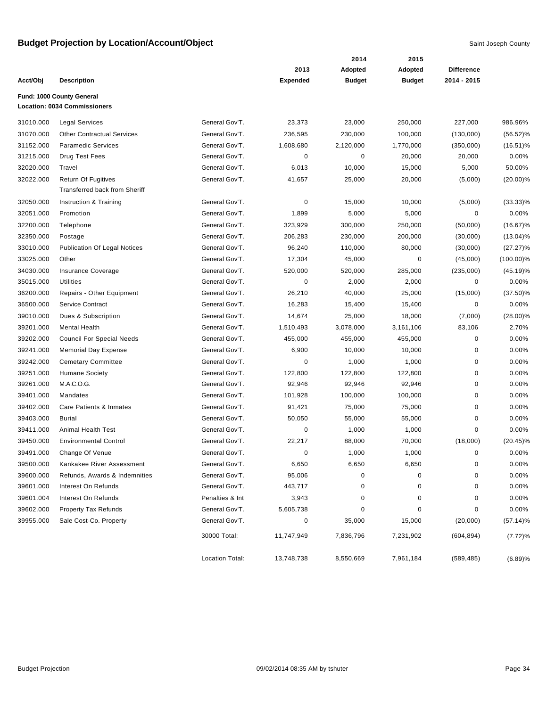|           |                                      |                 |                 | 2014          | 2015          |                   |              |
|-----------|--------------------------------------|-----------------|-----------------|---------------|---------------|-------------------|--------------|
|           |                                      |                 | 2013            | Adopted       | Adopted       | <b>Difference</b> |              |
| Acct/Obj  | <b>Description</b>                   |                 | <b>Expended</b> | <b>Budget</b> | <b>Budget</b> | 2014 - 2015       |              |
|           | Fund: 1000 County General            |                 |                 |               |               |                   |              |
|           | <b>Location: 0034 Commissioners</b>  |                 |                 |               |               |                   |              |
| 31010.000 | <b>Legal Services</b>                | General Gov'T.  | 23,373          | 23,000        | 250,000       | 227,000           | 986.96%      |
| 31070.000 | <b>Other Contractual Services</b>    | General Gov'T.  | 236,595         | 230,000       | 100,000       | (130,000)         | $(56.52)\%$  |
| 31152.000 | <b>Paramedic Services</b>            | General Gov'T.  | 1,608,680       | 2,120,000     | 1,770,000     | (350,000)         | $(16.51)\%$  |
| 31215.000 | Drug Test Fees                       | General Gov'T.  | $\pmb{0}$       | $\pmb{0}$     | 20,000        | 20,000            | 0.00%        |
| 32020.000 | Travel                               | General Gov'T.  | 6,013           | 10,000        | 15,000        | 5,000             | 50.00%       |
| 32022.000 | <b>Return Of Fugitives</b>           | General Gov'T.  | 41,657          | 25,000        | 20,000        | (5,000)           | $(20.00)\%$  |
|           | <b>Transferred back from Sheriff</b> |                 |                 |               |               |                   |              |
| 32050.000 | Instruction & Training               | General Gov'T.  | $\mathbf 0$     | 15,000        | 10,000        | (5,000)           | $(33.33)\%$  |
| 32051.000 | Promotion                            | General Gov'T.  | 1,899           | 5,000         | 5,000         | 0                 | 0.00%        |
| 32200.000 | Telephone                            | General Gov'T.  | 323,929         | 300,000       | 250,000       | (50,000)          | $(16.67)\%$  |
| 32350.000 | Postage                              | General Gov'T.  | 206,283         | 230,000       | 200,000       | (30,000)          | $(13.04)\%$  |
| 33010.000 | <b>Publication Of Legal Notices</b>  | General Gov'T.  | 96,240          | 110,000       | 80,000        | (30,000)          | $(27.27)\%$  |
| 33025.000 | Other                                | General Gov'T.  | 17,304          | 45,000        | 0             | (45,000)          | $(100.00)\%$ |
| 34030.000 | Insurance Coverage                   | General Gov'T.  | 520,000         | 520,000       | 285,000       | (235,000)         | $(45.19)\%$  |
| 35015.000 | <b>Utilities</b>                     | General Gov'T.  | $\pmb{0}$       | 2,000         | 2,000         | $\pmb{0}$         | 0.00%        |
| 36200.000 | Repairs - Other Equipment            | General Gov'T.  | 26,210          | 40,000        | 25,000        | (15,000)          | $(37.50)\%$  |
| 36500.000 | Service Contract                     | General Gov'T.  | 16,283          | 15,400        | 15,400        | $\pmb{0}$         | 0.00%        |
| 39010.000 | Dues & Subscription                  | General Gov'T.  | 14,674          | 25,000        | 18,000        | (7,000)           | $(28.00)\%$  |
| 39201.000 | <b>Mental Health</b>                 | General Gov'T.  | 1,510,493       | 3,078,000     | 3,161,106     | 83,106            | 2.70%        |
| 39202.000 | <b>Council For Special Needs</b>     | General Gov'T.  | 455,000         | 455,000       | 455,000       | $\pmb{0}$         | 0.00%        |
| 39241.000 | <b>Memorial Day Expense</b>          | General Gov'T.  | 6,900           | 10,000        | 10,000        | 0                 | 0.00%        |
| 39242.000 | <b>Cemetary Committee</b>            | General Gov'T.  | 0               | 1,000         | 1,000         | 0                 | 0.00%        |
| 39251.000 | <b>Humane Society</b>                | General Gov'T.  | 122,800         | 122,800       | 122,800       | 0                 | 0.00%        |
| 39261.000 | M.A.C.O.G.                           | General Gov'T.  | 92,946          | 92,946        | 92,946        | 0                 | 0.00%        |
| 39401.000 | Mandates                             | General Gov'T.  | 101,928         | 100,000       | 100,000       | 0                 | 0.00%        |
| 39402.000 | Care Patients & Inmates              | General Gov'T.  | 91,421          | 75,000        | 75,000        | 0                 | 0.00%        |
| 39403.000 | <b>Burial</b>                        | General Gov'T.  | 50,050          | 55,000        | 55,000        | 0                 | 0.00%        |
| 39411.000 | <b>Animal Health Test</b>            | General Gov'T.  | 0               | 1,000         | 1,000         | 0                 | 0.00%        |
| 39450.000 | <b>Environmental Control</b>         | General Gov'T.  | 22,217          | 88,000        | 70,000        | (18,000)          | $(20.45)\%$  |
| 39491.000 | Change Of Venue                      | General Gov'T.  | $\mathbf 0$     | 1,000         | 1,000         | 0                 | 0.00%        |
| 39500.000 | Kankakee River Assessment            | General Gov'T.  | 6,650           | 6,650         | 6,650         | 0                 | 0.00%        |
| 39600.000 | Refunds, Awards & Indemnities        | General Gov'T.  | 95,006          | 0             | 0             | 0                 | 0.00%        |
| 39601.000 | Interest On Refunds                  | General Gov'T.  | 443,717         | 0             | 0             | 0                 | 0.00%        |
| 39601.004 | Interest On Refunds                  | Penalties & Int | 3,943           | 0             | 0             | 0                 | 0.00%        |
| 39602.000 | <b>Property Tax Refunds</b>          | General Gov'T.  | 5,605,738       | 0             | 0             | 0                 | 0.00%        |
| 39955.000 | Sale Cost-Co. Property               | General Gov'T.  | 0               | 35,000        | 15,000        | (20,000)          | $(57.14)\%$  |
|           |                                      | 30000 Total:    | 11,747,949      | 7,836,796     | 7,231,902     | (604, 894)        | (7.72)%      |
|           |                                      | Location Total: | 13,748,738      | 8,550,669     | 7,961,184     | (589, 485)        | (6.89)%      |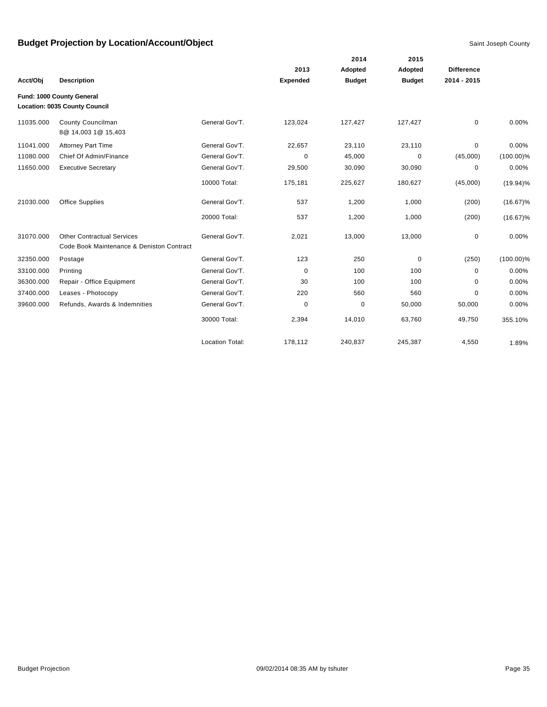|           |                                                                                |                        |                 | 2014          | 2015          |                   |              |
|-----------|--------------------------------------------------------------------------------|------------------------|-----------------|---------------|---------------|-------------------|--------------|
|           |                                                                                |                        | 2013            | Adopted       | Adopted       | <b>Difference</b> |              |
| Acct/Obj  | <b>Description</b>                                                             |                        | <b>Expended</b> | <b>Budget</b> | <b>Budget</b> | 2014 - 2015       |              |
|           | Fund: 1000 County General                                                      |                        |                 |               |               |                   |              |
|           | Location: 0035 County Council                                                  |                        |                 |               |               |                   |              |
| 11035.000 | County Councilman<br>8@ 14,003 1@ 15,403                                       | General Gov'T.         | 123,024         | 127,427       | 127,427       | 0                 | 0.00%        |
| 11041.000 | <b>Attorney Part Time</b>                                                      | General Gov'T.         | 22,657          | 23,110        | 23,110        | 0                 | 0.00%        |
| 11080.000 | Chief Of Admin/Finance                                                         | General Gov'T.         | 0               | 45,000        | 0             | (45,000)          | $(100.00)\%$ |
| 11650.000 | <b>Executive Secretary</b>                                                     | General Gov'T.         | 29,500          | 30,090        | 30,090        | $\pmb{0}$         | 0.00%        |
|           |                                                                                | 10000 Total:           | 175,181         | 225,627       | 180,627       | (45,000)          | $(19.94)\%$  |
| 21030.000 | <b>Office Supplies</b>                                                         | General Gov'T.         | 537             | 1,200         | 1,000         | (200)             | $(16.67)\%$  |
|           |                                                                                | 20000 Total:           | 537             | 1,200         | 1,000         | (200)             | $(16.67)\%$  |
| 31070.000 | <b>Other Contractual Services</b><br>Code Book Maintenance & Deniston Contract | General Gov'T.         | 2,021           | 13,000        | 13,000        | 0                 | 0.00%        |
| 32350.000 | Postage                                                                        | General Gov'T.         | 123             | 250           | 0             | (250)             | $(100.00)\%$ |
| 33100.000 | Printing                                                                       | General Gov'T.         | $\mathbf 0$     | 100           | 100           | 0                 | 0.00%        |
| 36300.000 | Repair - Office Equipment                                                      | General Gov'T.         | 30              | 100           | 100           | 0                 | 0.00%        |
| 37400.000 | Leases - Photocopy                                                             | General Gov'T.         | 220             | 560           | 560           | $\Omega$          | 0.00%        |
| 39600.000 | Refunds, Awards & Indemnities                                                  | General Gov'T.         | 0               | $\mathbf 0$   | 50,000        | 50,000            | 0.00%        |
|           |                                                                                | 30000 Total:           | 2,394           | 14,010        | 63,760        | 49,750            | 355.10%      |
|           |                                                                                | <b>Location Total:</b> | 178,112         | 240,837       | 245,387       | 4,550             | 1.89%        |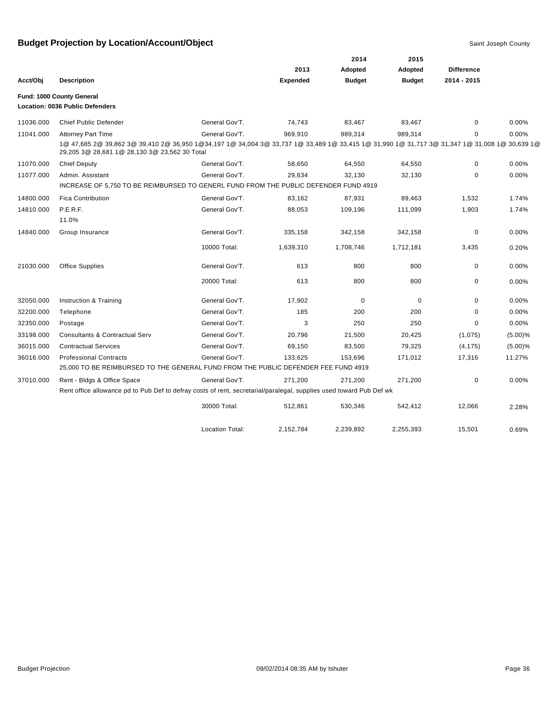|           |                                                                                                                                                                                                |                        |                 | 2014          | 2015          |                   |            |
|-----------|------------------------------------------------------------------------------------------------------------------------------------------------------------------------------------------------|------------------------|-----------------|---------------|---------------|-------------------|------------|
|           |                                                                                                                                                                                                |                        | 2013            | Adopted       | Adopted       | <b>Difference</b> |            |
| Acct/Obi  | <b>Description</b>                                                                                                                                                                             |                        | <b>Expended</b> | <b>Budget</b> | <b>Budget</b> | 2014 - 2015       |            |
|           | Fund: 1000 County General                                                                                                                                                                      |                        |                 |               |               |                   |            |
|           | Location: 0036 Public Defenders                                                                                                                                                                |                        |                 |               |               |                   |            |
| 11036.000 | <b>Chief Public Defender</b>                                                                                                                                                                   | General Gov'T.         | 74,743          | 83,467        | 83,467        | 0                 | 0.00%      |
| 11041.000 | <b>Attorney Part Time</b>                                                                                                                                                                      | General Gov'T.         | 969,910         | 989,314       | 989,314       | 0                 | 0.00%      |
|           | 1@ 47,685 2@ 39,862 3@ 39,410 2@ 36,950 1@34,197 1@ 34,004 3@ 33,737 1@ 33,489 1@ 33,415 1@ 31,990 1@ 31,717 3@ 31,347 1@ 31,008 1@ 30,639 1@<br>29,205 3@ 28,681 1@ 28,130 3@ 23,562 30 Total |                        |                 |               |               |                   |            |
| 11070.000 | <b>Chief Deputy</b>                                                                                                                                                                            | General Gov'T.         | 58,650          | 64,550        | 64,550        | 0                 | 0.00%      |
| 11077.000 | Admin. Assistant                                                                                                                                                                               | General Gov'T.         | 29,634          | 32,130        | 32,130        | 0                 | 0.00%      |
|           | INCREASE OF 5,750 TO BE REIMBURSED TO GENERL FUND FROM THE PUBLIC DEFENDER FUND 4919                                                                                                           |                        |                 |               |               |                   |            |
| 14800.000 | <b>Fica Contribution</b>                                                                                                                                                                       | General Gov'T.         | 83,162          | 87,931        | 89,463        | 1,532             | 1.74%      |
| 14810.000 | P.E.R.F.                                                                                                                                                                                       | General Gov'T.         | 88,053          | 109,196       | 111,099       | 1,903             | 1.74%      |
|           | 11.0%                                                                                                                                                                                          |                        |                 |               |               |                   |            |
| 14840.000 | Group Insurance                                                                                                                                                                                | General Gov'T.         | 335,158         | 342,158       | 342,158       | $\mathbf 0$       | 0.00%      |
|           |                                                                                                                                                                                                | 10000 Total:           | 1,639,310       | 1,708,746     | 1,712,181     | 3,435             | 0.20%      |
| 21030.000 | <b>Office Supplies</b>                                                                                                                                                                         | General Gov'T.         | 613             | 800           | 800           | $\mathbf 0$       | 0.00%      |
|           |                                                                                                                                                                                                | 20000 Total:           | 613             | 800           | 800           | $\mathbf 0$       | 0.00%      |
| 32050.000 | Instruction & Training                                                                                                                                                                         | General Gov'T.         | 17,902          | 0             | 0             | $\mathbf 0$       | 0.00%      |
| 32200.000 | Telephone                                                                                                                                                                                      | General Gov'T.         | 185             | 200           | 200           | 0                 | 0.00%      |
| 32350.000 | Postage                                                                                                                                                                                        | General Gov'T.         | 3               | 250           | 250           | 0                 | 0.00%      |
| 33198.000 | <b>Consultants &amp; Contractual Serv</b>                                                                                                                                                      | General Gov'T.         | 20,796          | 21,500        | 20,425        | (1,075)           | $(5.00)\%$ |
| 36015.000 | <b>Contractual Services</b>                                                                                                                                                                    | General Gov'T.         | 69,150          | 83,500        | 79,325        | (4, 175)          | $(5.00)\%$ |
| 36016.000 | <b>Professional Contracts</b>                                                                                                                                                                  | General Gov'T.         | 133,625         | 153,696       | 171,012       | 17,316            | 11.27%     |
|           | 25,000 TO BE REIMBURSED TO THE GENERAL FUND FROM THE PUBLIC DEFENDER FEE FUND 4919                                                                                                             |                        |                 |               |               |                   |            |
| 37010.000 | Rent - Bldgs & Office Space                                                                                                                                                                    | General Gov'T.         | 271,200         | 271,200       | 271,200       | $\mathbf 0$       | 0.00%      |
|           | Rent office allowance pd to Pub Def to defray costs of rent, secretarial/paralegal, supplies used toward Pub Def wk                                                                            |                        |                 |               |               |                   |            |
|           |                                                                                                                                                                                                | 30000 Total:           | 512,861         | 530,346       | 542,412       | 12,066            | 2.28%      |
|           |                                                                                                                                                                                                | <b>Location Total:</b> | 2,152,784       | 2,239,892     | 2,255,393     | 15,501            | 0.69%      |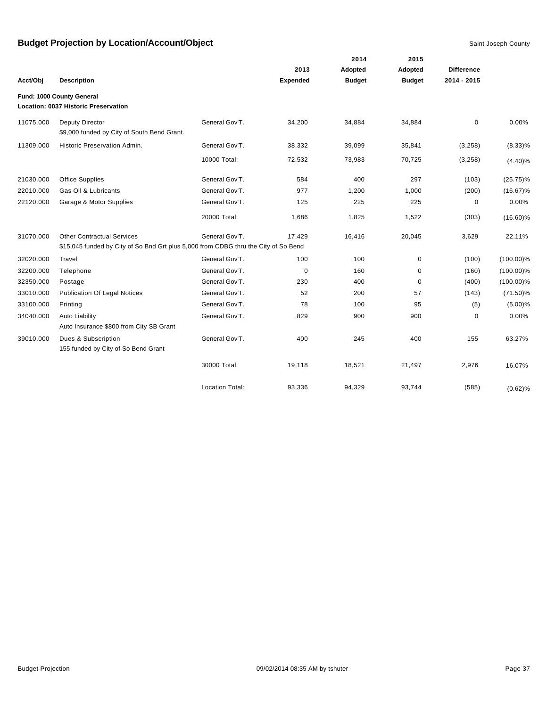|           |                                                                                     |                        |                 |               | 2015          |                   |              |
|-----------|-------------------------------------------------------------------------------------|------------------------|-----------------|---------------|---------------|-------------------|--------------|
|           |                                                                                     |                        | 2013            | Adopted       | Adopted       | <b>Difference</b> |              |
| Acct/Obj  | <b>Description</b>                                                                  |                        | <b>Expended</b> | <b>Budget</b> | <b>Budget</b> | 2014 - 2015       |              |
|           | Fund: 1000 County General<br>Location: 0037 Historic Preservation                   |                        |                 |               |               |                   |              |
|           |                                                                                     |                        |                 |               |               |                   |              |
| 11075.000 | Deputy Director<br>\$9,000 funded by City of South Bend Grant.                      | General Gov'T.         | 34,200          | 34,884        | 34,884        | $\mathbf 0$       | 0.00%        |
| 11309.000 | Historic Preservation Admin.                                                        | General Gov'T.         | 38,332          | 39,099        | 35,841        | (3,258)           | $(8.33)\%$   |
|           |                                                                                     | 10000 Total:           | 72,532          | 73,983        | 70,725        | (3,258)           | $(4.40)\%$   |
| 21030.000 | <b>Office Supplies</b>                                                              | General Gov'T.         | 584             | 400           | 297           | (103)             | $(25.75)\%$  |
| 22010.000 | Gas Oil & Lubricants                                                                | General Gov'T.         | 977             | 1,200         | 1,000         | (200)             | $(16.67)\%$  |
| 22120.000 | Garage & Motor Supplies                                                             | General Gov'T.         | 125             | 225           | 225           | 0                 | 0.00%        |
|           |                                                                                     | 20000 Total:           | 1,686           | 1,825         | 1,522         | (303)             | $(16.60)\%$  |
| 31070.000 | <b>Other Contractual Services</b>                                                   | General Gov'T.         | 17,429          | 16,416        | 20,045        | 3,629             | 22.11%       |
|           | \$15,045 funded by City of So Bnd Grt plus 5,000 from CDBG thru the City of So Bend |                        |                 |               |               |                   |              |
| 32020.000 | Travel                                                                              | General Gov'T.         | 100             | 100           | 0             | (100)             | $(100.00)\%$ |
| 32200.000 | Telephone                                                                           | General Gov'T.         | $\mathbf 0$     | 160           | 0             | (160)             | $(100.00)\%$ |
| 32350.000 | Postage                                                                             | General Gov'T.         | 230             | 400           | 0             | (400)             | $(100.00)\%$ |
| 33010.000 | <b>Publication Of Legal Notices</b>                                                 | General Gov'T.         | 52              | 200           | 57            | (143)             | $(71.50)\%$  |
| 33100.000 | Printing                                                                            | General Gov'T.         | 78              | 100           | 95            | (5)               | $(5.00)\%$   |
| 34040.000 | <b>Auto Liability</b>                                                               | General Gov'T.         | 829             | 900           | 900           | 0                 | 0.00%        |
|           | Auto Insurance \$800 from City SB Grant                                             |                        |                 |               |               |                   |              |
| 39010.000 | Dues & Subscription<br>155 funded by City of So Bend Grant                          | General Gov'T.         | 400             | 245           | 400           | 155               | 63.27%       |
|           |                                                                                     | 30000 Total:           | 19,118          | 18,521        | 21,497        | 2,976             | 16.07%       |
|           |                                                                                     | <b>Location Total:</b> | 93,336          | 94,329        | 93,744        | (585)             | (0.62)%      |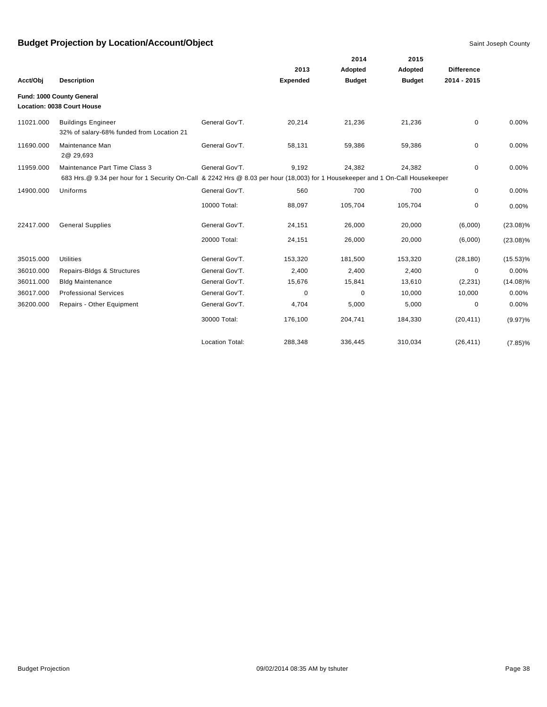|           |                                                                                                                                 |                        |                 | 2014          | 2015          |                   |             |
|-----------|---------------------------------------------------------------------------------------------------------------------------------|------------------------|-----------------|---------------|---------------|-------------------|-------------|
|           |                                                                                                                                 |                        | 2013            | Adopted       | Adopted       | <b>Difference</b> |             |
| Acct/Obj  | <b>Description</b>                                                                                                              |                        | <b>Expended</b> | <b>Budget</b> | <b>Budget</b> | 2014 - 2015       |             |
|           | Fund: 1000 County General                                                                                                       |                        |                 |               |               |                   |             |
|           | Location: 0038 Court House                                                                                                      |                        |                 |               |               |                   |             |
| 11021.000 | <b>Buildings Engineer</b><br>32% of salary-68% funded from Location 21                                                          | General Gov'T.         | 20,214          | 21,236        | 21,236        | 0                 | 0.00%       |
| 11690.000 | Maintenance Man<br>2@ 29,693                                                                                                    | General Gov'T.         | 58,131          | 59,386        | 59,386        | $\mathbf 0$       | 0.00%       |
| 11959.000 | Maintenance Part Time Class 3                                                                                                   | General Gov'T.         | 9,192           | 24,382        | 24,382        | $\mathbf 0$       | 0.00%       |
|           | 683 Hrs. @ 9.34 per hour for 1 Security On-Call & 2242 Hrs @ 8.03 per hour (18,003) for 1 Housekeeper and 1 On-Call Housekeeper |                        |                 |               |               |                   |             |
| 14900.000 | Uniforms                                                                                                                        | General Gov'T.         | 560             | 700           | 700           | 0                 | 0.00%       |
|           |                                                                                                                                 | 10000 Total:           | 88,097          | 105,704       | 105,704       | 0                 | 0.00%       |
| 22417.000 | <b>General Supplies</b>                                                                                                         | General Gov'T.         | 24,151          | 26,000        | 20,000        | (6,000)           | $(23.08)\%$ |
|           |                                                                                                                                 | 20000 Total:           | 24,151          | 26,000        | 20,000        | (6,000)           | $(23.08)\%$ |
| 35015.000 | <b>Utilities</b>                                                                                                                | General Gov'T.         | 153,320         | 181,500       | 153,320       | (28, 180)         | $(15.53)\%$ |
| 36010.000 | Repairs-Bldgs & Structures                                                                                                      | General Gov'T.         | 2,400           | 2,400         | 2,400         | $\mathbf 0$       | 0.00%       |
| 36011.000 | <b>Bldg Maintenance</b>                                                                                                         | General Gov'T.         | 15,676          | 15,841        | 13,610        | (2, 231)          | $(14.08)\%$ |
| 36017.000 | <b>Professional Services</b>                                                                                                    | General Gov'T.         | 0               | 0             | 10,000        | 10,000            | 0.00%       |
| 36200.000 | Repairs - Other Equipment                                                                                                       | General Gov'T.         | 4,704           | 5,000         | 5,000         | 0                 | 0.00%       |
|           |                                                                                                                                 | 30000 Total:           | 176,100         | 204,741       | 184,330       | (20, 411)         | $(9.97)\%$  |
|           |                                                                                                                                 | <b>Location Total:</b> | 288,348         | 336,445       | 310,034       | (26, 411)         | $(7.85)\%$  |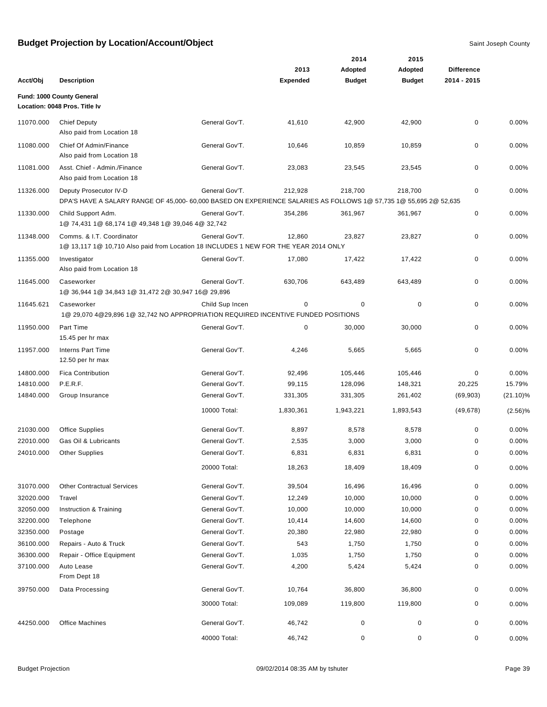|           |                                                                                                                   |                 |                 | 2014          | 2015          |                   |             |
|-----------|-------------------------------------------------------------------------------------------------------------------|-----------------|-----------------|---------------|---------------|-------------------|-------------|
|           |                                                                                                                   |                 | 2013            | Adopted       | Adopted       | <b>Difference</b> |             |
| Acct/Obj  | <b>Description</b>                                                                                                |                 | <b>Expended</b> | <b>Budget</b> | <b>Budget</b> | 2014 - 2015       |             |
|           | Fund: 1000 County General                                                                                         |                 |                 |               |               |                   |             |
|           | Location: 0048 Pros. Title Iv                                                                                     |                 |                 |               |               |                   |             |
| 11070.000 | <b>Chief Deputy</b>                                                                                               | General Gov'T.  | 41,610          | 42,900        | 42,900        | 0                 | 0.00%       |
|           | Also paid from Location 18                                                                                        |                 |                 |               |               |                   |             |
| 11080.000 | Chief Of Admin/Finance                                                                                            | General Gov'T.  | 10,646          | 10,859        | 10,859        | $\mathbf 0$       | 0.00%       |
|           | Also paid from Location 18                                                                                        |                 |                 |               |               |                   |             |
| 11081.000 | Asst. Chief - Admin./Finance                                                                                      | General Gov'T.  | 23,083          | 23,545        | 23,545        | 0                 | 0.00%       |
|           | Also paid from Location 18                                                                                        |                 |                 |               |               |                   |             |
| 11326.000 | Deputy Prosecutor IV-D                                                                                            | General Gov'T.  | 212,928         | 218,700       | 218,700       | $\mathbf 0$       | 0.00%       |
|           | DPA'S HAVE A SALARY RANGE OF 45,000- 60,000 BASED ON EXPERIENCE SALARIES AS FOLLOWS 1@ 57,735 1@ 55,695 2@ 52,635 |                 |                 |               |               |                   |             |
| 11330.000 | Child Support Adm.                                                                                                | General Gov'T.  | 354,286         | 361,967       | 361,967       | 0                 | 0.00%       |
|           | 1@ 74,431 1@ 68,174 1@ 49,348 1@ 39,046 4@ 32,742                                                                 |                 |                 |               |               |                   |             |
| 11348.000 | Comms. & I.T. Coordinator                                                                                         | General Gov'T.  | 12,860          | 23,827        | 23,827        | 0                 | 0.00%       |
|           | 1@ 13,117 1@ 10,710 Also paid from Location 18 INCLUDES 1 NEW FOR THE YEAR 2014 ONLY                              |                 |                 |               |               |                   |             |
| 11355.000 | Investigator                                                                                                      | General Gov'T.  | 17,080          | 17,422        | 17,422        | 0                 | 0.00%       |
|           | Also paid from Location 18                                                                                        |                 |                 |               |               |                   |             |
| 11645.000 | Caseworker                                                                                                        | General Gov'T.  | 630,706         | 643,489       | 643,489       | 0                 | 0.00%       |
|           | 1@ 36,944 1@ 34,843 1@ 31,472 2@ 30,947 16@ 29,896                                                                |                 |                 |               |               |                   |             |
| 11645.621 | Caseworker                                                                                                        | Child Sup Incen | 0               | 0             | 0             | 0                 | 0.00%       |
|           | 1@ 29,070 4@29,896 1@ 32,742 NO APPROPRIATION REQUIRED INCENTIVE FUNDED POSITIONS                                 |                 |                 |               |               |                   |             |
| 11950.000 | Part Time                                                                                                         | General Gov'T.  | $\mathbf 0$     | 30,000        | 30,000        | 0                 | 0.00%       |
|           | 15.45 per hr max                                                                                                  |                 |                 |               |               |                   |             |
| 11957.000 | <b>Interns Part Time</b>                                                                                          | General Gov'T.  | 4,246           | 5,665         | 5,665         | 0                 | 0.00%       |
|           | 12.50 per hr max                                                                                                  |                 |                 |               |               |                   |             |
| 14800.000 | <b>Fica Contribution</b>                                                                                          | General Gov'T.  | 92,496          | 105,446       | 105,446       | 0                 | 0.00%       |
| 14810.000 | P.E.R.F.                                                                                                          | General Gov'T.  | 99,115          | 128,096       | 148,321       | 20,225            | 15.79%      |
| 14840.000 | Group Insurance                                                                                                   | General Gov'T.  | 331,305         | 331,305       | 261,402       | (69, 903)         | $(21.10)\%$ |
|           |                                                                                                                   | 10000 Total:    | 1,830,361       | 1,943,221     | 1,893,543     | (49, 678)         | $(2.56)\%$  |
| 21030.000 | <b>Office Supplies</b>                                                                                            | General Gov'T.  | 8,897           | 8,578         | 8,578         | 0                 | 0.00%       |
| 22010.000 | Gas Oil & Lubricants                                                                                              | General Gov'T.  | 2,535           | 3,000         | 3,000         | 0                 | 0.00%       |
| 24010.000 | <b>Other Supplies</b>                                                                                             | General Gov'T.  | 6,831           | 6,831         | 6,831         | 0                 | 0.00%       |
|           |                                                                                                                   |                 |                 |               |               |                   |             |
|           |                                                                                                                   | 20000 Total:    | 18,263          | 18,409        | 18,409        | 0                 | 0.00%       |
| 31070.000 | <b>Other Contractual Services</b>                                                                                 | General Gov'T.  | 39,504          | 16,496        | 16,496        | 0                 | 0.00%       |
| 32020.000 | Travel                                                                                                            | General Gov'T.  | 12,249          | 10,000        | 10,000        | 0                 | 0.00%       |
| 32050.000 | Instruction & Training                                                                                            | General Gov'T.  | 10,000          | 10,000        | 10,000        | 0                 | 0.00%       |
| 32200.000 | Telephone                                                                                                         | General Gov'T.  | 10,414          | 14,600        | 14,600        | 0                 | 0.00%       |
| 32350.000 | Postage                                                                                                           | General Gov'T.  | 20,380          | 22,980        | 22,980        | 0                 | 0.00%       |
| 36100.000 | Repairs - Auto & Truck                                                                                            | General Gov'T.  | 543             | 1,750         | 1,750         | $\pmb{0}$         | 0.00%       |
| 36300.000 | Repair - Office Equipment                                                                                         | General Gov'T.  | 1,035           | 1,750         | 1,750         | 0                 | 0.00%       |
| 37100.000 | Auto Lease                                                                                                        | General Gov'T.  | 4,200           | 5,424         | 5,424         | 0                 | 0.00%       |
|           | From Dept 18                                                                                                      |                 |                 |               |               |                   |             |
| 39750.000 | Data Processing                                                                                                   | General Gov'T.  | 10,764          | 36,800        | 36,800        | 0                 | 0.00%       |
|           |                                                                                                                   | 30000 Total:    | 109,089         | 119,800       | 119,800       | 0                 | 0.00%       |
|           |                                                                                                                   |                 |                 |               |               |                   |             |
| 44250.000 | <b>Office Machines</b>                                                                                            | General Gov'T.  | 46,742          | $\pmb{0}$     | 0             | 0                 | 0.00%       |
|           |                                                                                                                   | 40000 Total:    | 46,742          | 0             | 0             | 0                 | 0.00%       |
|           |                                                                                                                   |                 |                 |               |               |                   |             |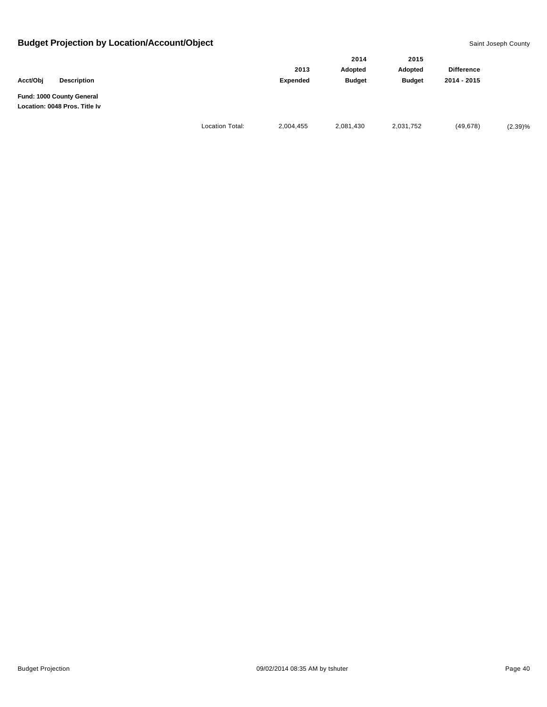|                                                            |                        | 2014      |               | 2015          |                   |         |
|------------------------------------------------------------|------------------------|-----------|---------------|---------------|-------------------|---------|
|                                                            |                        | 2013      | Adopted       | Adopted       | <b>Difference</b> |         |
| Acct/Obi<br><b>Description</b>                             |                        | Expended  | <b>Budget</b> | <b>Budget</b> | 2014 - 2015       |         |
| Fund: 1000 County General<br>Location: 0048 Pros. Title Iv |                        |           |               |               |                   |         |
|                                                            | <b>Location Total:</b> | 2,004,455 | 2,081,430     | 2,031,752     | (49, 678)         | (2.39)% |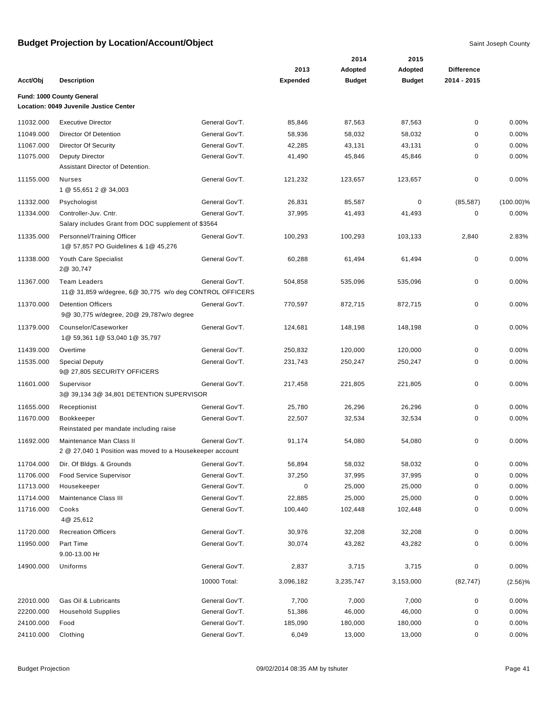|           |                                                                                |                |                 | 2014          | 2015          |                   |              |
|-----------|--------------------------------------------------------------------------------|----------------|-----------------|---------------|---------------|-------------------|--------------|
|           |                                                                                |                | 2013            | Adopted       | Adopted       | <b>Difference</b> |              |
| Acct/Obj  | <b>Description</b>                                                             |                | <b>Expended</b> | <b>Budget</b> | <b>Budget</b> | 2014 - 2015       |              |
|           | Fund: 1000 County General                                                      |                |                 |               |               |                   |              |
|           | Location: 0049 Juvenile Justice Center                                         |                |                 |               |               |                   |              |
| 11032.000 | <b>Executive Director</b>                                                      | General Gov'T. | 85,846          | 87,563        | 87,563        | 0                 | 0.00%        |
| 11049.000 | Director Of Detention                                                          | General Gov'T. | 58,936          | 58,032        | 58,032        | 0                 | 0.00%        |
| 11067.000 | <b>Director Of Security</b>                                                    | General Gov'T. | 42,285          | 43,131        | 43,131        | 0                 | 0.00%        |
| 11075.000 | <b>Deputy Director</b>                                                         | General Gov'T. | 41,490          | 45,846        | 45,846        | 0                 | 0.00%        |
|           | Assistant Director of Detention.                                               |                |                 |               |               |                   |              |
| 11155.000 | Nurses                                                                         | General Gov'T. | 121,232         | 123,657       | 123,657       | 0                 | 0.00%        |
|           | 1 @ 55,651 2 @ 34,003                                                          |                |                 |               |               |                   |              |
| 11332.000 | Psychologist                                                                   | General Gov'T. | 26,831          | 85,587        | 0             | (85, 587)         | $(100.00)\%$ |
| 11334.000 | Controller-Juv. Cntr.                                                          | General Gov'T. | 37,995          | 41,493        | 41,493        | 0                 | 0.00%        |
|           | Salary includes Grant from DOC supplement of \$3564                            |                |                 |               |               |                   |              |
| 11335.000 | Personnel/Training Officer                                                     | General Gov'T. | 100,293         | 100,293       | 103,133       | 2,840             | 2.83%        |
|           | 1@ 57,857 PO Guidelines & 1@ 45,276                                            |                |                 |               |               |                   |              |
| 11338.000 | Youth Care Specialist<br>2@ 30,747                                             | General Gov'T. | 60,288          | 61,494        | 61,494        | 0                 | 0.00%        |
|           |                                                                                |                |                 |               |               |                   |              |
| 11367.000 | <b>Team Leaders</b><br>11@ 31,859 w/degree, 6@ 30,775 w/o deg CONTROL OFFICERS | General Gov'T. | 504,858         | 535,096       | 535,096       | 0                 | 0.00%        |
| 11370.000 | <b>Detention Officers</b>                                                      | General Gov'T. | 770,597         | 872,715       | 872,715       | 0                 | 0.00%        |
|           | 9@ 30,775 w/degree, 20@ 29,787w/o degree                                       |                |                 |               |               |                   |              |
| 11379.000 | Counselor/Caseworker                                                           | General Gov'T. | 124,681         | 148,198       | 148,198       | 0                 | 0.00%        |
|           | 1@ 59,361 1@ 53,040 1@ 35,797                                                  |                |                 |               |               |                   |              |
| 11439.000 | Overtime                                                                       | General Gov'T. | 250,832         | 120,000       | 120,000       | 0                 | 0.00%        |
| 11535.000 | <b>Special Deputy</b>                                                          | General Gov'T. | 231,743         | 250,247       | 250,247       | 0                 | 0.00%        |
|           | 9@ 27,805 SECURITY OFFICERS                                                    |                |                 |               |               |                   |              |
| 11601.000 | Supervisor                                                                     | General Gov'T. | 217,458         | 221,805       | 221,805       | 0                 | 0.00%        |
|           | 3@ 39,134 3@ 34,801 DETENTION SUPERVISOR                                       |                |                 |               |               |                   |              |
| 11655.000 | Receptionist                                                                   | General Gov'T. | 25,780          | 26,296        | 26,296        | 0                 | 0.00%        |
| 11670.000 | <b>Bookkeeper</b>                                                              | General Gov'T. | 22,507          | 32,534        | 32,534        | 0                 | 0.00%        |
|           | Reinstated per mandate including raise                                         |                |                 |               |               |                   |              |
| 11692.000 | Maintenance Man Class II                                                       | General Gov'T. | 91,174          | 54,080        | 54,080        | 0                 | 0.00%        |
|           | 2 @ 27,040 1 Position was moved to a Housekeeper account                       |                |                 |               |               |                   |              |
| 11704.000 | Dir. Of Bldgs. & Grounds                                                       | General Gov'T. | 56,894          | 58,032        | 58,032        | 0                 | 0.00%        |
| 11706.000 | Food Service Supervisor                                                        | General Gov'T. | 37,250          | 37,995        | 37,995        | 0                 | 0.00%        |
| 11713.000 | Housekeeper                                                                    | General Gov'T. | 0               | 25,000        | 25,000        | 0                 | 0.00%        |
| 11714.000 | Maintenance Class III                                                          | General Gov'T. | 22,885          | 25,000        | 25,000        | 0                 | 0.00%        |
| 11716.000 | Cooks<br>4@ 25,612                                                             | General Gov'T. | 100,440         | 102,448       | 102,448       | 0                 | 0.00%        |
| 11720.000 | <b>Recreation Officers</b>                                                     | General Gov'T. | 30,976          | 32,208        | 32,208        | 0                 | 0.00%        |
| 11950.000 | Part Time                                                                      | General Gov'T. | 30,074          | 43,282        | 43,282        | 0                 | 0.00%        |
|           | 9.00-13.00 Hr                                                                  |                |                 |               |               |                   |              |
| 14900.000 | Uniforms                                                                       | General Gov'T. | 2,837           | 3,715         | 3,715         | 0                 | 0.00%        |
|           |                                                                                | 10000 Total:   | 3,096,182       | 3,235,747     | 3,153,000     | (82, 747)         |              |
|           |                                                                                |                |                 |               |               |                   | (2.56)%      |
| 22010.000 | Gas Oil & Lubricants                                                           | General Gov'T. | 7,700           | 7,000         | 7,000         | 0                 | 0.00%        |
| 22200.000 | <b>Household Supplies</b>                                                      | General Gov'T. | 51,386          | 46,000        | 46,000        | 0                 | 0.00%        |
| 24100.000 | Food                                                                           | General Gov'T. | 185,090         | 180,000       | 180,000       | 0                 | 0.00%        |
| 24110.000 | Clothing                                                                       | General Gov'T. | 6,049           | 13,000        | 13,000        | 0                 | 0.00%        |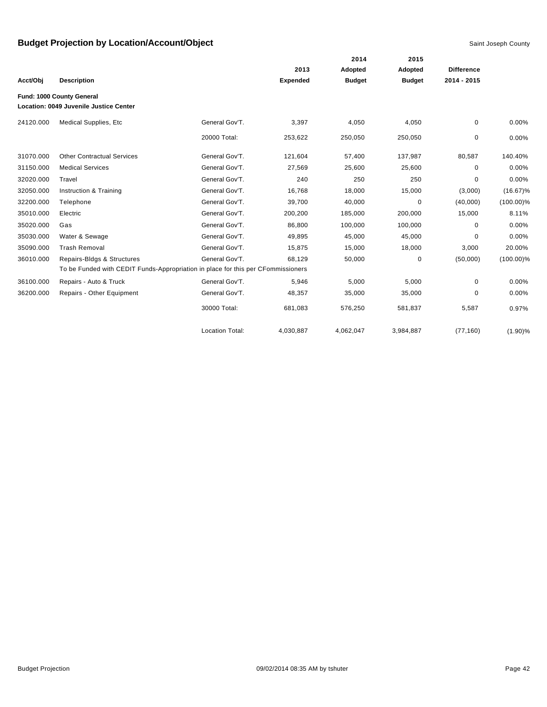|           |                                                                                  |                        |                 | 2014          | 2015          |                   |              |
|-----------|----------------------------------------------------------------------------------|------------------------|-----------------|---------------|---------------|-------------------|--------------|
|           |                                                                                  |                        | 2013            | Adopted       | Adopted       | <b>Difference</b> |              |
| Acct/Obj  | <b>Description</b>                                                               |                        | <b>Expended</b> | <b>Budget</b> | <b>Budget</b> | 2014 - 2015       |              |
|           | Fund: 1000 County General                                                        |                        |                 |               |               |                   |              |
|           | Location: 0049 Juvenile Justice Center                                           |                        |                 |               |               |                   |              |
| 24120.000 | Medical Supplies, Etc                                                            | General Gov'T.         | 3,397           | 4,050         | 4,050         | 0                 | 0.00%        |
|           |                                                                                  | 20000 Total:           | 253,622         | 250,050       | 250,050       | 0                 | 0.00%        |
| 31070.000 | <b>Other Contractual Services</b>                                                | General Gov'T.         | 121,604         | 57,400        | 137,987       | 80,587            | 140.40%      |
| 31150.000 | <b>Medical Services</b>                                                          | General Gov'T.         | 27,569          | 25,600        | 25,600        | 0                 | 0.00%        |
| 32020.000 | Travel                                                                           | General Gov'T.         | 240             | 250           | 250           | $\Omega$          | 0.00%        |
| 32050.000 | Instruction & Training                                                           | General Gov'T.         | 16,768          | 18,000        | 15,000        | (3,000)           | $(16.67)\%$  |
| 32200.000 | Telephone                                                                        | General Gov'T.         | 39,700          | 40,000        | 0             | (40,000)          | $(100.00)\%$ |
| 35010.000 | Electric                                                                         | General Gov'T.         | 200,200         | 185,000       | 200,000       | 15,000            | 8.11%        |
| 35020.000 | Gas                                                                              | General Gov'T.         | 86,800          | 100,000       | 100,000       | $\Omega$          | 0.00%        |
| 35030.000 | Water & Sewage                                                                   | General Gov'T.         | 49,895          | 45,000        | 45,000        | $\Omega$          | 0.00%        |
| 35090.000 | <b>Trash Removal</b>                                                             | General Gov'T.         | 15,875          | 15,000        | 18,000        | 3,000             | 20.00%       |
| 36010.000 | Repairs-Bldgs & Structures                                                       | General Gov'T.         | 68,129          | 50,000        | 0             | (50,000)          | $(100.00)\%$ |
|           | To be Funded with CEDIT Funds-Appropriation in place for this per CFommissioners |                        |                 |               |               |                   |              |
| 36100.000 | Repairs - Auto & Truck                                                           | General Gov'T.         | 5,946           | 5,000         | 5,000         | 0                 | 0.00%        |
| 36200.000 | Repairs - Other Equipment                                                        | General Gov'T.         | 48,357          | 35,000        | 35,000        | 0                 | 0.00%        |
|           |                                                                                  | 30000 Total:           | 681,083         | 576,250       | 581,837       | 5,587             | 0.97%        |
|           |                                                                                  | <b>Location Total:</b> | 4,030,887       | 4,062,047     | 3,984,887     | (77, 160)         | (1.90)%      |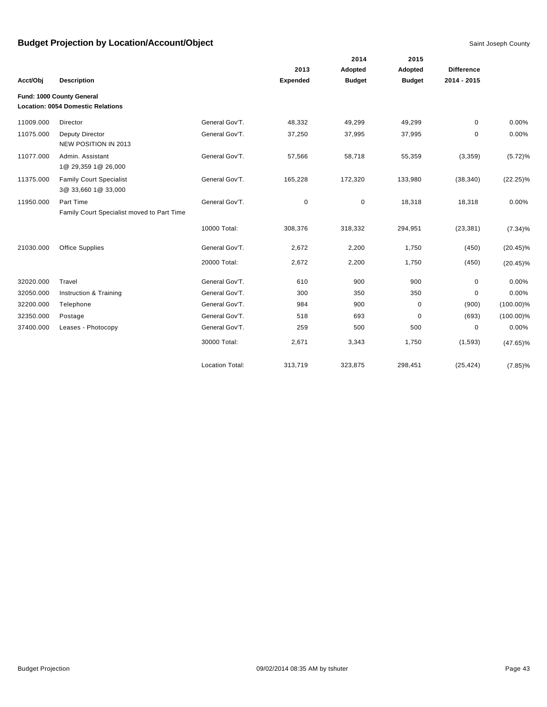|           |                                                                       |                        |                 | 2014          | 2015          |                   |              |
|-----------|-----------------------------------------------------------------------|------------------------|-----------------|---------------|---------------|-------------------|--------------|
|           |                                                                       |                        | 2013            | Adopted       | Adopted       | <b>Difference</b> |              |
| Acct/Obj  | <b>Description</b>                                                    |                        | <b>Expended</b> | <b>Budget</b> | <b>Budget</b> | $2014 - 2015$     |              |
|           | Fund: 1000 County General<br><b>Location: 0054 Domestic Relations</b> |                        |                 |               |               |                   |              |
| 11009.000 | Director                                                              | General Gov'T.         | 48,332          | 49,299        | 49,299        | 0                 | 0.00%        |
| 11075.000 | Deputy Director<br>NEW POSITION IN 2013                               | General Gov'T.         | 37,250          | 37,995        | 37,995        | $\mathbf 0$       | 0.00%        |
| 11077.000 | Admin. Assistant<br>1@ 29,359 1@ 26,000                               | General Gov'T.         | 57,566          | 58,718        | 55,359        | (3,359)           | $(5.72)\%$   |
| 11375.000 | <b>Family Court Specialist</b><br>3@ 33,660 1@ 33,000                 | General Gov'T.         | 165,228         | 172,320       | 133,980       | (38, 340)         | $(22.25)\%$  |
| 11950.000 | Part Time<br>Family Court Specialist moved to Part Time               | General Gov'T.         | 0               | 0             | 18,318        | 18,318            | 0.00%        |
|           |                                                                       | 10000 Total:           | 308,376         | 318,332       | 294,951       | (23, 381)         | $(7.34)\%$   |
| 21030.000 | <b>Office Supplies</b>                                                | General Gov'T.         | 2,672           | 2,200         | 1,750         | (450)             | $(20.45)\%$  |
|           |                                                                       | 20000 Total:           | 2,672           | 2,200         | 1,750         | (450)             | $(20.45)\%$  |
| 32020.000 | Travel                                                                | General Gov'T.         | 610             | 900           | 900           | 0                 | 0.00%        |
| 32050.000 | Instruction & Training                                                | General Gov'T.         | 300             | 350           | 350           | 0                 | 0.00%        |
| 32200.000 | Telephone                                                             | General Gov'T.         | 984             | 900           | 0             | (900)             | $(100.00)\%$ |
| 32350.000 | Postage                                                               | General Gov'T.         | 518             | 693           | 0             | (693)             | $(100.00)\%$ |
| 37400.000 | Leases - Photocopy                                                    | General Gov'T.         | 259             | 500           | 500           | 0                 | 0.00%        |
|           |                                                                       | 30000 Total:           | 2,671           | 3,343         | 1,750         | (1, 593)          | $(47.65)\%$  |
|           |                                                                       | <b>Location Total:</b> | 313,719         | 323,875       | 298,451       | (25, 424)         | $(7.85)\%$   |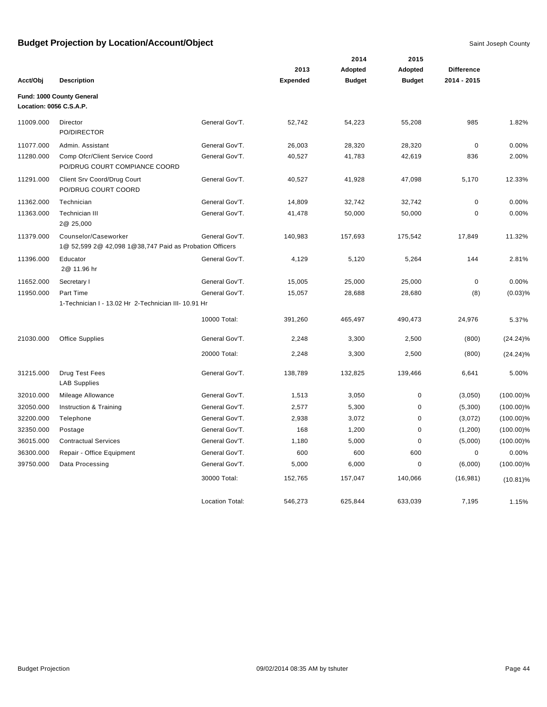|                         |                                                                                 |                        |                 | 2014          | 2015          |                   |              |
|-------------------------|---------------------------------------------------------------------------------|------------------------|-----------------|---------------|---------------|-------------------|--------------|
|                         |                                                                                 |                        | 2013            | Adopted       | Adopted       | <b>Difference</b> |              |
| Acct/Obj                | <b>Description</b>                                                              |                        | <b>Expended</b> | <b>Budget</b> | <b>Budget</b> | 2014 - 2015       |              |
| Location: 0056 C.S.A.P. | Fund: 1000 County General                                                       |                        |                 |               |               |                   |              |
| 11009.000               | Director<br>PO/DIRECTOR                                                         | General Gov'T.         | 52,742          | 54,223        | 55,208        | 985               | 1.82%        |
| 11077.000               | Admin. Assistant                                                                | General Gov'T.         | 26,003          | 28,320        | 28,320        | $\pmb{0}$         | 0.00%        |
| 11280.000               | Comp Ofcr/Client Service Coord<br>PO/DRUG COURT COMPIANCE COORD                 | General Gov'T.         | 40,527          | 41,783        | 42,619        | 836               | 2.00%        |
| 11291.000               | Client Srv Coord/Drug Court<br>PO/DRUG COURT COORD                              | General Gov'T.         | 40,527          | 41,928        | 47,098        | 5,170             | 12.33%       |
| 11362.000               | Technician                                                                      | General Gov'T.         | 14,809          | 32,742        | 32,742        | $\pmb{0}$         | 0.00%        |
| 11363.000               | <b>Technician III</b><br>2@ 25,000                                              | General Gov'T.         | 41,478          | 50,000        | 50,000        | $\pmb{0}$         | 0.00%        |
| 11379.000               | Counselor/Caseworker<br>1@ 52,599 2@ 42,098 1@38,747 Paid as Probation Officers | General Gov'T.         | 140,983         | 157,693       | 175,542       | 17,849            | 11.32%       |
| 11396.000               | Educator<br>2@ 11.96 hr                                                         | General Gov'T.         | 4,129           | 5,120         | 5,264         | 144               | 2.81%        |
| 11652.000               | Secretary I                                                                     | General Gov'T.         | 15,005          | 25,000        | 25,000        | $\pmb{0}$         | 0.00%        |
| 11950.000               | Part Time                                                                       | General Gov'T.         | 15,057          | 28,688        | 28,680        | (8)               | (0.03)%      |
|                         | 1-Technician I - 13.02 Hr 2-Technician III- 10.91 Hr                            |                        |                 |               |               |                   |              |
|                         |                                                                                 | 10000 Total:           | 391,260         | 465,497       | 490,473       | 24,976            | 5.37%        |
| 21030.000               | <b>Office Supplies</b>                                                          | General Gov'T.         | 2,248           | 3,300         | 2,500         | (800)             | $(24.24)\%$  |
|                         |                                                                                 | 20000 Total:           | 2,248           | 3,300         | 2,500         | (800)             | $(24.24)\%$  |
| 31215.000               | Drug Test Fees<br><b>LAB Supplies</b>                                           | General Gov'T.         | 138,789         | 132,825       | 139,466       | 6,641             | 5.00%        |
| 32010.000               | Mileage Allowance                                                               | General Gov'T.         | 1,513           | 3,050         | $\pmb{0}$     | (3,050)           | $(100.00)\%$ |
| 32050.000               | Instruction & Training                                                          | General Gov'T.         | 2,577           | 5,300         | 0             | (5,300)           | $(100.00)\%$ |
| 32200.000               | Telephone                                                                       | General Gov'T.         | 2,938           | 3,072         | $\pmb{0}$     | (3,072)           | $(100.00)\%$ |
| 32350.000               | Postage                                                                         | General Gov'T.         | 168             | 1,200         | $\pmb{0}$     | (1,200)           | $(100.00)\%$ |
| 36015.000               | <b>Contractual Services</b>                                                     | General Gov'T.         | 1,180           | 5,000         | $\mathbf 0$   | (5,000)           | $(100.00)\%$ |
| 36300.000               | Repair - Office Equipment                                                       | General Gov'T.         | 600             | 600           | 600           | 0                 | 0.00%        |
| 39750.000               | Data Processing                                                                 | General Gov'T.         | 5,000           | 6,000         | $\mathbf 0$   | (6,000)           | $(100.00)\%$ |
|                         |                                                                                 | 30000 Total:           | 152,765         | 157,047       | 140,066       | (16, 981)         | $(10.81)\%$  |
|                         |                                                                                 | <b>Location Total:</b> | 546,273         | 625,844       | 633,039       | 7,195             | 1.15%        |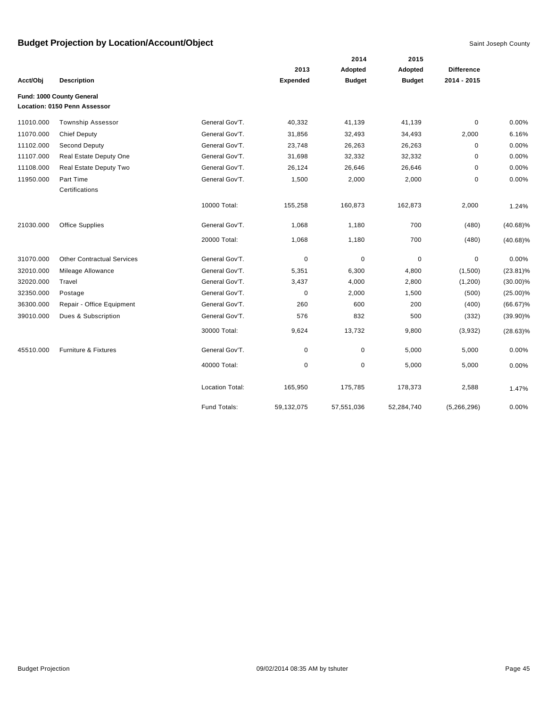|           |                                   |                        |            | 2014          | 2015<br>Adopted |                   |             |
|-----------|-----------------------------------|------------------------|------------|---------------|-----------------|-------------------|-------------|
|           |                                   |                        | 2013       | Adopted       |                 | <b>Difference</b> |             |
| Acct/Obj  | <b>Description</b>                |                        | Expended   | <b>Budget</b> | <b>Budget</b>   | 2014 - 2015       |             |
|           | Fund: 1000 County General         |                        |            |               |                 |                   |             |
|           | Location: 0150 Penn Assessor      |                        |            |               |                 |                   |             |
| 11010.000 | <b>Township Assessor</b>          | General Gov'T.         | 40,332     | 41,139        | 41,139          | $\mathbf 0$       | 0.00%       |
| 11070.000 | <b>Chief Deputy</b>               | General Gov'T.         | 31,856     | 32,493        | 34,493          | 2,000             | 6.16%       |
| 11102.000 | <b>Second Deputy</b>              | General Gov'T.         | 23,748     | 26,263        | 26,263          | 0                 | 0.00%       |
| 11107.000 | Real Estate Deputy One            | General Gov'T.         | 31,698     | 32,332        | 32,332          | $\pmb{0}$         | 0.00%       |
| 11108.000 | Real Estate Deputy Two            | General Gov'T.         | 26,124     | 26,646        | 26,646          | $\mathbf 0$       | 0.00%       |
| 11950.000 | Part Time<br>Certifications       | General Gov'T.         | 1,500      | 2,000         | 2,000           | $\pmb{0}$         | 0.00%       |
|           |                                   | 10000 Total:           | 155,258    | 160,873       | 162,873         | 2,000             | 1.24%       |
| 21030.000 | <b>Office Supplies</b>            | General Gov'T.         | 1,068      | 1,180         | 700             | (480)             | $(40.68)\%$ |
|           |                                   | 20000 Total:           | 1,068      | 1,180         | 700             | (480)             | $(40.68)\%$ |
| 31070.000 | <b>Other Contractual Services</b> | General Gov'T.         | 0          | $\pmb{0}$     | $\mathbf 0$     | $\mathbf 0$       | 0.00%       |
| 32010.000 | Mileage Allowance                 | General Gov'T.         | 5,351      | 6,300         | 4,800           | (1,500)           | $(23.81)\%$ |
| 32020.000 | Travel                            | General Gov'T.         | 3,437      | 4,000         | 2,800           | (1,200)           | $(30.00)\%$ |
| 32350.000 | Postage                           | General Gov'T.         | 0          | 2,000         | 1,500           | (500)             | $(25.00)\%$ |
| 36300.000 | Repair - Office Equipment         | General Gov'T.         | 260        | 600           | 200             | (400)             | $(66.67)\%$ |
| 39010.000 | Dues & Subscription               | General Gov'T.         | 576        | 832           | 500             | (332)             | $(39.90)\%$ |
|           |                                   | 30000 Total:           | 9,624      | 13,732        | 9,800           | (3,932)           | $(28.63)\%$ |
| 45510.000 | <b>Furniture &amp; Fixtures</b>   | General Gov'T.         | 0          | 0             | 5,000           | 5,000             | 0.00%       |
|           |                                   | 40000 Total:           | 0          | 0             | 5,000           | 5,000             | 0.00%       |
|           |                                   | <b>Location Total:</b> | 165,950    | 175,785       | 178,373         | 2,588             | 1.47%       |
|           |                                   | Fund Totals:           | 59,132,075 | 57,551,036    | 52,284,740      | (5,266,296)       | 0.00%       |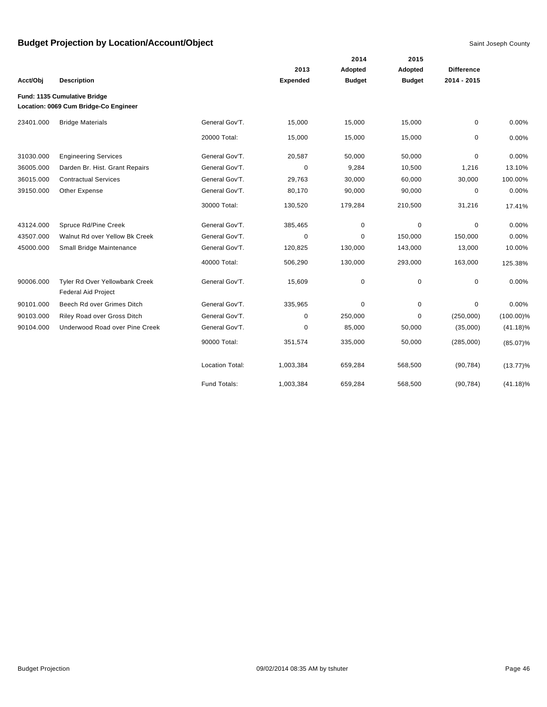|           |                                                              |                 |                 |               | 2015          |                   |              |
|-----------|--------------------------------------------------------------|-----------------|-----------------|---------------|---------------|-------------------|--------------|
|           |                                                              |                 | 2013            | Adopted       | Adopted       | <b>Difference</b> |              |
| Acct/Obj  | <b>Description</b>                                           |                 | <b>Expended</b> | <b>Budget</b> | <b>Budget</b> | 2014 - 2015       |              |
|           | Fund: 1135 Cumulative Bridge                                 |                 |                 |               |               |                   |              |
|           | Location: 0069 Cum Bridge-Co Engineer                        |                 |                 |               |               |                   |              |
| 23401.000 | <b>Bridge Materials</b>                                      | General Gov'T.  | 15,000          | 15,000        | 15,000        | 0                 | 0.00%        |
|           |                                                              | 20000 Total:    | 15,000          | 15,000        | 15,000        | 0                 | 0.00%        |
| 31030.000 | <b>Engineering Services</b>                                  | General Gov'T.  | 20,587          | 50,000        | 50,000        | 0                 | 0.00%        |
| 36005.000 | Darden Br. Hist. Grant Repairs                               | General Gov'T.  | 0               | 9,284         | 10,500        | 1,216             | 13.10%       |
| 36015.000 | <b>Contractual Services</b>                                  | General Gov'T.  | 29,763          | 30,000        | 60,000        | 30,000            | 100.00%      |
| 39150.000 | Other Expense                                                | General Gov'T.  | 80,170          | 90,000        | 90,000        | 0                 | 0.00%        |
|           |                                                              | 30000 Total:    | 130,520         | 179,284       | 210,500       | 31,216            | 17.41%       |
| 43124.000 | Spruce Rd/Pine Creek                                         | General Gov'T.  | 385,465         | 0             | 0             | 0                 | 0.00%        |
| 43507.000 | Walnut Rd over Yellow Bk Creek                               | General Gov'T.  | 0               | 0             | 150,000       | 150,000           | 0.00%        |
| 45000.000 | Small Bridge Maintenance                                     | General Gov'T.  | 120,825         | 130,000       | 143,000       | 13,000            | 10.00%       |
|           |                                                              | 40000 Total:    | 506,290         | 130,000       | 293,000       | 163,000           | 125.38%      |
| 90006.000 | Tyler Rd Over Yellowbank Creek<br><b>Federal Aid Project</b> | General Gov'T.  | 15,609          | $\mathbf 0$   | $\mathbf 0$   | 0                 | 0.00%        |
| 90101.000 | Beech Rd over Grimes Ditch                                   | General Gov'T.  | 335,965         | $\mathbf 0$   | 0             | 0                 | 0.00%        |
| 90103.000 | Riley Road over Gross Ditch                                  | General Gov'T.  | 0               | 250,000       | $\Omega$      | (250,000)         | $(100.00)\%$ |
| 90104.000 | Underwood Road over Pine Creek                               | General Gov'T.  | 0               | 85,000        | 50,000        | (35,000)          | $(41.18)\%$  |
|           |                                                              | 90000 Total:    | 351,574         | 335,000       | 50,000        | (285,000)         | $(85.07)\%$  |
|           |                                                              | Location Total: | 1,003,384       | 659,284       | 568,500       | (90, 784)         | $(13.77)\%$  |
|           |                                                              | Fund Totals:    | 1,003,384       | 659.284       | 568,500       | (90, 784)         | $(41.18)\%$  |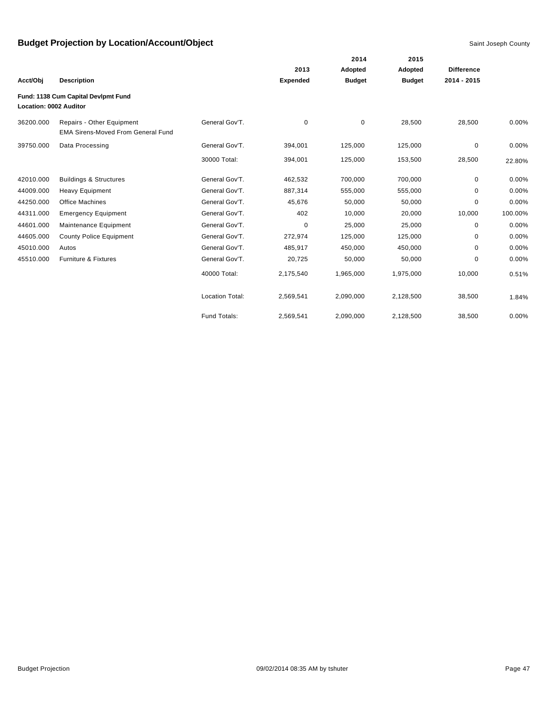|                        |                                                                        |                        | 2014            |               |               |                   |         |
|------------------------|------------------------------------------------------------------------|------------------------|-----------------|---------------|---------------|-------------------|---------|
|                        |                                                                        |                        | 2013            | Adopted       | Adopted       | <b>Difference</b> |         |
| Acct/Obj               | <b>Description</b>                                                     |                        | <b>Expended</b> | <b>Budget</b> | <b>Budget</b> | 2014 - 2015       |         |
| Location: 0002 Auditor | Fund: 1138 Cum Capital Devlpmt Fund                                    |                        |                 |               |               |                   |         |
| 36200.000              | Repairs - Other Equipment<br><b>EMA Sirens-Moved From General Fund</b> | General Gov'T.         | 0               | $\mathbf 0$   | 28,500        | 28,500            | 0.00%   |
| 39750.000              | Data Processing                                                        | General Gov'T.         | 394,001         | 125,000       | 125,000       | $\mathbf 0$       | 0.00%   |
|                        |                                                                        | 30000 Total:           | 394,001         | 125,000       | 153,500       | 28,500            | 22.80%  |
| 42010.000              | <b>Buildings &amp; Structures</b>                                      | General Gov'T.         | 462,532         | 700,000       | 700,000       | $\mathbf 0$       | 0.00%   |
| 44009.000              | <b>Heavy Equipment</b>                                                 | General Gov'T.         | 887,314         | 555,000       | 555,000       | $\mathbf 0$       | 0.00%   |
| 44250.000              | Office Machines                                                        | General Gov'T.         | 45,676          | 50,000        | 50,000        | $\Omega$          | 0.00%   |
| 44311.000              | <b>Emergency Equipment</b>                                             | General Gov'T.         | 402             | 10,000        | 20,000        | 10,000            | 100.00% |
| 44601.000              | Maintenance Equipment                                                  | General Gov'T.         | 0               | 25,000        | 25,000        | 0                 | 0.00%   |
| 44605.000              | <b>County Police Equipment</b>                                         | General Gov'T.         | 272,974         | 125,000       | 125,000       | 0                 | 0.00%   |
| 45010.000              | Autos                                                                  | General Gov'T.         | 485,917         | 450,000       | 450,000       | 0                 | 0.00%   |
| 45510.000              | <b>Furniture &amp; Fixtures</b>                                        | General Gov'T.         | 20,725          | 50,000        | 50,000        | 0                 | 0.00%   |
|                        |                                                                        | 40000 Total:           | 2,175,540       | 1,965,000     | 1,975,000     | 10,000            | 0.51%   |
|                        |                                                                        | <b>Location Total:</b> | 2,569,541       | 2,090,000     | 2,128,500     | 38,500            | 1.84%   |
|                        |                                                                        | Fund Totals:           | 2,569,541       | 2,090,000     | 2,128,500     | 38,500            | 0.00%   |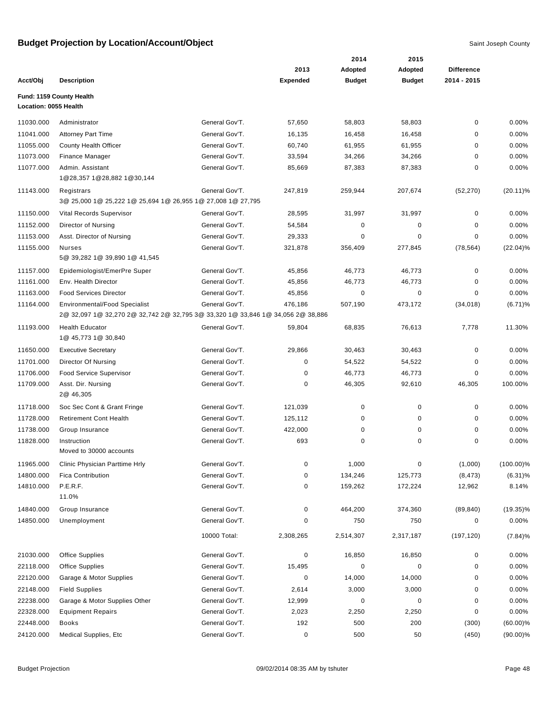|                       |                                                                                                                         |                |                 | 2014          | 2015          |                   |              |
|-----------------------|-------------------------------------------------------------------------------------------------------------------------|----------------|-----------------|---------------|---------------|-------------------|--------------|
|                       |                                                                                                                         |                | 2013            | Adopted       | Adopted       | <b>Difference</b> |              |
| Acct/Obj              | <b>Description</b>                                                                                                      |                | <b>Expended</b> | <b>Budget</b> | <b>Budget</b> | 2014 - 2015       |              |
| Location: 0055 Health | Fund: 1159 County Health                                                                                                |                |                 |               |               |                   |              |
|                       |                                                                                                                         |                |                 |               |               |                   |              |
| 11030.000             | Administrator                                                                                                           | General Gov'T. | 57,650          | 58,803        | 58,803        | 0                 | 0.00%        |
| 11041.000             | <b>Attorney Part Time</b>                                                                                               | General Gov'T. | 16,135          | 16,458        | 16,458        | 0                 | 0.00%        |
| 11055.000             | County Health Officer                                                                                                   | General Gov'T. | 60,740          | 61,955        | 61,955        | 0                 | 0.00%        |
| 11073.000             | Finance Manager                                                                                                         | General Gov'T. | 33,594          | 34,266        | 34,266        | $\mathbf 0$       | 0.00%        |
| 11077.000             | Admin, Assistant<br>1@28,357 1@28,882 1@30,144                                                                          | General Gov'T. | 85,669          | 87,383        | 87,383        | 0                 | 0.00%        |
| 11143.000             | Registrars<br>3@ 25,000 1@ 25,222 1@ 25,694 1@ 26,955 1@ 27,008 1@ 27,795                                               | General Gov'T. | 247,819         | 259,944       | 207,674       | (52, 270)         | $(20.11)\%$  |
| 11150.000             | Vital Records Supervisor                                                                                                | General Gov'T. | 28,595          | 31,997        | 31,997        | 0                 | 0.00%        |
| 11152.000             | Director of Nursing                                                                                                     | General Gov'T. | 54,584          | 0             | 0             | 0                 | 0.00%        |
| 11153.000             | Asst. Director of Nursing                                                                                               | General Gov'T. | 29,333          | $\mathbf 0$   | $\mathbf 0$   | $\mathbf 0$       | 0.00%        |
| 11155.000             | <b>Nurses</b>                                                                                                           | General Gov'T. | 321,878         | 356,409       | 277,845       | (78, 564)         | $(22.04)\%$  |
|                       | 5@ 39,282 1@ 39,890 1@ 41,545                                                                                           |                |                 |               |               |                   |              |
| 11157.000             | Epidemiologist/EmerPre Super                                                                                            | General Gov'T. | 45,856          | 46,773        | 46,773        | 0                 | 0.00%        |
| 11161.000             | Env. Health Director                                                                                                    | General Gov'T. | 45,856          | 46,773        | 46,773        | 0                 | 0.00%        |
| 11163.000             | <b>Food Services Director</b>                                                                                           | General Gov'T. | 45,856          | 0             | 0             | $\mathbf 0$       | 0.00%        |
| 11164.000             | <b>Environmental/Food Specialist</b><br>2@ 32,097 1@ 32,270 2@ 32,742 2@ 32,795 3@ 33,320 1@ 33,846 1@ 34,056 2@ 38,886 | General Gov'T. | 476,186         | 507,190       | 473,172       | (34, 018)         | $(6.71)\%$   |
| 11193.000             | <b>Health Educator</b><br>1@ 45,773 1@ 30,840                                                                           | General Gov'T. | 59,804          | 68,835        | 76,613        | 7,778             | 11.30%       |
| 11650.000             | <b>Executive Secretary</b>                                                                                              | General Gov'T. | 29,866          | 30,463        | 30,463        | 0                 | 0.00%        |
| 11701.000             | Director Of Nursing                                                                                                     | General Gov'T. | 0               | 54,522        | 54,522        | 0                 | 0.00%        |
| 11706.000             | <b>Food Service Supervisor</b>                                                                                          | General Gov'T. | 0               | 46,773        | 46,773        | $\mathbf 0$       | 0.00%        |
| 11709.000             | Asst. Dir. Nursing                                                                                                      | General Gov'T. | 0               | 46,305        | 92,610        | 46,305            | 100.00%      |
|                       | 2@ 46,305                                                                                                               |                |                 |               |               |                   |              |
| 11718.000             | Soc Sec Cont & Grant Fringe                                                                                             | General Gov'T. | 121,039         | 0             | 0             | 0                 | 0.00%        |
| 11728.000             | <b>Retirement Cont Health</b>                                                                                           | General Gov'T. | 125,112         | 0             | 0             | 0                 | 0.00%        |
| 11738.000             | Group Insurance                                                                                                         | General Gov'T. | 422,000         | 0             | 0             | $\mathbf 0$       | 0.00%        |
| 11828.000             | Instruction<br>Moved to 30000 accounts                                                                                  | General Gov'T. | 693             | 0             | 0             | $\mathbf 0$       | 0.00%        |
| 11965.000             | Clinic Physician Parttime Hrly                                                                                          | General Gov'T. | 0               | 1,000         | $\pmb{0}$     | (1,000)           | $(100.00)\%$ |
| 14800.000             | <b>Fica Contribution</b>                                                                                                | General Gov'T. | 0               | 134,246       | 125,773       | (8, 473)          | $(6.31)\%$   |
| 14810.000             | P.E.R.F.<br>11.0%                                                                                                       | General Gov'T. | 0               | 159,262       | 172,224       | 12,962            | 8.14%        |
| 14840.000             | Group Insurance                                                                                                         | General Gov'T. | 0               | 464,200       | 374,360       | (89, 840)         | $(19.35)\%$  |
| 14850.000             | Unemployment                                                                                                            | General Gov'T. | 0               | 750           | 750           | 0                 | 0.00%        |
|                       |                                                                                                                         | 10000 Total:   | 2,308,265       | 2,514,307     | 2,317,187     | (197, 120)        | (7.84)%      |
| 21030.000             | <b>Office Supplies</b>                                                                                                  | General Gov'T. | 0               | 16,850        | 16,850        | 0                 | 0.00%        |
| 22118.000             | <b>Office Supplies</b>                                                                                                  | General Gov'T. | 15,495          | 0             | $\pmb{0}$     | 0                 | 0.00%        |
| 22120.000             | Garage & Motor Supplies                                                                                                 | General Gov'T. | 0               | 14,000        | 14,000        | 0                 | 0.00%        |
| 22148.000             | <b>Field Supplies</b>                                                                                                   | General Gov'T. | 2,614           | 3,000         | 3,000         | 0                 | 0.00%        |
| 22238.000             | Garage & Motor Supplies Other                                                                                           | General Gov'T. | 12,999          | $\pmb{0}$     | $\pmb{0}$     | 0                 | 0.00%        |
| 22328.000             | <b>Equipment Repairs</b>                                                                                                | General Gov'T. | 2,023           | 2,250         | 2,250         | 0                 | 0.00%        |
| 22448.000             | <b>Books</b>                                                                                                            | General Gov'T. | 192             | 500           | 200           | (300)             | $(60.00)\%$  |
| 24120.000             | Medical Supplies, Etc                                                                                                   | General Gov'T. | 0               | 500           | 50            | (450)             | $(90.00)\%$  |
|                       |                                                                                                                         |                |                 |               |               |                   |              |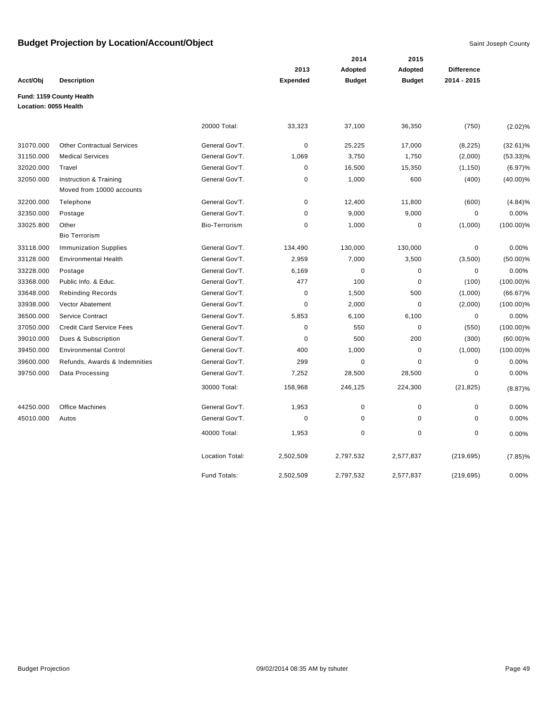|                       |                                                     |                        |                 | 2014          | 2015          |                   |              |
|-----------------------|-----------------------------------------------------|------------------------|-----------------|---------------|---------------|-------------------|--------------|
|                       |                                                     |                        | 2013            | Adopted       | Adopted       | <b>Difference</b> |              |
| Acct/Obj              | <b>Description</b>                                  |                        | <b>Expended</b> | <b>Budget</b> | <b>Budget</b> | 2014 - 2015       |              |
| Location: 0055 Health | Fund: 1159 County Health                            |                        |                 |               |               |                   |              |
|                       |                                                     | 20000 Total:           | 33,323          | 37,100        | 36,350        | (750)             | $(2.02)\%$   |
| 31070.000             | <b>Other Contractual Services</b>                   | General Gov'T.         | $\mathbf 0$     | 25,225        | 17,000        | (8, 225)          | $(32.61)\%$  |
| 31150.000             | <b>Medical Services</b>                             | General Gov'T.         | 1,069           | 3,750         | 1,750         | (2,000)           | $(53.33)\%$  |
| 32020.000             | Travel                                              | General Gov'T.         | $\mathbf 0$     | 16,500        | 15,350        | (1, 150)          | $(6.97)\%$   |
| 32050.000             | Instruction & Training<br>Moved from 10000 accounts | General Gov'T.         | $\mathbf 0$     | 1,000         | 600           | (400)             | $(40.00)\%$  |
| 32200.000             | Telephone                                           | General Gov'T.         | $\pmb{0}$       | 12,400        | 11,800        | (600)             | (4.84)%      |
| 32350.000             | Postage                                             | General Gov'T.         | $\mathbf 0$     | 9,000         | 9,000         | $\mathbf 0$       | 0.00%        |
| 33025.800             | Other<br><b>Bio Terrorism</b>                       | <b>Bio-Terrorism</b>   | $\mathbf 0$     | 1,000         | $\pmb{0}$     | (1,000)           | $(100.00)\%$ |
| 33118.000             | <b>Immunization Supplies</b>                        | General Gov'T.         | 134,490         | 130,000       | 130,000       | $\pmb{0}$         | 0.00%        |
| 33128.000             | <b>Environmental Health</b>                         | General Gov'T.         | 2,959           | 7,000         | 3,500         | (3,500)           | $(50.00)\%$  |
| 33228.000             | Postage                                             | General Gov'T.         | 6,169           | $\mathbf 0$   | $\pmb{0}$     | $\mathbf 0$       | 0.00%        |
| 33368.000             | Public Info. & Educ.                                | General Gov'T.         | 477             | 100           | $\mathbf 0$   | (100)             | $(100.00)\%$ |
| 33648.000             | <b>Rebinding Records</b>                            | General Gov'T.         | $\pmb{0}$       | 1,500         | 500           | (1,000)           | $(66.67)\%$  |
| 33938.000             | <b>Vector Abatement</b>                             | General Gov'T.         | $\pmb{0}$       | 2,000         | $\mathbf 0$   | (2,000)           | $(100.00)\%$ |
| 36500.000             | Service Contract                                    | General Gov'T.         | 5,853           | 6,100         | 6,100         | $\mathbf 0$       | 0.00%        |
| 37050.000             | <b>Credit Card Service Fees</b>                     | General Gov'T.         | $\pmb{0}$       | 550           | $\pmb{0}$     | (550)             | $(100.00)\%$ |
| 39010.000             | Dues & Subscription                                 | General Gov'T.         | $\mathbf 0$     | 500           | 200           | (300)             | $(60.00)\%$  |
| 39450.000             | <b>Environmental Control</b>                        | General Gov'T.         | 400             | 1,000         | $\mathbf 0$   | (1,000)           | $(100.00)\%$ |
| 39600.000             | Refunds, Awards & Indemnities                       | General Gov'T.         | 299             | $\mathbf 0$   | $\mathbf 0$   | $\mathbf 0$       | 0.00%        |
| 39750.000             | Data Processing                                     | General Gov'T.         | 7,252           | 28,500        | 28,500        | $\mathbf 0$       | 0.00%        |
|                       |                                                     | 30000 Total:           | 158,968         | 246,125       | 224,300       | (21, 825)         | (8.87)%      |
| 44250.000             | <b>Office Machines</b>                              | General Gov'T.         | 1,953           | $\mathbf 0$   | $\mathbf 0$   | $\mathbf 0$       | 0.00%        |
| 45010.000             | Autos                                               | General Gov'T.         | $\mathbf 0$     | $\mathbf 0$   | $\mathbf 0$   | $\mathbf 0$       | 0.00%        |
|                       |                                                     | 40000 Total:           | 1,953           | $\pmb{0}$     | $\mathbf 0$   | $\mathbf 0$       | 0.00%        |
|                       |                                                     | <b>Location Total:</b> | 2,502,509       | 2,797,532     | 2,577,837     | (219, 695)        | $(7.85)\%$   |
|                       |                                                     | Fund Totals:           | 2.502.509       | 2.797.532     | 2,577,837     | (219, 695)        | 0.00%        |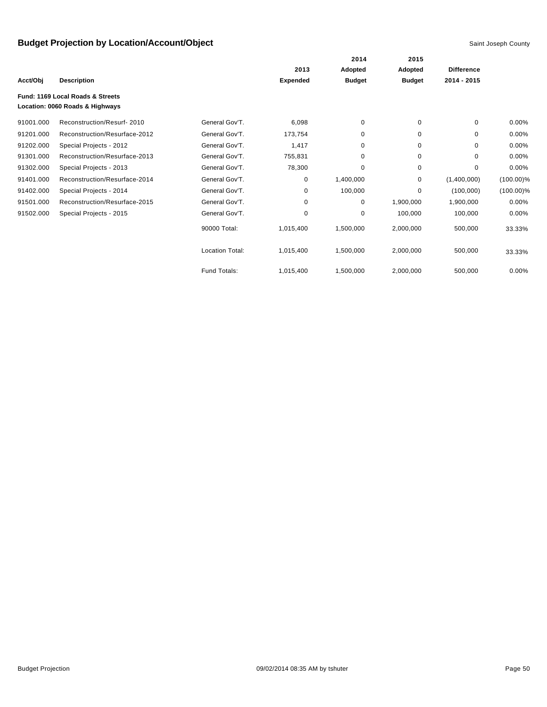|           |                                                                     |                        |                 | 2014          | 2015          |                   |              |
|-----------|---------------------------------------------------------------------|------------------------|-----------------|---------------|---------------|-------------------|--------------|
|           |                                                                     |                        | 2013            | Adopted       | Adopted       | <b>Difference</b> |              |
| Acct/Obj  | <b>Description</b>                                                  |                        | <b>Expended</b> | <b>Budget</b> | <b>Budget</b> | 2014 - 2015       |              |
|           | Fund: 1169 Local Roads & Streets<br>Location: 0060 Roads & Highways |                        |                 |               |               |                   |              |
| 91001.000 | Reconstruction/Resurf-2010                                          | General Gov'T.         | 6,098           | 0             | 0             | $\Omega$          | 0.00%        |
| 91201.000 | Reconstruction/Resurface-2012                                       | General Gov'T.         | 173,754         | 0             | 0             | $\Omega$          | 0.00%        |
| 91202.000 | Special Projects - 2012                                             | General Gov'T.         | 1,417           | 0             | 0             | $\Omega$          | 0.00%        |
| 91301.000 | Reconstruction/Resurface-2013                                       | General Gov'T.         | 755,831         | 0             | 0             | $\Omega$          | 0.00%        |
| 91302.000 | Special Projects - 2013                                             | General Gov'T.         | 78,300          | 0             | 0             | $\mathbf 0$       | 0.00%        |
| 91401.000 | Reconstruction/Resurface-2014                                       | General Gov'T.         | 0               | 1,400,000     | 0             | (1,400,000)       | $(100.00)\%$ |
| 91402.000 | Special Projects - 2014                                             | General Gov'T.         | 0               | 100,000       | $\Omega$      | (100,000)         | $(100.00)\%$ |
| 91501.000 | Reconstruction/Resurface-2015                                       | General Gov'T.         | 0               | 0             | 1,900,000     | 1,900,000         | 0.00%        |
| 91502.000 | Special Projects - 2015                                             | General Gov'T.         | $\mathbf 0$     | $\mathbf 0$   | 100,000       | 100,000           | 0.00%        |
|           |                                                                     | 90000 Total:           | 1,015,400       | 1,500,000     | 2,000,000     | 500,000           | 33.33%       |
|           |                                                                     | <b>Location Total:</b> | 1,015,400       | 1,500,000     | 2,000,000     | 500,000           | 33.33%       |
|           |                                                                     | Fund Totals:           | 1,015,400       | 1,500,000     | 2,000,000     | 500,000           | 0.00%        |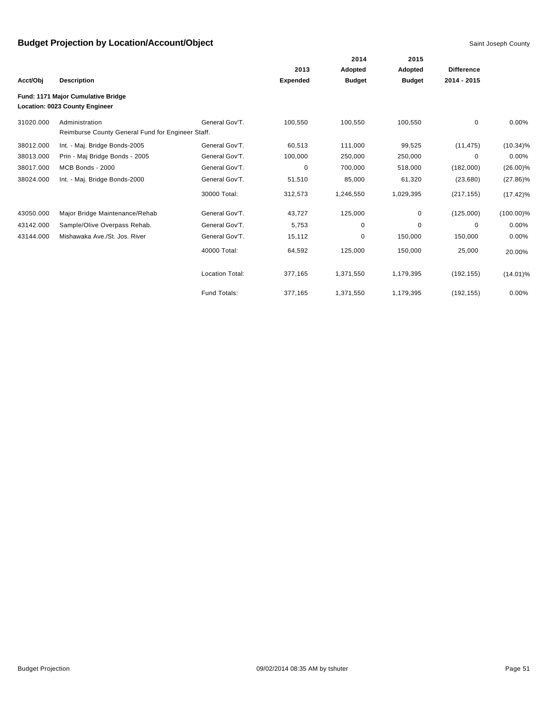|           |                                                                      |                        |                 | 2014          | 2015          |                   |              |
|-----------|----------------------------------------------------------------------|------------------------|-----------------|---------------|---------------|-------------------|--------------|
|           |                                                                      |                        | 2013            | Adopted       | Adopted       | <b>Difference</b> |              |
| Acct/Obj  | <b>Description</b>                                                   |                        | <b>Expended</b> | <b>Budget</b> | <b>Budget</b> | 2014 - 2015       |              |
|           | Fund: 1171 Major Cumulative Bridge<br>Location: 0023 County Engineer |                        |                 |               |               |                   |              |
| 31020.000 | Administration<br>Reimburse County General Fund for Engineer Staff.  | General Gov'T.         | 100,550         | 100,550       | 100,550       | $\mathbf 0$       | $0.00\%$     |
| 38012.000 | Int. - Maj. Bridge Bonds-2005                                        | General Gov'T.         | 60,513          | 111,000       | 99,525        | (11, 475)         | $(10.34)\%$  |
| 38013.000 | Prin - Maj Bridge Bonds - 2005                                       | General Gov'T.         | 100,000         | 250,000       | 250,000       | 0                 | $0.00\%$     |
| 38017.000 | MCB Bonds - 2000                                                     | General Gov'T.         | $\mathbf 0$     | 700,000       | 518,000       | (182,000)         | $(26.00)\%$  |
| 38024.000 | Int. - Maj. Bridge Bonds-2000                                        | General Gov'T.         | 51,510          | 85,000        | 61,320        | (23,680)          | $(27.86)\%$  |
|           |                                                                      | 30000 Total:           | 312,573         | 1,246,550     | 1,029,395     | (217, 155)        | $(17.42)\%$  |
| 43050.000 | Major Bridge Maintenance/Rehab                                       | General Gov'T.         | 43,727          | 125,000       | 0             | (125,000)         | $(100.00)\%$ |
| 43142.000 | Sample/Olive Overpass Rehab.                                         | General Gov'T.         | 5,753           | 0             | $\mathbf 0$   | 0                 | 0.00%        |
| 43144.000 | Mishawaka Ave./St. Jos. River                                        | General Gov'T.         | 15,112          | 0             | 150,000       | 150,000           | 0.00%        |
|           |                                                                      | 40000 Total:           | 64,592          | 125,000       | 150,000       | 25,000            | 20.00%       |
|           |                                                                      | <b>Location Total:</b> | 377,165         | 1,371,550     | 1,179,395     | (192, 155)        | $(14.01)\%$  |
|           |                                                                      | Fund Totals:           | 377.165         | 1,371,550     | 1,179,395     | (192, 155)        | $0.00\%$     |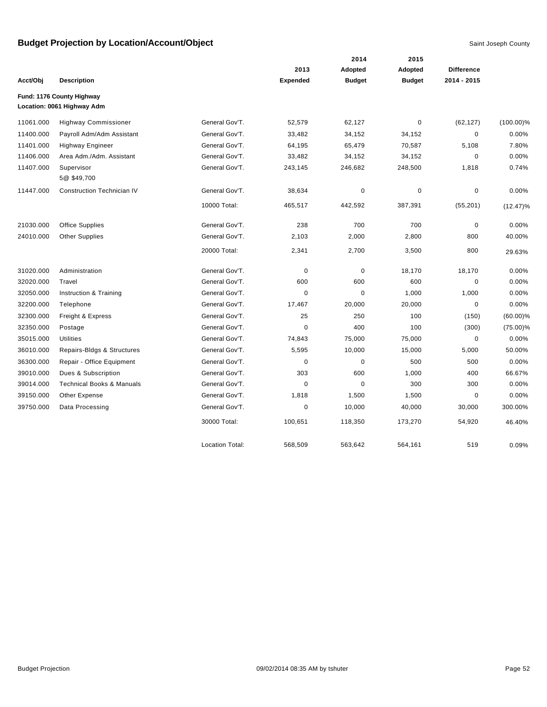|           |                                      |                        |                 | 2014          | 2015          |                   |              |
|-----------|--------------------------------------|------------------------|-----------------|---------------|---------------|-------------------|--------------|
|           |                                      |                        | 2013            | Adopted       | Adopted       | <b>Difference</b> |              |
| Acct/Obj  | <b>Description</b>                   |                        | <b>Expended</b> | <b>Budget</b> | <b>Budget</b> | 2014 - 2015       |              |
|           | Fund: 1176 County Highway            |                        |                 |               |               |                   |              |
|           | Location: 0061 Highway Adm           |                        |                 |               |               |                   |              |
| 11061.000 | <b>Highway Commissioner</b>          | General Gov'T.         | 52,579          | 62,127        | $\mathbf 0$   | (62, 127)         | $(100.00)\%$ |
| 11400.000 | Payroll Adm/Adm Assistant            | General Gov'T.         | 33,482          | 34,152        | 34,152        | $\pmb{0}$         | 0.00%        |
| 11401.000 | <b>Highway Engineer</b>              | General Gov'T.         | 64,195          | 65,479        | 70,587        | 5,108             | 7.80%        |
| 11406.000 | Area Adm./Adm. Assistant             | General Gov'T.         | 33,482          | 34,152        | 34,152        | $\pmb{0}$         | 0.00%        |
| 11407.000 | Supervisor<br>5@ \$49,700            | General Gov'T.         | 243,145         | 246,682       | 248,500       | 1,818             | 0.74%        |
| 11447.000 | <b>Construction Technician IV</b>    | General Gov'T.         | 38,634          | $\mathbf 0$   | $\pmb{0}$     | $\mathbf 0$       | 0.00%        |
|           |                                      | 10000 Total:           | 465,517         | 442,592       | 387,391       | (55, 201)         | $(12.47)\%$  |
| 21030.000 | <b>Office Supplies</b>               | General Gov'T.         | 238             | 700           | 700           | $\pmb{0}$         | 0.00%        |
| 24010.000 | <b>Other Supplies</b>                | General Gov'T.         | 2,103           | 2,000         | 2,800         | 800               | 40.00%       |
|           |                                      | 20000 Total:           | 2,341           | 2,700         | 3,500         | 800               | 29.63%       |
| 31020.000 | Administration                       | General Gov'T.         | $\mathbf 0$     | $\pmb{0}$     | 18,170        | 18,170            | 0.00%        |
| 32020.000 | Travel                               | General Gov'T.         | 600             | 600           | 600           | $\mathbf 0$       | 0.00%        |
| 32050.000 | Instruction & Training               | General Gov'T.         | $\mathbf 0$     | $\pmb{0}$     | 1,000         | 1,000             | 0.00%        |
| 32200.000 | Telephone                            | General Gov'T.         | 17,467          | 20,000        | 20,000        | $\mathbf 0$       | 0.00%        |
| 32300.000 | Freight & Express                    | General Gov'T.         | 25              | 250           | 100           | (150)             | $(60.00)\%$  |
| 32350.000 | Postage                              | General Gov'T.         | $\Omega$        | 400           | 100           | (300)             | $(75.00)\%$  |
| 35015.000 | <b>Utilities</b>                     | General Gov'T.         | 74,843          | 75,000        | 75,000        | $\mathbf 0$       | 0.00%        |
| 36010.000 | Repairs-Bldgs & Structures           | General Gov'T.         | 5,595           | 10,000        | 15,000        | 5,000             | 50.00%       |
| 36300.000 | Repair - Office Equipment            | General Gov'T.         | $\mathbf 0$     | $\mathbf 0$   | 500           | 500               | 0.00%        |
| 39010.000 | Dues & Subscription                  | General Gov'T.         | 303             | 600           | 1,000         | 400               | 66.67%       |
| 39014.000 | <b>Technical Books &amp; Manuals</b> | General Gov'T.         | $\mathbf 0$     | $\pmb{0}$     | 300           | 300               | 0.00%        |
| 39150.000 | Other Expense                        | General Gov'T.         | 1,818           | 1,500         | 1,500         | $\mathbf 0$       | 0.00%        |
| 39750.000 | Data Processing                      | General Gov'T.         | $\mathbf 0$     | 10,000        | 40,000        | 30,000            | 300.00%      |
|           |                                      | 30000 Total:           | 100,651         | 118,350       | 173,270       | 54,920            | 46.40%       |
|           |                                      | <b>Location Total:</b> | 568,509         | 563,642       | 564,161       | 519               | 0.09%        |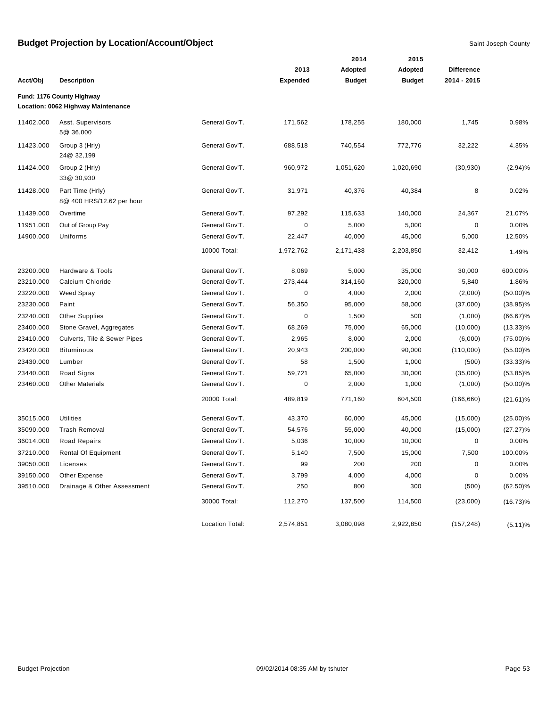|           |                                                                 |                 |                 | 2014          | 2015          |                   |             |
|-----------|-----------------------------------------------------------------|-----------------|-----------------|---------------|---------------|-------------------|-------------|
|           |                                                                 |                 | 2013            | Adopted       | Adopted       | <b>Difference</b> |             |
| Acct/Obj  | <b>Description</b>                                              |                 | <b>Expended</b> | <b>Budget</b> | <b>Budget</b> | 2014 - 2015       |             |
|           | Fund: 1176 County Highway<br>Location: 0062 Highway Maintenance |                 |                 |               |               |                   |             |
| 11402.000 | Asst. Supervisors<br>5@ 36,000                                  | General Gov'T.  | 171,562         | 178,255       | 180,000       | 1,745             | 0.98%       |
| 11423.000 | Group 3 (Hrly)<br>24@ 32,199                                    | General Gov'T.  | 688,518         | 740,554       | 772,776       | 32,222            | 4.35%       |
| 11424.000 | Group 2 (Hrly)<br>33@ 30,930                                    | General Gov'T.  | 960,972         | 1,051,620     | 1,020,690     | (30, 930)         | (2.94)%     |
| 11428.000 | Part Time (Hrly)<br>8@ 400 HRS/12.62 per hour                   | General Gov'T.  | 31,971          | 40,376        | 40,384        | 8                 | 0.02%       |
| 11439.000 | Overtime                                                        | General Gov'T.  | 97,292          | 115,633       | 140,000       | 24,367            | 21.07%      |
| 11951.000 | Out of Group Pay                                                | General Gov'T.  | 0               | 5,000         | 5,000         | 0                 | 0.00%       |
| 14900.000 | Uniforms                                                        | General Gov'T.  | 22,447          | 40,000        | 45,000        | 5,000             | 12.50%      |
|           |                                                                 | 10000 Total:    | 1,972,762       | 2,171,438     | 2,203,850     | 32,412            | 1.49%       |
| 23200.000 | Hardware & Tools                                                | General Gov'T.  | 8,069           | 5,000         | 35,000        | 30,000            | 600.00%     |
| 23210.000 | Calcium Chloride                                                | General Gov'T.  | 273,444         | 314,160       | 320,000       | 5,840             | 1.86%       |
| 23220.000 | Weed Spray                                                      | General Gov'T.  | 0               | 4,000         | 2,000         | (2,000)           | $(50.00)\%$ |
| 23230.000 | Paint                                                           | General Gov'T.  | 56,350          | 95,000        | 58,000        | (37,000)          | $(38.95)\%$ |
| 23240.000 | <b>Other Supplies</b>                                           | General Gov'T.  | 0               | 1,500         | 500           | (1,000)           | $(66.67)\%$ |
| 23400.000 | Stone Gravel, Aggregates                                        | General Gov'T.  | 68,269          | 75,000        | 65,000        | (10,000)          | $(13.33)\%$ |
| 23410.000 | Culverts, Tile & Sewer Pipes                                    | General Gov'T.  | 2,965           | 8,000         | 2,000         | (6,000)           | $(75.00)\%$ |
| 23420.000 | <b>Bituminous</b>                                               | General Gov'T.  | 20,943          | 200,000       | 90,000        | (110,000)         | $(55.00)\%$ |
| 23430.000 | Lumber                                                          | General Gov'T.  | 58              | 1,500         | 1,000         | (500)             | $(33.33)\%$ |
| 23440.000 | Road Signs                                                      | General Gov'T.  | 59,721          | 65,000        | 30,000        | (35,000)          | $(53.85)\%$ |
| 23460.000 | <b>Other Materials</b>                                          | General Gov'T.  | 0               | 2,000         | 1,000         | (1,000)           | $(50.00)\%$ |
|           |                                                                 | 20000 Total:    | 489,819         | 771,160       | 604,500       | (166, 660)        | $(21.61)\%$ |
| 35015.000 | <b>Utilities</b>                                                | General Gov'T.  | 43,370          | 60,000        | 45,000        | (15,000)          | $(25.00)\%$ |
| 35090.000 | <b>Trash Removal</b>                                            | General Gov'T.  | 54,576          | 55,000        | 40,000        | (15,000)          | $(27.27)\%$ |
| 36014.000 | Road Repairs                                                    | General Gov'T.  | 5,036           | 10,000        | 10,000        | 0                 | 0.00%       |
| 37210.000 | Rental Of Equipment                                             | General Gov'T.  | 5,140           | 7,500         | 15,000        | 7,500             | 100.00%     |
| 39050.000 | Licenses                                                        | General Gov'T.  | 99              | 200           | 200           | $\pmb{0}$         | 0.00%       |
| 39150.000 | Other Expense                                                   | General Gov'T.  | 3,799           | 4,000         | 4,000         | 0                 | 0.00%       |
| 39510.000 | Drainage & Other Assessment                                     | General Gov'T.  | 250             | 800           | 300           | (500)             | $(62.50)\%$ |
|           |                                                                 | 30000 Total:    | 112,270         | 137,500       | 114,500       | (23,000)          | $(16.73)\%$ |
|           |                                                                 | Location Total: | 2,574,851       | 3,080,098     | 2,922,850     | (157, 248)        | $(5.11)\%$  |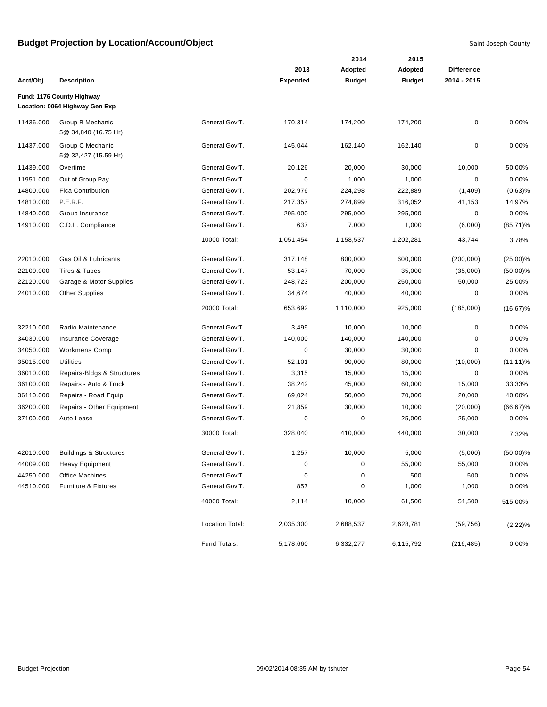|           |                                                             |                 |                 | 2014          | 2015          |                   |             |
|-----------|-------------------------------------------------------------|-----------------|-----------------|---------------|---------------|-------------------|-------------|
|           |                                                             |                 | 2013            | Adopted       | Adopted       | <b>Difference</b> |             |
| Acct/Obj  | <b>Description</b>                                          |                 | <b>Expended</b> | <b>Budget</b> | <b>Budget</b> | 2014 - 2015       |             |
|           | Fund: 1176 County Highway<br>Location: 0064 Highway Gen Exp |                 |                 |               |               |                   |             |
| 11436.000 | Group B Mechanic<br>5@ 34,840 (16.75 Hr)                    | General Gov'T.  | 170,314         | 174,200       | 174,200       | 0                 | 0.00%       |
| 11437.000 | Group C Mechanic<br>5@ 32,427 (15.59 Hr)                    | General Gov'T.  | 145,044         | 162,140       | 162,140       | 0                 | 0.00%       |
| 11439.000 | Overtime                                                    | General Gov'T.  | 20,126          | 20,000        | 30,000        | 10,000            | 50.00%      |
| 11951.000 | Out of Group Pay                                            | General Gov'T.  | 0               | 1,000         | 1,000         | 0                 | 0.00%       |
| 14800.000 | <b>Fica Contribution</b>                                    | General Gov'T.  | 202,976         | 224,298       | 222,889       | (1,409)           | (0.63)%     |
| 14810.000 | P.E.R.F.                                                    | General Gov'T.  | 217,357         | 274,899       | 316,052       | 41,153            | 14.97%      |
| 14840.000 | Group Insurance                                             | General Gov'T.  | 295,000         | 295,000       | 295,000       | 0                 | 0.00%       |
| 14910.000 | C.D.L. Compliance                                           | General Gov'T.  | 637             | 7,000         | 1,000         | (6,000)           | $(85.71)\%$ |
|           |                                                             | 10000 Total:    | 1,051,454       | 1,158,537     | 1,202,281     | 43,744            | 3.78%       |
| 22010.000 | Gas Oil & Lubricants                                        | General Gov'T.  | 317,148         | 800,000       | 600,000       | (200,000)         | $(25.00)\%$ |
| 22100.000 | Tires & Tubes                                               | General Gov'T.  | 53,147          | 70,000        | 35,000        | (35,000)          | $(50.00)\%$ |
| 22120.000 | Garage & Motor Supplies                                     | General Gov'T.  | 248,723         | 200,000       | 250,000       | 50,000            | 25.00%      |
| 24010.000 | <b>Other Supplies</b>                                       | General Gov'T.  | 34,674          | 40,000        | 40,000        | 0                 | 0.00%       |
|           |                                                             | 20000 Total:    | 653,692         | 1,110,000     | 925,000       | (185,000)         | $(16.67)\%$ |
| 32210.000 | Radio Maintenance                                           | General Gov'T.  | 3,499           | 10,000        | 10,000        | 0                 | 0.00%       |
| 34030.000 | Insurance Coverage                                          | General Gov'T.  | 140,000         | 140,000       | 140,000       | 0                 | 0.00%       |
| 34050.000 | <b>Workmens Comp</b>                                        | General Gov'T.  | 0               | 30,000        | 30,000        | 0                 | 0.00%       |
| 35015.000 | Utilities                                                   | General Gov'T.  | 52,101          | 90,000        | 80,000        | (10,000)          | $(11.11)\%$ |
| 36010.000 | Repairs-Bldgs & Structures                                  | General Gov'T.  | 3,315           | 15,000        | 15,000        | 0                 | 0.00%       |
| 36100.000 | Repairs - Auto & Truck                                      | General Gov'T.  | 38,242          | 45,000        | 60,000        | 15,000            | 33.33%      |
| 36110.000 | Repairs - Road Equip                                        | General Gov'T.  | 69,024          | 50,000        | 70,000        | 20,000            | 40.00%      |
| 36200.000 | Repairs - Other Equipment                                   | General Gov'T.  | 21,859          | 30,000        | 10,000        | (20,000)          | $(66.67)\%$ |
| 37100.000 | Auto Lease                                                  | General Gov'T.  | 0               | 0             | 25,000        | 25,000            | 0.00%       |
|           |                                                             | 30000 Total:    | 328,040         | 410,000       | 440,000       | 30,000            | 7.32%       |
| 42010.000 | <b>Buildings &amp; Structures</b>                           | General Gov'T.  | 1,257           | 10,000        | 5,000         | (5,000)           | $(50.00)\%$ |
| 44009.000 | <b>Heavy Equipment</b>                                      | General Gov'T.  | $\pmb{0}$       | $\pmb{0}$     | 55,000        | 55,000            | 0.00%       |
| 44250.000 | Office Machines                                             | General Gov'T.  | 0               | 0             | 500           | 500               | 0.00%       |
| 44510.000 | Furniture & Fixtures                                        | General Gov'T.  | 857             | $\pmb{0}$     | 1,000         | 1,000             | 0.00%       |
|           |                                                             | 40000 Total:    | 2,114           | 10,000        | 61,500        | 51,500            | 515.00%     |
|           |                                                             | Location Total: | 2,035,300       | 2,688,537     | 2,628,781     | (59, 756)         | (2.22)%     |
|           |                                                             | Fund Totals:    | 5,178,660       | 6,332,277     | 6,115,792     | (216, 485)        | 0.00%       |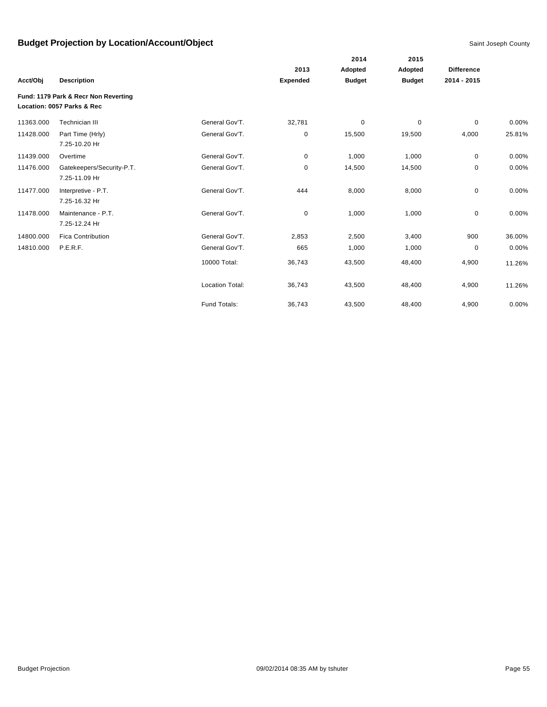|           |                                      |                        |               | 2014          | 2015        |                   |        |
|-----------|--------------------------------------|------------------------|---------------|---------------|-------------|-------------------|--------|
|           |                                      |                        | 2013          | Adopted       | Adopted     | <b>Difference</b> |        |
| Acct/Obj  | <b>Description</b>                   | <b>Expended</b>        | <b>Budget</b> | <b>Budget</b> | 2014 - 2015 |                   |        |
|           | Fund: 1179 Park & Recr Non Reverting |                        |               |               |             |                   |        |
|           | Location: 0057 Parks & Rec           |                        |               |               |             |                   |        |
| 11363.000 | Technician III                       | General Gov'T.         | 32,781        | $\mathbf 0$   | $\mathbf 0$ | 0                 | 0.00%  |
| 11428.000 | Part Time (Hrly)                     | General Gov'T.         | 0             | 15,500        | 19,500      | 4,000             | 25.81% |
|           | 7.25-10.20 Hr                        |                        |               |               |             |                   |        |
| 11439.000 | Overtime                             | General Gov'T.         | 0             | 1,000         | 1,000       | 0                 | 0.00%  |
| 11476.000 | Gatekeepers/Security-P.T.            | General Gov'T.         | 0             | 14,500        | 14,500      | 0                 | 0.00%  |
|           | 7.25-11.09 Hr                        |                        |               |               |             |                   |        |
| 11477.000 | Interpretive - P.T.                  | General Gov'T.         | 444           | 8,000         | 8,000       | 0                 | 0.00%  |
|           | 7.25-16.32 Hr                        |                        |               |               |             |                   |        |
| 11478.000 | Maintenance - P.T.                   | General Gov'T.         | 0             | 1,000         | 1,000       | $\mathbf 0$       | 0.00%  |
|           | 7.25-12.24 Hr                        |                        |               |               |             |                   |        |
| 14800.000 | <b>Fica Contribution</b>             | General Gov'T.         | 2,853         | 2,500         | 3,400       | 900               | 36.00% |
| 14810.000 | P.E.R.F.                             | General Gov'T.         | 665           | 1,000         | 1,000       | $\mathbf 0$       | 0.00%  |
|           |                                      | 10000 Total:           | 36,743        | 43,500        | 48,400      | 4,900             | 11.26% |
|           |                                      |                        |               |               |             |                   |        |
|           |                                      | <b>Location Total:</b> | 36,743        | 43,500        | 48,400      | 4,900             | 11.26% |
|           |                                      |                        |               |               |             |                   |        |
|           |                                      | <b>Fund Totals:</b>    | 36,743        | 43,500        | 48,400      | 4,900             | 0.00%  |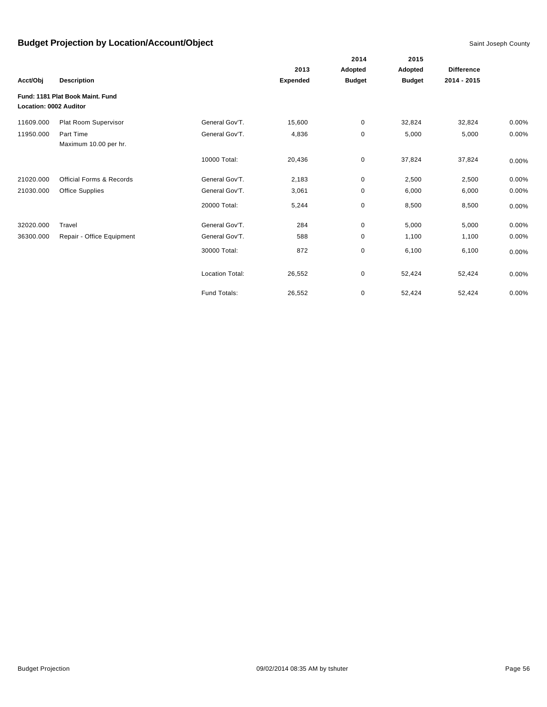|                               |                                     |                        |                 | 2014          | 2015          |                   |       |
|-------------------------------|-------------------------------------|------------------------|-----------------|---------------|---------------|-------------------|-------|
|                               |                                     |                        | 2013            | Adopted       | Adopted       | <b>Difference</b> |       |
| Acct/Obj                      | <b>Description</b>                  |                        | <b>Expended</b> | <b>Budget</b> | <b>Budget</b> | 2014 - 2015       |       |
| <b>Location: 0002 Auditor</b> | Fund: 1181 Plat Book Maint, Fund    |                        |                 |               |               |                   |       |
| 11609.000                     | Plat Room Supervisor                | General Gov'T.         | 15,600          | 0             | 32,824        | 32,824            | 0.00% |
| 11950.000                     | Part Time<br>Maximum 10.00 per hr.  | General Gov'T.         | 4,836           | 0             | 5,000         | 5,000             | 0.00% |
|                               |                                     | 10000 Total:           | 20,436          | $\mathbf 0$   | 37,824        | 37,824            | 0.00% |
| 21020.000                     | <b>Official Forms &amp; Records</b> | General Gov'T.         | 2,183           | 0             | 2,500         | 2,500             | 0.00% |
| 21030.000                     | <b>Office Supplies</b>              | General Gov'T.         | 3,061           | 0             | 6,000         | 6,000             | 0.00% |
|                               |                                     | 20000 Total:           | 5,244           | 0             | 8,500         | 8,500             | 0.00% |
| 32020.000                     | Travel                              | General Gov'T.         | 284             | 0             | 5,000         | 5,000             | 0.00% |
| 36300.000                     | Repair - Office Equipment           | General Gov'T.         | 588             | 0             | 1,100         | 1,100             | 0.00% |
|                               |                                     | 30000 Total:           | 872             | 0             | 6,100         | 6,100             | 0.00% |
|                               |                                     | <b>Location Total:</b> | 26,552          | 0             | 52,424        | 52,424            | 0.00% |
|                               |                                     | Fund Totals:           | 26,552          | 0             | 52,424        | 52,424            | 0.00% |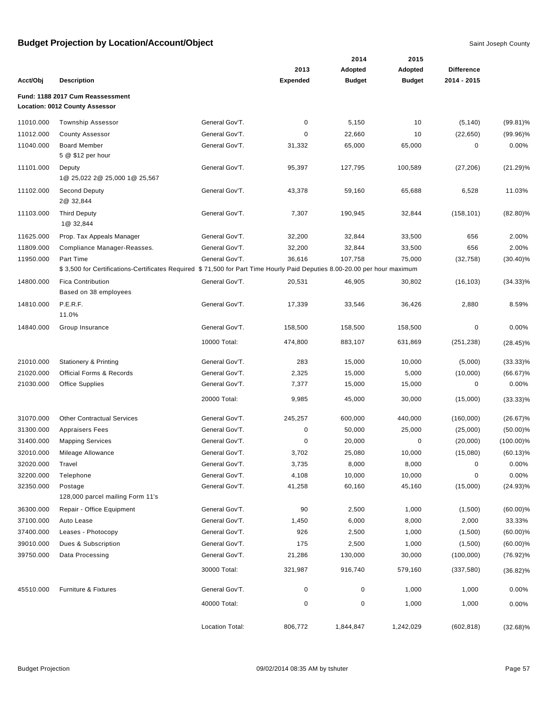|           |                                                                                                                          |                 |                 | 2014          | 2015          |                   |              |
|-----------|--------------------------------------------------------------------------------------------------------------------------|-----------------|-----------------|---------------|---------------|-------------------|--------------|
|           |                                                                                                                          |                 | 2013            | Adopted       | Adopted       | <b>Difference</b> |              |
| Acct/Obj  | <b>Description</b>                                                                                                       |                 | <b>Expended</b> | <b>Budget</b> | <b>Budget</b> | 2014 - 2015       |              |
|           | Fund: 1188 2017 Cum Reassessment<br>Location: 0012 County Assessor                                                       |                 |                 |               |               |                   |              |
| 11010.000 | <b>Township Assessor</b>                                                                                                 | General Gov'T.  | 0               | 5,150         | 10            | (5, 140)          | $(99.81)\%$  |
| 11012.000 | <b>County Assessor</b>                                                                                                   | General Gov'T.  | 0               | 22,660        | 10            | (22, 650)         | $(99.96)\%$  |
| 11040.000 | <b>Board Member</b>                                                                                                      | General Gov'T.  | 31,332          | 65,000        | 65,000        | 0                 | 0.00%        |
|           | 5 @ \$12 per hour                                                                                                        |                 |                 |               |               |                   |              |
| 11101.000 | Deputy<br>1@ 25,022 2@ 25,000 1@ 25,567                                                                                  | General Gov'T.  | 95,397          | 127,795       | 100,589       | (27, 206)         | (21.29)%     |
| 11102.000 | <b>Second Deputy</b><br>2@ 32,844                                                                                        | General Gov'T.  | 43,378          | 59,160        | 65,688        | 6,528             | 11.03%       |
| 11103.000 | <b>Third Deputy</b><br>1@ 32,844                                                                                         | General Gov'T.  | 7,307           | 190,945       | 32,844        | (158, 101)        | $(82.80)\%$  |
| 11625.000 | Prop. Tax Appeals Manager                                                                                                | General Gov'T.  | 32,200          | 32,844        | 33,500        | 656               | 2.00%        |
| 11809.000 | Compliance Manager-Reasses.                                                                                              | General Gov'T.  | 32,200          | 32,844        | 33,500        | 656               | 2.00%        |
| 11950.000 | Part Time                                                                                                                | General Gov'T.  | 36,616          | 107,758       | 75,000        | (32, 758)         | $(30.40)\%$  |
|           | \$3,500 for Certifications-Certificates Required \$71,500 for Part Time Hourly Paid Deputies 8.00-20.00 per hour maximum |                 |                 |               |               |                   |              |
| 14800.000 | <b>Fica Contribution</b><br>Based on 38 employees                                                                        | General Gov'T.  | 20,531          | 46,905        | 30,802        | (16, 103)         | $(34.33)\%$  |
| 14810.000 | P.E.R.F.<br>11.0%                                                                                                        | General Gov'T.  | 17,339          | 33,546        | 36,426        | 2,880             | 8.59%        |
| 14840.000 | Group Insurance                                                                                                          | General Gov'T.  | 158,500         | 158,500       | 158,500       | 0                 | 0.00%        |
|           |                                                                                                                          | 10000 Total:    | 474,800         | 883,107       | 631,869       | (251, 238)        | $(28.45)\%$  |
|           |                                                                                                                          |                 |                 |               |               |                   |              |
| 21010.000 | <b>Stationery &amp; Printing</b>                                                                                         | General Gov'T.  | 283             | 15,000        | 10,000        | (5,000)           | $(33.33)\%$  |
| 21020.000 | <b>Official Forms &amp; Records</b>                                                                                      | General Gov'T.  | 2,325           | 15,000        | 5,000         | (10,000)          | $(66.67)\%$  |
| 21030.000 | <b>Office Supplies</b>                                                                                                   | General Gov'T.  | 7,377           | 15,000        | 15,000        | 0                 | 0.00%        |
|           |                                                                                                                          | 20000 Total:    | 9,985           | 45,000        | 30,000        | (15,000)          | $(33.33)\%$  |
| 31070.000 | <b>Other Contractual Services</b>                                                                                        | General Gov'T.  | 245,257         | 600,000       | 440,000       | (160,000)         | $(26.67)\%$  |
| 31300.000 | <b>Appraisers Fees</b>                                                                                                   | General Gov'T.  | $\pmb{0}$       | 50,000        | 25,000        | (25,000)          | $(50.00)\%$  |
| 31400.000 | <b>Mapping Services</b>                                                                                                  | General Gov'T.  | 0               | 20,000        | 0             | (20,000)          | $(100.00)\%$ |
| 32010.000 | Mileage Allowance                                                                                                        | General Gov'T.  | 3,702           | 25,080        | 10,000        | (15,080)          | $(60.13)\%$  |
| 32020.000 | Travel                                                                                                                   | General Gov'T.  | 3,735           | 8,000         | 8,000         | $\mathbf 0$       | 0.00%        |
| 32200.000 | Telephone                                                                                                                | General Gov'T.  | 4,108           | 10,000        | 10,000        | 0                 | 0.00%        |
| 32350.000 | Postage<br>128,000 parcel mailing Form 11's                                                                              | General Gov'T.  | 41,258          | 60,160        | 45,160        | (15,000)          | $(24.93)\%$  |
| 36300.000 | Repair - Office Equipment                                                                                                | General Gov'T.  | 90              | 2,500         | 1,000         | (1,500)           | $(60.00)\%$  |
| 37100.000 | Auto Lease                                                                                                               | General Gov'T.  | 1,450           | 6,000         | 8,000         | 2,000             | 33.33%       |
| 37400.000 | Leases - Photocopy                                                                                                       | General Gov'T.  | 926             | 2,500         | 1,000         | (1,500)           | $(60.00)\%$  |
| 39010.000 | Dues & Subscription                                                                                                      | General Gov'T.  | 175             | 2,500         | 1,000         | (1,500)           | $(60.00)\%$  |
| 39750.000 | Data Processing                                                                                                          | General Gov'T.  | 21,286          | 130,000       | 30,000        | (100,000)         | $(76.92)\%$  |
|           |                                                                                                                          | 30000 Total:    | 321,987         | 916,740       | 579,160       | (337, 580)        | $(36.82)\%$  |
| 45510.000 | Furniture & Fixtures                                                                                                     | General Gov'T.  | 0               | $\pmb{0}$     | 1,000         | 1,000             | 0.00%        |
|           |                                                                                                                          | 40000 Total:    | 0               | $\pmb{0}$     | 1,000         | 1,000             | 0.00%        |
|           |                                                                                                                          | Location Total: | 806,772         | 1,844,847     | 1,242,029     | (602, 818)        | $(32.68)\%$  |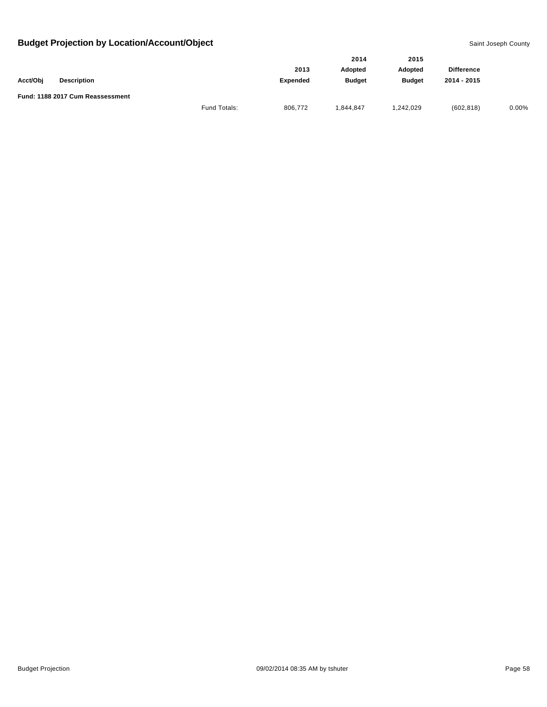|          |                                  |              |                 | 2014           | 2015          |                   |       |
|----------|----------------------------------|--------------|-----------------|----------------|---------------|-------------------|-------|
|          |                                  |              | 2013            | <b>Adopted</b> | Adopted       | <b>Difference</b> |       |
| Acct/Obj | <b>Description</b>               |              | <b>Expended</b> | <b>Budget</b>  | <b>Budget</b> | 2014 - 2015       |       |
|          | Fund: 1188 2017 Cum Reassessment |              |                 |                |               |                   |       |
|          |                                  | Fund Totals: | 806,772         | 1.844.847      | 1,242,029     | (602, 818)        | 0.00% |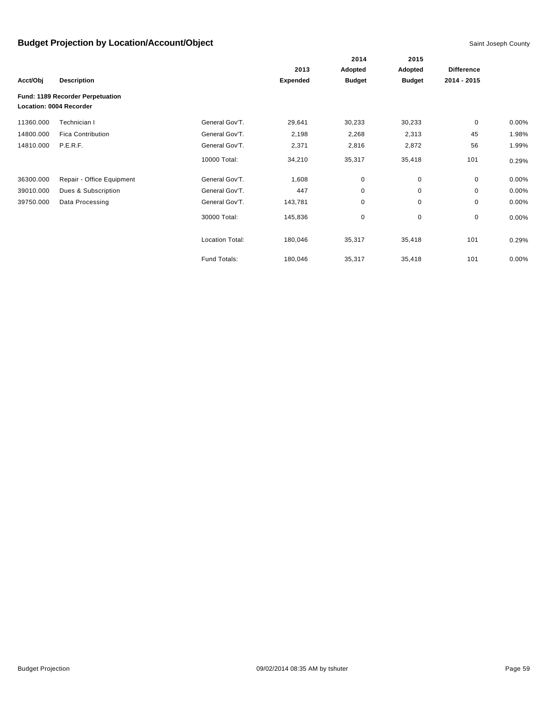|           |                                                             |                        |                 | 2014          | 2015          |                   |          |
|-----------|-------------------------------------------------------------|------------------------|-----------------|---------------|---------------|-------------------|----------|
|           |                                                             |                        | 2013            | Adopted       | Adopted       | <b>Difference</b> |          |
| Acct/Obj  | <b>Description</b>                                          |                        | <b>Expended</b> | <b>Budget</b> | <b>Budget</b> | 2014 - 2015       |          |
|           | Fund: 1189 Recorder Perpetuation<br>Location: 0004 Recorder |                        |                 |               |               |                   |          |
| 11360.000 | Technician I                                                | General Gov'T.         | 29,641          | 30,233        | 30,233        | $\mathbf 0$       | $0.00\%$ |
| 14800.000 | <b>Fica Contribution</b>                                    | General Gov'T.         | 2,198           | 2,268         | 2,313         | 45                | 1.98%    |
| 14810.000 | P.E.R.F.                                                    | General Gov'T.         | 2,371           | 2,816         | 2,872         | 56                | 1.99%    |
|           |                                                             | 10000 Total:           | 34,210          | 35,317        | 35,418        | 101               | 0.29%    |
| 36300.000 | Repair - Office Equipment                                   | General Gov'T.         | 1,608           | $\pmb{0}$     | 0             | $\mathbf{0}$      | $0.00\%$ |
| 39010.000 | Dues & Subscription                                         | General Gov'T.         | 447             | 0             | $\mathbf 0$   | 0                 | 0.00%    |
| 39750.000 | Data Processing                                             | General Gov'T.         | 143,781         | 0             | 0             | 0                 | 0.00%    |
|           |                                                             | 30000 Total:           | 145,836         | 0             | 0             | 0                 | $0.00\%$ |
|           |                                                             | <b>Location Total:</b> | 180,046         | 35,317        | 35,418        | 101               | 0.29%    |
|           |                                                             | Fund Totals:           | 180,046         | 35,317        | 35,418        | 101               | 0.00%    |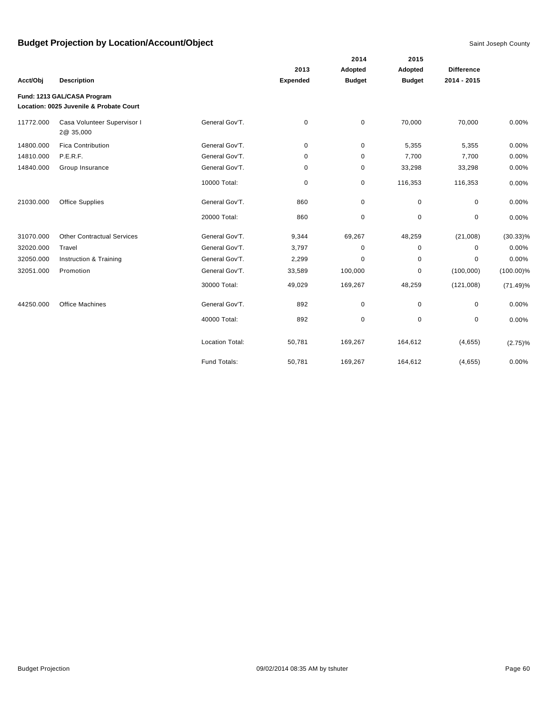|           |                                                                        |                        |             | 2014                     | 2015                     |                   |              |
|-----------|------------------------------------------------------------------------|------------------------|-------------|--------------------------|--------------------------|-------------------|--------------|
|           |                                                                        |                        | 2013        | Adopted<br><b>Budget</b> | Adopted<br><b>Budget</b> | <b>Difference</b> |              |
| Acct/Obj  | <b>Description</b>                                                     |                        | Expended    |                          |                          | 2014 - 2015       |              |
|           | Fund: 1213 GAL/CASA Program<br>Location: 0025 Juvenile & Probate Court |                        |             |                          |                          |                   |              |
| 11772.000 | Casa Volunteer Supervisor I<br>2@ 35,000                               | General Gov'T.         | $\mathbf 0$ | $\pmb{0}$                | 70,000                   | 70,000            | 0.00%        |
| 14800.000 | <b>Fica Contribution</b>                                               | General Gov'T.         | 0           | 0                        | 5,355                    | 5,355             | 0.00%        |
| 14810.000 | P.E.R.F.                                                               | General Gov'T.         | $\mathbf 0$ | 0                        | 7,700                    | 7,700             | 0.00%        |
| 14840.000 | Group Insurance                                                        | General Gov'T.         | 0           | 0                        | 33,298                   | 33,298            | 0.00%        |
|           |                                                                        | 10000 Total:           | $\mathbf 0$ | 0                        | 116,353                  | 116,353           | 0.00%        |
| 21030.000 | <b>Office Supplies</b>                                                 | General Gov'T.         | 860         | 0                        | 0                        | $\mathbf 0$       | 0.00%        |
|           |                                                                        | 20000 Total:           | 860         | $\mathbf 0$              | $\mathbf 0$              | 0                 | 0.00%        |
| 31070.000 | <b>Other Contractual Services</b>                                      | General Gov'T.         | 9,344       | 69,267                   | 48,259                   | (21,008)          | $(30.33)\%$  |
| 32020.000 | Travel                                                                 | General Gov'T.         | 3,797       | 0                        | $\mathbf 0$              | 0                 | 0.00%        |
| 32050.000 | Instruction & Training                                                 | General Gov'T.         | 2,299       | $\mathbf 0$              | $\mathbf 0$              | $\Omega$          | 0.00%        |
| 32051.000 | Promotion                                                              | General Gov'T.         | 33,589      | 100,000                  | $\mathbf 0$              | (100,000)         | $(100.00)\%$ |
|           |                                                                        | 30000 Total:           | 49,029      | 169,267                  | 48,259                   | (121,008)         | $(71.49)\%$  |
| 44250.000 | <b>Office Machines</b>                                                 | General Gov'T.         | 892         | 0                        | $\mathbf 0$              | 0                 | 0.00%        |
|           |                                                                        | 40000 Total:           | 892         | $\mathbf 0$              | $\mathbf 0$              | 0                 | 0.00%        |
|           |                                                                        | <b>Location Total:</b> | 50,781      | 169,267                  | 164,612                  | (4,655)           | $(2.75)\%$   |
|           |                                                                        | Fund Totals:           | 50,781      | 169,267                  | 164,612                  | (4,655)           | 0.00%        |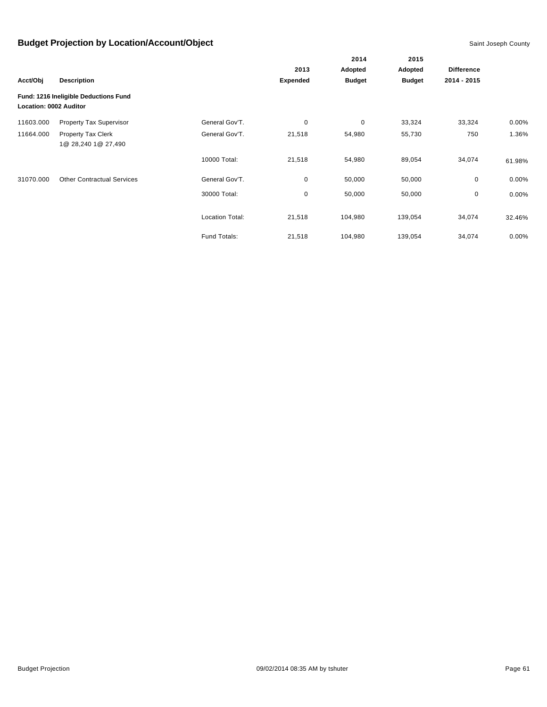|                        |                                       |                        |                 | 2014          | 2015          |                   |        |
|------------------------|---------------------------------------|------------------------|-----------------|---------------|---------------|-------------------|--------|
|                        |                                       |                        | 2013            | Adopted       | Adopted       | <b>Difference</b> |        |
| Acct/Obj               | <b>Description</b>                    |                        | <b>Expended</b> | <b>Budget</b> | <b>Budget</b> | 2014 - 2015       |        |
| Location: 0002 Auditor | Fund: 1216 Ineligible Deductions Fund |                        |                 |               |               |                   |        |
| 11603.000              | Property Tax Supervisor               | General Gov'T.         | 0               | 0             | 33,324        | 33,324            | 0.00%  |
| 11664.000              | Property Tax Clerk                    | General Gov'T.         | 21,518          | 54,980        | 55,730        | 750               | 1.36%  |
|                        | 1@ 28,240 1@ 27,490                   |                        |                 |               |               |                   |        |
|                        |                                       | 10000 Total:           | 21,518          | 54,980        | 89,054        | 34,074            | 61.98% |
| 31070.000              | <b>Other Contractual Services</b>     | General Gov'T.         | 0               | 50,000        | 50,000        | 0                 | 0.00%  |
|                        |                                       | 30000 Total:           | 0               | 50,000        | 50,000        | 0                 | 0.00%  |
|                        |                                       | <b>Location Total:</b> | 21,518          | 104,980       | 139,054       | 34,074            | 32.46% |
|                        |                                       | Fund Totals:           | 21,518          | 104,980       | 139,054       | 34,074            | 0.00%  |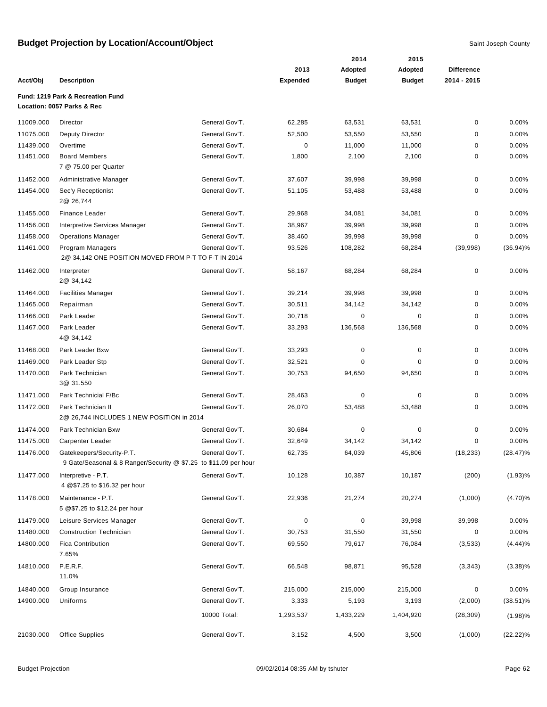|           |                                                                  |                |                 | 2014          | 2015          |                   |             |
|-----------|------------------------------------------------------------------|----------------|-----------------|---------------|---------------|-------------------|-------------|
|           |                                                                  |                | 2013            | Adopted       | Adopted       | <b>Difference</b> |             |
| Acct/Obj  | <b>Description</b>                                               |                | <b>Expended</b> | <b>Budget</b> | <b>Budget</b> | 2014 - 2015       |             |
|           | Fund: 1219 Park & Recreation Fund                                |                |                 |               |               |                   |             |
|           | Location: 0057 Parks & Rec                                       |                |                 |               |               |                   |             |
| 11009.000 | Director                                                         | General Gov'T. | 62,285          | 63,531        | 63,531        | 0                 | 0.00%       |
| 11075.000 | <b>Deputy Director</b>                                           | General Gov'T. | 52,500          | 53,550        | 53,550        | 0                 | 0.00%       |
| 11439.000 | Overtime                                                         | General Gov'T. | 0               | 11,000        | 11,000        | 0                 | 0.00%       |
| 11451.000 | <b>Board Members</b><br>7 @ 75.00 per Quarter                    | General Gov'T. | 1,800           | 2,100         | 2,100         | 0                 | 0.00%       |
| 11452.000 | Administrative Manager                                           | General Gov'T. | 37,607          | 39,998        | 39,998        | 0                 | 0.00%       |
| 11454.000 | Sec'y Receptionist<br>2@ 26,744                                  | General Gov'T. | 51,105          | 53,488        | 53,488        | 0                 | 0.00%       |
| 11455.000 | <b>Finance Leader</b>                                            | General Gov'T. | 29,968          | 34,081        | 34,081        | 0                 | 0.00%       |
| 11456.000 | Interpretive Services Manager                                    | General Gov'T. | 38,967          | 39,998        | 39,998        | 0                 | 0.00%       |
| 11458.000 | <b>Operations Manager</b>                                        | General Gov'T. | 38,460          | 39,998        | 39,998        | 0                 | 0.00%       |
| 11461.000 | Program Managers                                                 | General Gov'T. | 93,526          | 108,282       | 68,284        | (39,998)          | $(36.94)\%$ |
|           | 2@ 34,142 ONE POSITION MOVED FROM P-T TO F-T IN 2014             |                |                 |               |               |                   |             |
| 11462.000 | Interpreter<br>2@ 34,142                                         | General Gov'T. | 58,167          | 68,284        | 68,284        | 0                 | 0.00%       |
| 11464.000 | <b>Facilities Manager</b>                                        | General Gov'T. | 39,214          | 39,998        | 39,998        | $\mathbf 0$       | 0.00%       |
| 11465.000 | Repairman                                                        | General Gov'T. | 30,511          | 34,142        | 34,142        | 0                 | 0.00%       |
| 11466.000 | Park Leader                                                      | General Gov'T. | 30,718          | $\pmb{0}$     | $\mathbf 0$   | 0                 | 0.00%       |
| 11467.000 | Park Leader<br>4@ 34,142                                         | General Gov'T. | 33,293          | 136,568       | 136,568       | 0                 | 0.00%       |
| 11468.000 | Park Leader Bxw                                                  | General Gov'T. | 33,293          | 0             | 0             | 0                 | 0.00%       |
| 11469.000 | Park Leader Stp                                                  | General Gov'T. | 32,521          | 0             | 0             | 0                 | 0.00%       |
| 11470.000 | Park Technician                                                  | General Gov'T. | 30,753          | 94,650        | 94,650        | 0                 | 0.00%       |
|           | 3@ 31.550                                                        |                |                 |               |               |                   |             |
| 11471.000 | Park Technicial F/Bc                                             | General Gov'T. | 28,463          | 0             | 0             | 0                 | 0.00%       |
| 11472.000 | Park Technician II<br>2@ 26,744 INCLUDES 1 NEW POSITION in 2014  | General Gov'T. | 26,070          | 53,488        | 53,488        | 0                 | 0.00%       |
| 11474.000 | Park Technician Bxw                                              | General Gov'T. | 30,684          | $\pmb{0}$     | $\mathbf 0$   | $\mathbf 0$       | 0.00%       |
| 11475.000 | Carpenter Leader                                                 | General Gov'T. | 32,649          | 34,142        | 34,142        | 0                 | 0.00%       |
| 11476.000 | Gatekeepers/Security-P.T.                                        | General Gov'T. | 62,735          | 64,039        | 45,806        | (18, 233)         | $(28.47)\%$ |
|           | 9 Gate/Seasonal & 8 Ranger/Security @ \$7.25 to \$11.09 per hour |                |                 |               |               |                   |             |
| 11477.000 | Interpretive - P.T.<br>4 @\$7.25 to \$16.32 per hour             | General Gov'T. | 10,128          | 10,387        | 10,187        | (200)             | $(1.93)\%$  |
| 11478.000 | Maintenance - P.T.<br>5 @\$7.25 to \$12.24 per hour              | General Gov'T. | 22,936          | 21,274        | 20,274        | (1,000)           | $(4.70)\%$  |
| 11479.000 | Leisure Services Manager                                         | General Gov'T. | 0               | $\mathbf 0$   | 39,998        | 39,998            | 0.00%       |
| 11480.000 | <b>Construction Technician</b>                                   | General Gov'T. | 30,753          | 31,550        | 31,550        | 0                 | $0.00\%$    |
| 14800.000 | <b>Fica Contribution</b><br>7.65%                                | General Gov'T. | 69,550          | 79,617        | 76,084        | (3, 533)          | (4.44)%     |
| 14810.000 | P.E.R.F.<br>11.0%                                                | General Gov'T. | 66,548          | 98,871        | 95,528        | (3,343)           | $(3.38)\%$  |
| 14840.000 | Group Insurance                                                  | General Gov'T. | 215,000         | 215,000       | 215,000       | 0                 | 0.00%       |
| 14900.000 | Uniforms                                                         | General Gov'T. | 3,333           | 5,193         | 3,193         | (2,000)           | $(38.51)\%$ |
|           |                                                                  | 10000 Total:   | 1,293,537       | 1,433,229     | 1,404,920     | (28, 309)         | $(1.98)\%$  |
| 21030.000 | <b>Office Supplies</b>                                           | General Gov'T. | 3,152           | 4,500         | 3,500         | (1,000)           | $(22.22)\%$ |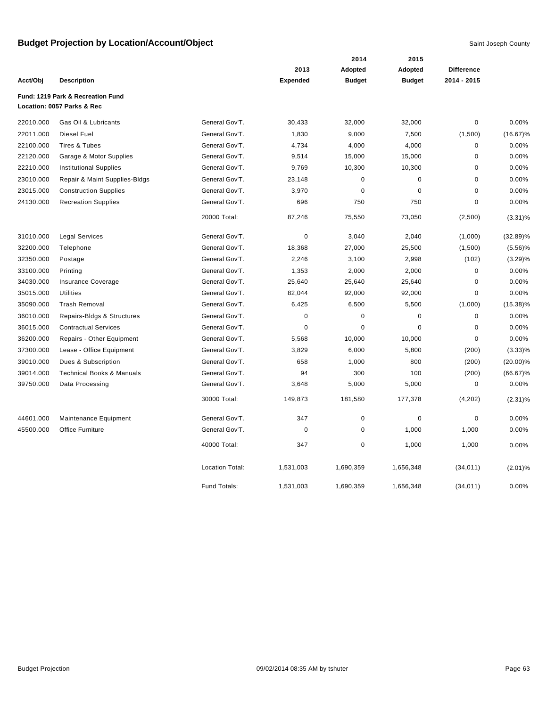|           |                                                                 |                        |                 | 2014          | 2015          |                   |             |
|-----------|-----------------------------------------------------------------|------------------------|-----------------|---------------|---------------|-------------------|-------------|
|           |                                                                 |                        | 2013            | Adopted       | Adopted       | <b>Difference</b> |             |
| Acct/Obj  | <b>Description</b>                                              |                        | <b>Expended</b> | <b>Budget</b> | <b>Budget</b> | 2014 - 2015       |             |
|           | Fund: 1219 Park & Recreation Fund<br>Location: 0057 Parks & Rec |                        |                 |               |               |                   |             |
| 22010.000 | Gas Oil & Lubricants                                            | General Gov'T.         | 30,433          | 32,000        | 32,000        | $\pmb{0}$         | 0.00%       |
| 22011.000 | Diesel Fuel                                                     | General Gov'T.         | 1,830           | 9,000         | 7,500         | (1,500)           | $(16.67)\%$ |
| 22100.000 | Tires & Tubes                                                   | General Gov'T.         | 4,734           | 4,000         | 4,000         | $\pmb{0}$         | 0.00%       |
| 22120.000 | Garage & Motor Supplies                                         | General Gov'T.         | 9,514           | 15,000        | 15,000        | $\pmb{0}$         | 0.00%       |
| 22210.000 | <b>Institutional Supplies</b>                                   | General Gov'T.         | 9,769           | 10,300        | 10,300        | $\mathbf 0$       | 0.00%       |
| 23010.000 | Repair & Maint Supplies-Bldgs                                   | General Gov'T.         | 23,148          | $\pmb{0}$     | $\pmb{0}$     | $\mathbf 0$       | 0.00%       |
| 23015.000 | <b>Construction Supplies</b>                                    | General Gov'T.         | 3,970           | $\pmb{0}$     | $\pmb{0}$     | $\mathbf 0$       | 0.00%       |
| 24130.000 | <b>Recreation Supplies</b>                                      | General Gov'T.         | 696             | 750           | 750           | $\mathbf 0$       | 0.00%       |
|           |                                                                 | 20000 Total:           | 87,246          | 75,550        | 73,050        | (2,500)           | $(3.31)\%$  |
| 31010.000 | <b>Legal Services</b>                                           | General Gov'T.         | $\pmb{0}$       | 3,040         | 2,040         | (1,000)           | $(32.89)\%$ |
| 32200.000 | Telephone                                                       | General Gov'T.         | 18,368          | 27,000        | 25,500        | (1,500)           | $(5.56)\%$  |
| 32350.000 | Postage                                                         | General Gov'T.         | 2,246           | 3,100         | 2,998         | (102)             | (3.29)%     |
| 33100.000 | Printing                                                        | General Gov'T.         | 1,353           | 2,000         | 2,000         | $\pmb{0}$         | 0.00%       |
| 34030.000 | <b>Insurance Coverage</b>                                       | General Gov'T.         | 25,640          | 25,640        | 25,640        | $\mathbf 0$       | 0.00%       |
| 35015.000 | <b>Utilities</b>                                                | General Gov'T.         | 82,044          | 92,000        | 92,000        | $\mathbf 0$       | 0.00%       |
| 35090.000 | <b>Trash Removal</b>                                            | General Gov'T.         | 6,425           | 6,500         | 5,500         | (1,000)           | $(15.38)\%$ |
| 36010.000 | Repairs-Bldgs & Structures                                      | General Gov'T.         | $\pmb{0}$       | $\pmb{0}$     | $\pmb{0}$     | $\pmb{0}$         | 0.00%       |
| 36015.000 | <b>Contractual Services</b>                                     | General Gov'T.         | $\pmb{0}$       | $\pmb{0}$     | $\pmb{0}$     | $\pmb{0}$         | 0.00%       |
| 36200.000 | Repairs - Other Equipment                                       | General Gov'T.         | 5,568           | 10,000        | 10,000        | $\mathbf 0$       | 0.00%       |
| 37300.000 | Lease - Office Equipment                                        | General Gov'T.         | 3,829           | 6,000         | 5,800         | (200)             | $(3.33)\%$  |
| 39010.000 | Dues & Subscription                                             | General Gov'T.         | 658             | 1,000         | 800           | (200)             | $(20.00)\%$ |
| 39014.000 | <b>Technical Books &amp; Manuals</b>                            | General Gov'T.         | 94              | 300           | 100           | (200)             | $(66.67)\%$ |
| 39750.000 | Data Processing                                                 | General Gov'T.         | 3,648           | 5,000         | 5,000         | $\mathbf 0$       | 0.00%       |
|           |                                                                 | 30000 Total:           | 149,873         | 181,580       | 177,378       | (4,202)           | $(2.31)\%$  |
| 44601.000 | Maintenance Equipment                                           | General Gov'T.         | 347             | $\pmb{0}$     | $\pmb{0}$     | $\mathbf 0$       | 0.00%       |
| 45500.000 | <b>Office Furniture</b>                                         | General Gov'T.         | $\mathbf 0$     | $\mathbf 0$   | 1,000         | 1,000             | 0.00%       |
|           |                                                                 | 40000 Total:           | 347             | $\pmb{0}$     | 1,000         | 1,000             | 0.00%       |
|           |                                                                 | <b>Location Total:</b> | 1,531,003       | 1,690,359     | 1,656,348     | (34, 011)         | (2.01)%     |
|           |                                                                 | Fund Totals:           | 1,531,003       | 1,690,359     | 1,656,348     | (34, 011)         | 0.00%       |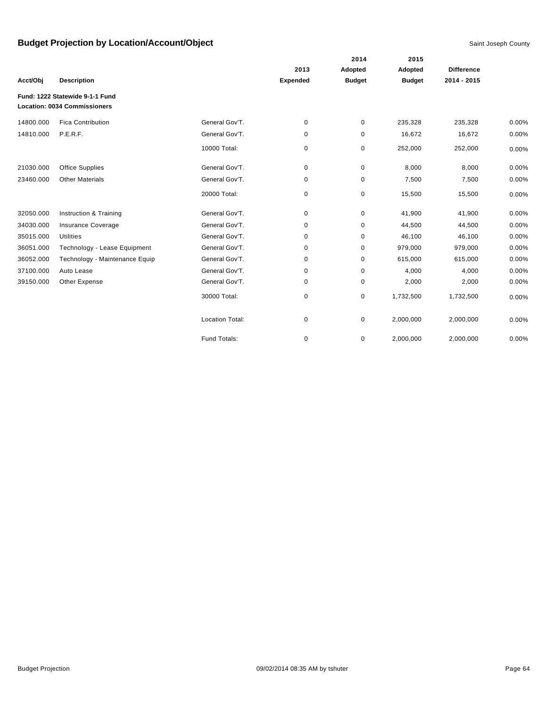|           |                                     |                        |                 | 2014          | 2015          |                   |       |
|-----------|-------------------------------------|------------------------|-----------------|---------------|---------------|-------------------|-------|
|           |                                     |                        | 2013            | Adopted       | Adopted       | <b>Difference</b> |       |
| Acct/Obj  | <b>Description</b>                  |                        | <b>Expended</b> | <b>Budget</b> | <b>Budget</b> | 2014 - 2015       |       |
|           | Fund: 1222 Statewide 9-1-1 Fund     |                        |                 |               |               |                   |       |
|           | <b>Location: 0034 Commissioners</b> |                        |                 |               |               |                   |       |
| 14800.000 | <b>Fica Contribution</b>            | General Gov'T.         | 0               | 0             | 235,328       | 235,328           | 0.00% |
| 14810.000 | P.E.R.F.                            | General Gov'T.         | 0               | 0             | 16,672        | 16,672            | 0.00% |
|           |                                     | 10000 Total:           | 0               | 0             | 252,000       | 252,000           | 0.00% |
| 21030.000 | <b>Office Supplies</b>              | General Gov'T.         | 0               | 0             | 8,000         | 8,000             | 0.00% |
| 23460.000 | <b>Other Materials</b>              | General Gov'T.         | 0               | 0             | 7,500         | 7,500             | 0.00% |
|           |                                     | 20000 Total:           | 0               | 0             | 15,500        | 15,500            | 0.00% |
| 32050.000 | Instruction & Training              | General Gov'T.         | 0               | 0             | 41,900        | 41,900            | 0.00% |
| 34030.000 | Insurance Coverage                  | General Gov'T.         | 0               | 0             | 44,500        | 44,500            | 0.00% |
| 35015.000 | <b>Utilities</b>                    | General Gov'T.         | 0               | 0             | 46,100        | 46,100            | 0.00% |
| 36051.000 | Technology - Lease Equipment        | General Gov'T.         | 0               | 0             | 979,000       | 979,000           | 0.00% |
| 36052.000 | Technology - Maintenance Equip      | General Gov'T.         | 0               | 0             | 615,000       | 615,000           | 0.00% |
| 37100.000 | Auto Lease                          | General Gov'T.         | 0               | 0             | 4,000         | 4,000             | 0.00% |
| 39150.000 | Other Expense                       | General Gov'T.         | 0               | 0             | 2,000         | 2,000             | 0.00% |
|           |                                     | 30000 Total:           | 0               | 0             | 1,732,500     | 1,732,500         | 0.00% |
|           |                                     | <b>Location Total:</b> | 0               | 0             | 2,000,000     | 2,000,000         | 0.00% |
|           |                                     | Fund Totals:           | 0               | 0             | 2,000,000     | 2,000,000         | 0.00% |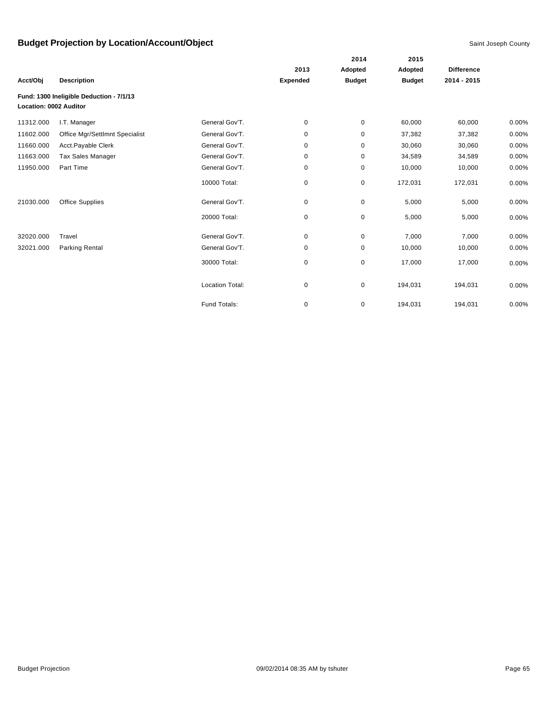|                        |                                          |                        |                 | 2014          | 2015          |                   |          |
|------------------------|------------------------------------------|------------------------|-----------------|---------------|---------------|-------------------|----------|
|                        |                                          |                        | 2013            | Adopted       | Adopted       | <b>Difference</b> |          |
| Acct/Obj               | <b>Description</b>                       |                        | <b>Expended</b> | <b>Budget</b> | <b>Budget</b> | 2014 - 2015       |          |
| Location: 0002 Auditor | Fund: 1300 Ineligible Deduction - 7/1/13 |                        |                 |               |               |                   |          |
| 11312.000              | I.T. Manager                             | General Gov'T.         | 0               | 0             | 60,000        | 60,000            | 0.00%    |
| 11602.000              | Office Mgr/Settlmnt Specialist           | General Gov'T.         | 0               | 0             | 37,382        | 37,382            | 0.00%    |
| 11660.000              | Acct.Payable Clerk                       | General Gov'T.         | 0               | 0             | 30,060        | 30,060            | 0.00%    |
| 11663.000              | <b>Tax Sales Manager</b>                 | General Gov'T.         | 0               | 0             | 34,589        | 34,589            | 0.00%    |
| 11950.000              | Part Time                                | General Gov'T.         | 0               | 0             | 10,000        | 10,000            | 0.00%    |
|                        |                                          | 10000 Total:           | 0               | 0             | 172,031       | 172,031           | 0.00%    |
| 21030.000              | <b>Office Supplies</b>                   | General Gov'T.         | 0               | 0             | 5,000         | 5,000             | 0.00%    |
|                        |                                          | 20000 Total:           | 0               | $\pmb{0}$     | 5,000         | 5,000             | 0.00%    |
| 32020.000              | Travel                                   | General Gov'T.         | 0               | 0             | 7,000         | 7,000             | 0.00%    |
| 32021.000              | Parking Rental                           | General Gov'T.         | 0               | 0             | 10,000        | 10,000            | $0.00\%$ |
|                        |                                          | 30000 Total:           | 0               | 0             | 17,000        | 17,000            | 0.00%    |
|                        |                                          | <b>Location Total:</b> | 0               | 0             | 194,031       | 194,031           | 0.00%    |
|                        |                                          | Fund Totals:           | 0               | 0             | 194,031       | 194,031           | 0.00%    |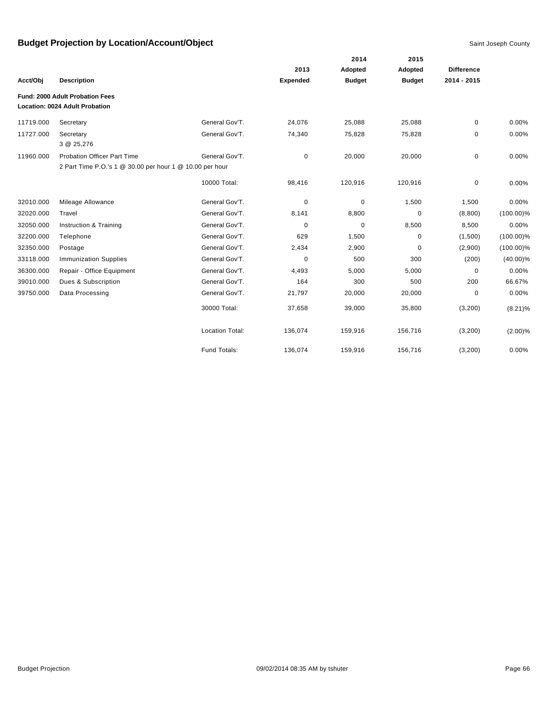|           |                                                                   |                        |                 | 2014          | 2015          |                   |              |
|-----------|-------------------------------------------------------------------|------------------------|-----------------|---------------|---------------|-------------------|--------------|
|           |                                                                   |                        | 2013            | Adopted       | Adopted       | <b>Difference</b> |              |
| Acct/Obj  | <b>Description</b>                                                |                        | <b>Expended</b> | <b>Budget</b> | <b>Budget</b> | 2014 - 2015       |              |
|           | Fund: 2000 Adult Probation Fees<br>Location: 0024 Adult Probation |                        |                 |               |               |                   |              |
| 11719.000 | Secretary                                                         | General Gov'T.         | 24,076          | 25,088        | 25,088        | 0                 | 0.00%        |
| 11727.000 | Secretary<br>3 @ 25,276                                           | General Gov'T.         | 74,340          | 75,828        | 75,828        | 0                 | 0.00%        |
| 11960.000 | <b>Probation Officer Part Time</b>                                | General Gov'T.         | 0               | 20,000        | 20,000        | 0                 | 0.00%        |
|           | 2 Part Time P.O.'s 1 @ 30.00 per hour 1 @ 10.00 per hour          |                        |                 |               |               |                   |              |
|           |                                                                   | 10000 Total:           | 98,416          | 120,916       | 120,916       | 0                 | 0.00%        |
| 32010.000 | Mileage Allowance                                                 | General Gov'T.         | 0               | 0             | 1,500         | 1,500             | 0.00%        |
| 32020.000 | Travel                                                            | General Gov'T.         | 8,141           | 8,800         | $\mathbf 0$   | (8,800)           | $(100.00)\%$ |
| 32050.000 | Instruction & Training                                            | General Gov'T.         | $\mathbf 0$     | 0             | 8,500         | 8,500             | 0.00%        |
| 32200.000 | Telephone                                                         | General Gov'T.         | 629             | 1,500         | $\mathbf 0$   | (1,500)           | $(100.00)\%$ |
| 32350.000 | Postage                                                           | General Gov'T.         | 2,434           | 2,900         | $\mathbf 0$   | (2,900)           | $(100.00)\%$ |
| 33118.000 | <b>Immunization Supplies</b>                                      | General Gov'T.         | $\mathbf 0$     | 500           | 300           | (200)             | $(40.00)\%$  |
| 36300.000 | Repair - Office Equipment                                         | General Gov'T.         | 4,493           | 5,000         | 5,000         | 0                 | 0.00%        |
| 39010.000 | Dues & Subscription                                               | General Gov'T.         | 164             | 300           | 500           | 200               | 66.67%       |
| 39750.000 | Data Processing                                                   | General Gov'T.         | 21,797          | 20,000        | 20,000        | $\mathbf 0$       | 0.00%        |
|           |                                                                   | 30000 Total:           | 37,658          | 39,000        | 35,800        | (3,200)           | $(8.21)\%$   |
|           |                                                                   | <b>Location Total:</b> | 136,074         | 159,916       | 156,716       | (3,200)           | $(2.00)\%$   |
|           |                                                                   | Fund Totals:           | 136,074         | 159,916       | 156,716       | (3,200)           | 0.00%        |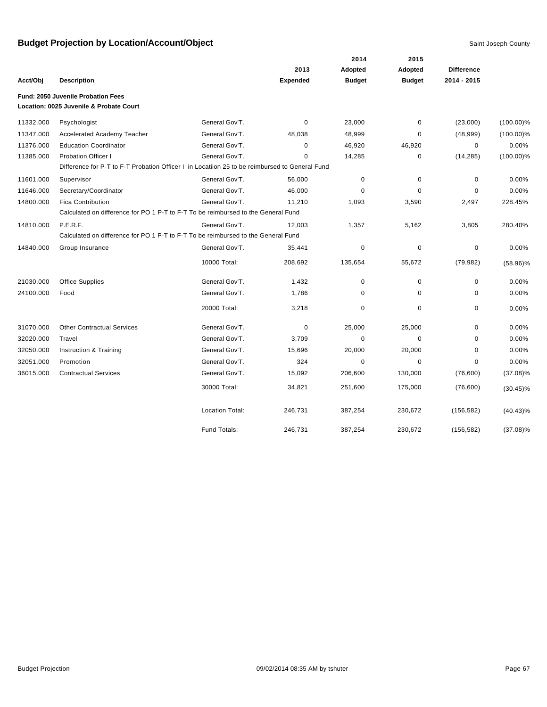|           |                                                                                                |                        |                 | 2014          | 2015          |                   |              |
|-----------|------------------------------------------------------------------------------------------------|------------------------|-----------------|---------------|---------------|-------------------|--------------|
|           |                                                                                                |                        | 2013            | Adopted       | Adopted       | <b>Difference</b> |              |
| Acct/Obj  | <b>Description</b>                                                                             |                        | <b>Expended</b> | <b>Budget</b> | <b>Budget</b> | 2014 - 2015       |              |
|           | Fund: 2050 Juvenile Probation Fees                                                             |                        |                 |               |               |                   |              |
|           | Location: 0025 Juvenile & Probate Court                                                        |                        |                 |               |               |                   |              |
| 11332.000 | Psychologist                                                                                   | General Gov'T.         | 0               | 23,000        | 0             | (23,000)          | $(100.00)\%$ |
| 11347.000 | <b>Accelerated Academy Teacher</b>                                                             | General Gov'T.         | 48,038          | 48,999        | 0             | (48,999)          | $(100.00)\%$ |
| 11376.000 | <b>Education Coordinator</b>                                                                   | General Gov'T.         | 0               | 46,920        | 46,920        | 0                 | 0.00%        |
| 11385.000 | <b>Probation Officer I</b>                                                                     | General Gov'T.         | $\Omega$        | 14,285        | 0             | (14, 285)         | $(100.00)\%$ |
|           | Difference for P-T to F-T Probation Officer I in Locatiion 25 to be reimbursed to General Fund |                        |                 |               |               |                   |              |
| 11601.000 | Supervisor                                                                                     | General Gov'T.         | 56,000          | 0             | 0             | 0                 | 0.00%        |
| 11646.000 | Secretary/Coordinator                                                                          | General Gov'T.         | 46,000          | O             | $\Omega$      | $\Omega$          | 0.00%        |
| 14800.000 | <b>Fica Contribution</b>                                                                       | General Gov'T.         | 11,210          | 1,093         | 3,590         | 2,497             | 228.45%      |
|           | Calculated on difference for PO 1 P-T to F-T To be reimbursed to the General Fund              |                        |                 |               |               |                   |              |
| 14810.000 | P.E.R.F.                                                                                       | General Gov'T.         | 12,003          | 1,357         | 5,162         | 3,805             | 280.40%      |
|           | Calculated on difference for PO 1 P-T to F-T To be reimbursed to the General Fund              |                        |                 |               |               |                   |              |
| 14840.000 | Group Insurance                                                                                | General Gov'T.         | 35,441          | 0             | 0             | 0                 | 0.00%        |
|           |                                                                                                | 10000 Total:           | 208,692         | 135,654       | 55,672        | (79, 982)         | $(58.96)\%$  |
| 21030.000 | Office Supplies                                                                                | General Gov'T.         | 1,432           | $\mathbf 0$   | 0             | $\mathbf 0$       | 0.00%        |
| 24100.000 | Food                                                                                           | General Gov'T.         | 1,786           | 0             | 0             | 0                 | 0.00%        |
|           |                                                                                                | 20000 Total:           | 3,218           | 0             | 0             | 0                 | 0.00%        |
| 31070.000 | <b>Other Contractual Services</b>                                                              | General Gov'T.         | $\mathbf 0$     | 25,000        | 25,000        | 0                 | 0.00%        |
| 32020.000 | Travel                                                                                         | General Gov'T.         | 3,709           | $\Omega$      | 0             | 0                 | 0.00%        |
| 32050.000 | Instruction & Training                                                                         | General Gov'T.         | 15,696          | 20,000        | 20,000        | 0                 | 0.00%        |
| 32051.000 | Promotion                                                                                      | General Gov'T.         | 324             | $\mathbf 0$   | 0             | 0                 | 0.00%        |
| 36015.000 | <b>Contractual Services</b>                                                                    | General Gov'T.         | 15,092          | 206,600       | 130,000       | (76, 600)         | $(37.08)\%$  |
|           |                                                                                                | 30000 Total:           | 34,821          | 251,600       | 175,000       | (76, 600)         | $(30.45)\%$  |
|           |                                                                                                | <b>Location Total:</b> | 246,731         | 387,254       | 230,672       | (156, 582)        | $(40.43)\%$  |
|           |                                                                                                | Fund Totals:           | 246,731         | 387,254       | 230,672       | (156, 582)        | $(37.08)\%$  |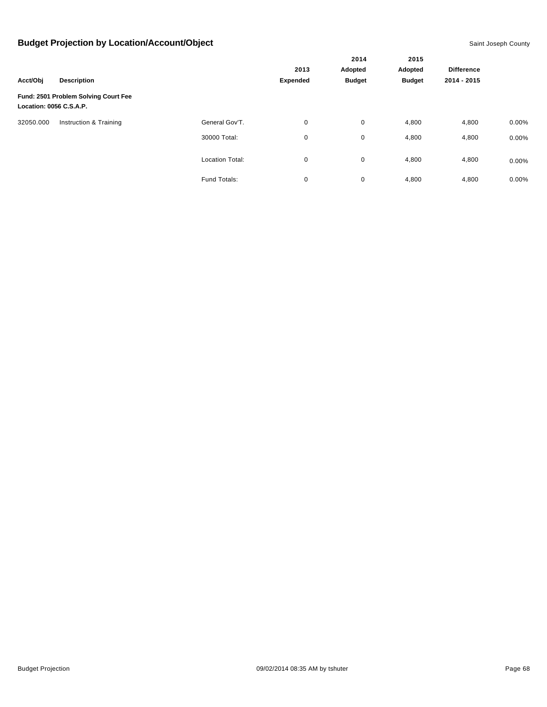|                         |                                      |                        |                 | 2014<br>Adopted | 2015<br>Adopted |                   |          |
|-------------------------|--------------------------------------|------------------------|-----------------|-----------------|-----------------|-------------------|----------|
|                         |                                      |                        | 2013            |                 |                 | <b>Difference</b> |          |
| Acct/Obj                | <b>Description</b>                   |                        | <b>Expended</b> | <b>Budget</b>   | <b>Budget</b>   | 2014 - 2015       |          |
| Location: 0056 C.S.A.P. | Fund: 2501 Problem Solving Court Fee |                        |                 |                 |                 |                   |          |
| 32050.000               | Instruction & Training               | General Gov'T.         | 0               | 0               | 4,800           | 4,800             | $0.00\%$ |
|                         |                                      | 30000 Total:           | 0               | 0               | 4,800           | 4,800             | $0.00\%$ |
|                         |                                      | <b>Location Total:</b> | 0               | 0               | 4,800           | 4,800             | $0.00\%$ |
|                         |                                      | Fund Totals:           | 0               | 0               | 4,800           | 4,800             | $0.00\%$ |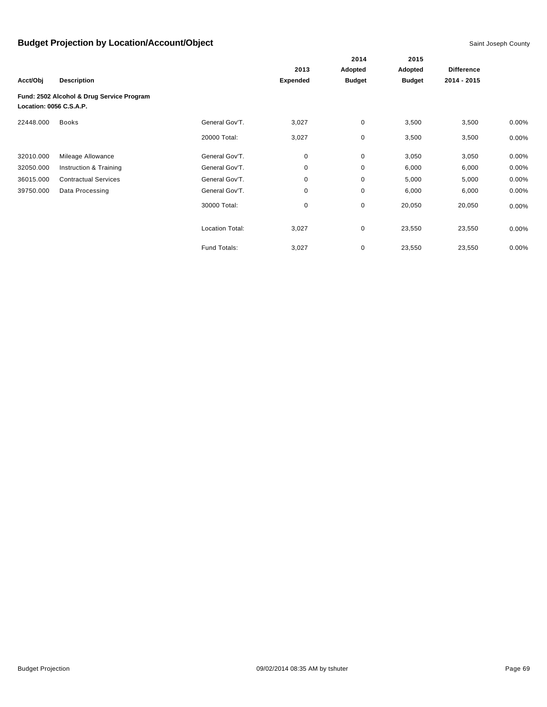|                         |                                           |                        |                 | 2014          | 2015          |                   |          |
|-------------------------|-------------------------------------------|------------------------|-----------------|---------------|---------------|-------------------|----------|
|                         |                                           |                        | 2013            | Adopted       | Adopted       | <b>Difference</b> |          |
| Acct/Obj                | <b>Description</b>                        |                        | <b>Expended</b> | <b>Budget</b> | <b>Budget</b> | 2014 - 2015       |          |
| Location: 0056 C.S.A.P. | Fund: 2502 Alcohol & Drug Service Program |                        |                 |               |               |                   |          |
| 22448.000               | <b>Books</b>                              | General Gov'T.         | 3,027           | 0             | 3,500         | 3,500             | $0.00\%$ |
|                         |                                           | 20000 Total:           | 3,027           | 0             | 3,500         | 3,500             | 0.00%    |
| 32010.000               | Mileage Allowance                         | General Gov'T.         | 0               | $\pmb{0}$     | 3,050         | 3,050             | 0.00%    |
| 32050.000               | Instruction & Training                    | General Gov'T.         | 0               | $\mathbf 0$   | 6,000         | 6,000             | 0.00%    |
| 36015.000               | <b>Contractual Services</b>               | General Gov'T.         | 0               | $\pmb{0}$     | 5,000         | 5,000             | 0.00%    |
| 39750.000               | Data Processing                           | General Gov'T.         | 0               | $\pmb{0}$     | 6,000         | 6,000             | $0.00\%$ |
|                         |                                           | 30000 Total:           | 0               | 0             | 20,050        | 20,050            | $0.00\%$ |
|                         |                                           | <b>Location Total:</b> | 3,027           | $\mathbf 0$   | 23,550        | 23,550            | $0.00\%$ |
|                         |                                           | Fund Totals:           | 3,027           | 0             | 23,550        | 23,550            | $0.00\%$ |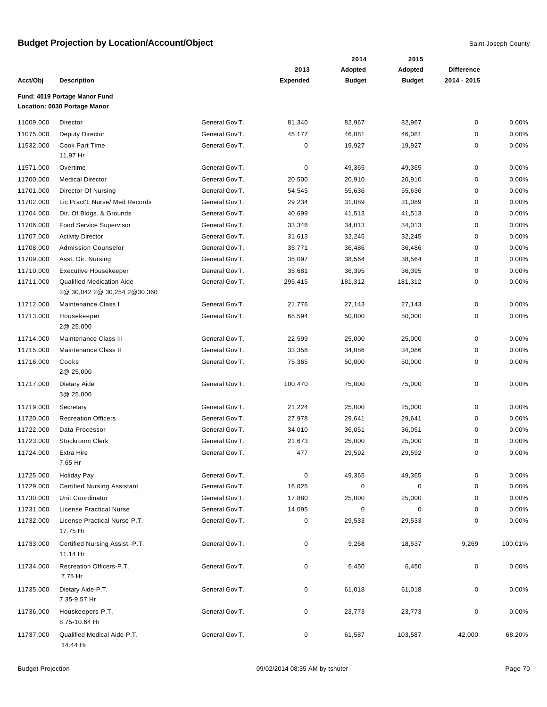|           |                                                               |                |                 | 2014          | 2015          |                   |         |
|-----------|---------------------------------------------------------------|----------------|-----------------|---------------|---------------|-------------------|---------|
|           |                                                               |                | 2013            | Adopted       | Adopted       | <b>Difference</b> |         |
| Acct/Obj  | <b>Description</b>                                            |                | <b>Expended</b> | <b>Budget</b> | <b>Budget</b> | 2014 - 2015       |         |
|           | Fund: 4019 Portage Manor Fund<br>Location: 0030 Portage Manor |                |                 |               |               |                   |         |
| 11009.000 | Director                                                      | General Gov'T. | 81,340          | 82,967        | 82,967        | 0                 | 0.00%   |
| 11075.000 | <b>Deputy Director</b>                                        | General Gov'T. | 45,177          | 46,081        | 46,081        | 0                 | 0.00%   |
| 11532.000 | Cook Part Time                                                | General Gov'T. | $\mathbf 0$     | 19,927        | 19,927        | 0                 | 0.00%   |
|           | 11.97 Hr                                                      |                |                 |               |               |                   |         |
| 11571.000 | Overtime                                                      | General Gov'T. | $\mathbf 0$     | 49,365        | 49,365        | 0                 | 0.00%   |
| 11700.000 | <b>Medical Director</b>                                       | General Gov'T. | 20,500          | 20,910        | 20,910        | 0                 | 0.00%   |
| 11701.000 | Director Of Nursing                                           | General Gov'T. | 54,545          | 55,636        | 55,636        | 0                 | 0.00%   |
| 11702.000 | Lic Pract'L Nurse/ Med Records                                | General Gov'T. | 29,234          | 31,089        | 31,089        | 0                 | 0.00%   |
| 11704.000 | Dir. Of Bldgs. & Grounds                                      | General Gov'T. | 40,699          | 41,513        | 41,513        | 0                 | 0.00%   |
| 11706.000 | Food Service Supervisor                                       | General Gov'T. | 33,346          | 34,013        | 34,013        | 0                 | 0.00%   |
| 11707.000 | <b>Activity Director</b>                                      | General Gov'T. | 31,613          | 32,245        | 32,245        | 0                 | 0.00%   |
| 11708.000 | <b>Admission Counselor</b>                                    | General Gov'T. | 35,771          | 36,486        | 36,486        | 0                 | 0.00%   |
| 11709.000 | Asst. Dir. Nursing                                            | General Gov'T. | 35,097          | 38,564        | 38,564        | 0                 | 0.00%   |
| 11710.000 | <b>Executive Housekeeper</b>                                  | General Gov'T. | 35,681          | 36,395        | 36,395        | 0                 | 0.00%   |
| 11711.000 | <b>Qualified Medication Aide</b>                              | General Gov'T. | 295,415         | 181,312       | 181,312       | 0                 | 0.00%   |
|           | 2@ 30,042 2@ 30,254 2@ 30,360                                 |                |                 |               |               |                   |         |
| 11712.000 | Maintenance Class I                                           | General Gov'T. | 21,776          | 27,143        | 27,143        | 0                 | 0.00%   |
| 11713.000 | Housekeeper                                                   | General Gov'T. | 68,594          | 50,000        | 50,000        | 0                 | 0.00%   |
|           | 2@ 25,000                                                     |                |                 |               |               |                   |         |
| 11714.000 | Maintenance Class III                                         | General Gov'T. | 22,599          | 25,000        | 25,000        | 0                 | 0.00%   |
| 11715.000 | Maintenance Class II                                          | General Gov'T. | 33,358          | 34,086        | 34,086        | 0                 | 0.00%   |
| 11716.000 | Cooks                                                         | General Gov'T. | 75,365          | 50,000        | 50,000        | 0                 | 0.00%   |
|           | 2@ 25,000                                                     |                |                 |               |               |                   |         |
| 11717.000 | Dietary Aide                                                  | General Gov'T. | 100,470         | 75,000        | 75,000        | 0                 | 0.00%   |
|           | 3@ 25,000                                                     |                |                 |               |               |                   |         |
| 11719.000 | Secretary                                                     | General Gov'T. | 21,224          | 25,000        | 25,000        | 0                 | 0.00%   |
| 11720.000 | <b>Recreation Officers</b>                                    | General Gov'T. | 27,978          | 29,641        | 29,641        | 0                 | 0.00%   |
| 11722.000 | Data Processor                                                | General Gov'T. | 34,010          | 36,051        | 36,051        | 0                 | 0.00%   |
| 11723.000 | Stockroom Clerk                                               | General Gov'T. | 21,673          | 25,000        | 25,000        | 0                 | 0.00%   |
| 11724.000 | <b>Extra Hire</b>                                             | General Gov'T. | 477             | 29,592        | 29,592        | $\Omega$          | 0.00%   |
|           | 7.65 Hr                                                       |                |                 |               |               |                   |         |
| 11725.000 | <b>Holiday Pay</b>                                            | General Gov'T. | 0               | 49,365        | 49,365        | 0                 | 0.00%   |
| 11729.000 | <b>Certified Nursing Assistant</b>                            | General Gov'T. | 16,025          | 0             | 0             | 0                 | 0.00%   |
| 11730.000 | Unit Coordinator                                              | General Gov'T. | 17,880          | 25,000        | 25,000        | 0                 | 0.00%   |
| 11731.000 | <b>License Practical Nurse</b>                                | General Gov'T. | 14,095          | 0             | 0             | 0                 | 0.00%   |
| 11732.000 | License Practical Nurse-P.T.                                  | General Gov'T. | $\pmb{0}$       | 29,533        | 29,533        | 0                 | 0.00%   |
|           | 17.75 Hr                                                      |                |                 |               |               |                   |         |
| 11733.000 | Certified Nursing Assist.-P.T.                                | General Gov'T. | 0               | 9,268         | 18,537        | 9,269             | 100.01% |
|           | 11.14 Hr                                                      |                |                 |               |               |                   |         |
| 11734.000 | Recreation Officers-P.T.                                      | General Gov'T. | $\pmb{0}$       | 6,450         | 6,450         | 0                 | 0.00%   |
|           | 7.75 Hr                                                       |                |                 |               |               |                   |         |
| 11735.000 | Dietary Aide-P.T.                                             | General Gov'T. | 0               | 61,018        | 61,018        | 0                 | 0.00%   |
|           | 7.35-9.57 Hr                                                  |                |                 |               |               |                   |         |
| 11736.000 | Houskeepers-P.T.                                              | General Gov'T. | 0               | 23,773        | 23,773        | 0                 | 0.00%   |
|           | 8.75-10.64 Hr                                                 |                |                 |               |               |                   |         |
| 11737.000 | Qualified Medical Aide-P.T.                                   | General Gov'T. | 0               | 61,587        | 103,587       | 42,000            | 68.20%  |
|           | 14.44 Hr                                                      |                |                 |               |               |                   |         |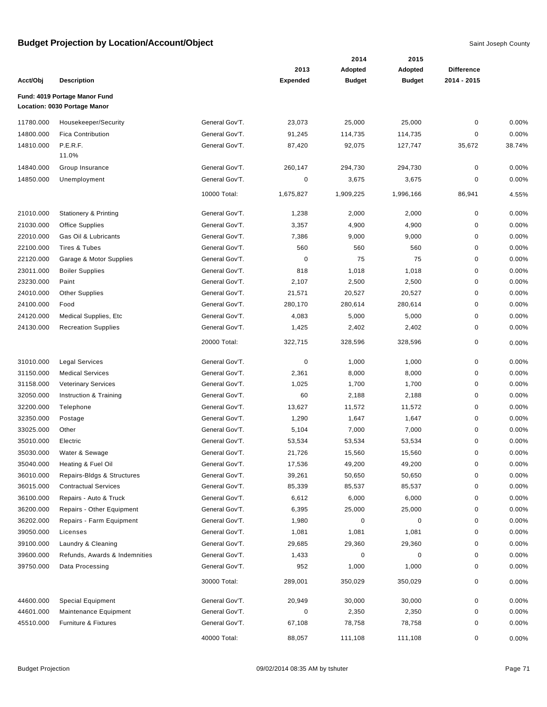|           |                                  |                |                 | 2014          | 2015          |                   |        |
|-----------|----------------------------------|----------------|-----------------|---------------|---------------|-------------------|--------|
|           |                                  |                | 2013            | Adopted       | Adopted       | <b>Difference</b> |        |
| Acct/Obj  | <b>Description</b>               |                | <b>Expended</b> | <b>Budget</b> | <b>Budget</b> | 2014 - 2015       |        |
|           | Fund: 4019 Portage Manor Fund    |                |                 |               |               |                   |        |
|           | Location: 0030 Portage Manor     |                |                 |               |               |                   |        |
| 11780.000 | Housekeeper/Security             | General Gov'T. | 23,073          | 25,000        | 25,000        | $\pmb{0}$         | 0.00%  |
| 14800.000 | <b>Fica Contribution</b>         | General Gov'T. | 91,245          | 114,735       | 114,735       | 0                 | 0.00%  |
| 14810.000 | P.E.R.F.                         | General Gov'T. | 87,420          | 92,075        | 127,747       | 35,672            | 38.74% |
|           | 11.0%                            |                |                 |               |               |                   |        |
| 14840.000 | Group Insurance                  | General Gov'T. | 260,147         | 294,730       | 294,730       | $\pmb{0}$         | 0.00%  |
| 14850.000 | Unemployment                     | General Gov'T. | 0               | 3,675         | 3,675         | $\mathbf 0$       | 0.00%  |
|           |                                  | 10000 Total:   | 1,675,827       | 1,909,225     | 1,996,166     | 86,941            | 4.55%  |
|           |                                  |                |                 |               |               |                   |        |
| 21010.000 | <b>Stationery &amp; Printing</b> | General Gov'T. | 1,238           | 2,000         | 2,000         | $\mathbf 0$       | 0.00%  |
| 21030.000 | <b>Office Supplies</b>           | General Gov'T. | 3,357           | 4,900         | 4,900         | $\mathbf 0$       | 0.00%  |
| 22010.000 | Gas Oil & Lubricants             | General Gov'T. | 7,386           | 9,000         | 9,000         | 0                 | 0.00%  |
| 22100.000 | Tires & Tubes                    | General Gov'T. | 560             | 560           | 560           | 0                 | 0.00%  |
| 22120.000 | Garage & Motor Supplies          | General Gov'T. | $\mathbf 0$     | 75            | 75            | 0                 | 0.00%  |
| 23011.000 | <b>Boiler Supplies</b>           | General Gov'T. | 818             | 1,018         | 1,018         | $\pmb{0}$         | 0.00%  |
| 23230.000 | Paint                            | General Gov'T. | 2,107           | 2,500         | 2,500         | $\pmb{0}$         | 0.00%  |
| 24010.000 | <b>Other Supplies</b>            | General Gov'T. | 21,571          | 20,527        | 20,527        | $\pmb{0}$         | 0.00%  |
| 24100.000 | Food                             | General Gov'T. | 280,170         | 280,614       | 280,614       | $\mathbf 0$       | 0.00%  |
| 24120.000 | <b>Medical Supplies, Etc</b>     | General Gov'T. | 4,083           | 5,000         | 5,000         | $\mathbf 0$       | 0.00%  |
| 24130.000 | <b>Recreation Supplies</b>       | General Gov'T. | 1,425           | 2,402         | 2,402         | $\mathbf 0$       | 0.00%  |
|           |                                  | 20000 Total:   | 322,715         | 328,596       | 328,596       | 0                 | 0.00%  |
| 31010.000 | <b>Legal Services</b>            | General Gov'T. | $\pmb{0}$       | 1,000         | 1,000         | 0                 | 0.00%  |
| 31150.000 | <b>Medical Services</b>          | General Gov'T. | 2,361           | 8,000         | 8,000         | $\pmb{0}$         | 0.00%  |
| 31158.000 | <b>Veterinary Services</b>       | General Gov'T. | 1,025           | 1,700         | 1,700         | 0                 | 0.00%  |
| 32050.000 | Instruction & Training           | General Gov'T. | 60              | 2,188         | 2,188         | $\mathbf 0$       | 0.00%  |
| 32200.000 | Telephone                        | General Gov'T. | 13,627          | 11,572        | 11,572        | $\mathbf 0$       | 0.00%  |
| 32350.000 | Postage                          | General Gov'T. | 1,290           | 1,647         | 1,647         | $\mathbf 0$       | 0.00%  |
| 33025.000 | Other                            | General Gov'T. | 5,104           | 7,000         | 7,000         | 0                 | 0.00%  |
| 35010.000 | Electric                         | General Gov'T. | 53,534          | 53,534        | 53,534        | 0                 | 0.00%  |
| 35030.000 | Water & Sewage                   | General Gov'T. | 21,726          | 15,560        | 15,560        | $\mathbf 0$       | 0.00%  |
| 35040.000 | Heating & Fuel Oil               | General Gov'T. | 17,536          | 49,200        | 49,200        | $\pmb{0}$         | 0.00%  |
| 36010.000 | Repairs-Bldgs & Structures       | General Gov'T. | 39,261          | 50,650        | 50,650        | 0                 | 0.00%  |
| 36015.000 | <b>Contractual Services</b>      | General Gov'T. | 85,339          | 85,537        | 85,537        | 0                 | 0.00%  |
| 36100.000 | Repairs - Auto & Truck           | General Gov'T. | 6,612           | 6,000         | 6,000         | 0                 | 0.00%  |
| 36200.000 | Repairs - Other Equipment        | General Gov'T. | 6,395           | 25,000        | 25,000        | 0                 | 0.00%  |
| 36202.000 | Repairs - Farm Equipment         | General Gov'T. | 1,980           | 0             | 0             | 0                 | 0.00%  |
| 39050.000 | Licenses                         | General Gov'T. | 1,081           | 1,081         | 1,081         | 0                 | 0.00%  |
| 39100.000 | Laundry & Cleaning               | General Gov'T. | 29,685          | 29,360        | 29,360        | 0                 | 0.00%  |
| 39600.000 | Refunds, Awards & Indemnities    | General Gov'T. | 1,433           | 0             | 0             | 0                 | 0.00%  |
| 39750.000 | Data Processing                  | General Gov'T. | 952             | 1,000         | 1,000         | 0                 | 0.00%  |
|           |                                  | 30000 Total:   | 289,001         | 350,029       | 350,029       | 0                 | 0.00%  |
| 44600.000 | <b>Special Equipment</b>         | General Gov'T. | 20,949          | 30,000        | 30,000        | $\pmb{0}$         | 0.00%  |
| 44601.000 | Maintenance Equipment            | General Gov'T. | $\pmb{0}$       | 2,350         | 2,350         | 0                 | 0.00%  |
| 45510.000 | Furniture & Fixtures             | General Gov'T. | 67,108          | 78,758        | 78,758        | 0                 | 0.00%  |
|           |                                  | 40000 Total:   | 88,057          | 111,108       | 111,108       | 0                 | 0.00%  |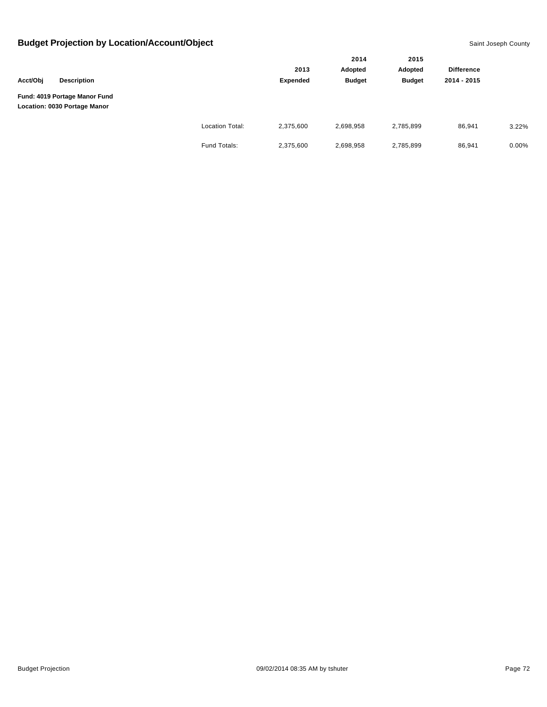|          |                                                               |                        |           | 2014          | 2015          |                   |       |
|----------|---------------------------------------------------------------|------------------------|-----------|---------------|---------------|-------------------|-------|
|          |                                                               |                        | 2013      | Adopted       | Adopted       | <b>Difference</b> |       |
| Acct/Obj | <b>Description</b>                                            |                        | Expended  | <b>Budget</b> | <b>Budget</b> | 2014 - 2015       |       |
|          | Fund: 4019 Portage Manor Fund<br>Location: 0030 Portage Manor |                        |           |               |               |                   |       |
|          |                                                               | <b>Location Total:</b> | 2,375,600 | 2,698,958     | 2,785,899     | 86,941            | 3.22% |
|          |                                                               | Fund Totals:           | 2,375,600 | 2,698,958     | 2,785,899     | 86,941            | 0.00% |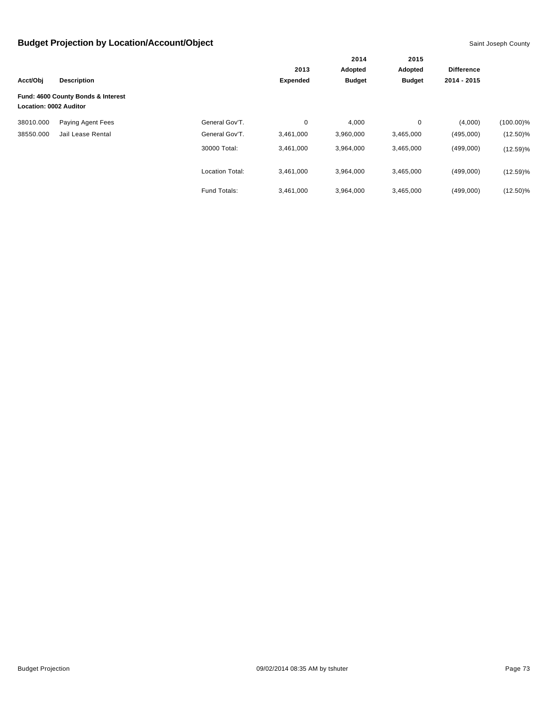|                               |                                    |                        | 2013            | Adopted       | Adopted       | <b>Difference</b> |              |
|-------------------------------|------------------------------------|------------------------|-----------------|---------------|---------------|-------------------|--------------|
| Acct/Obj                      | <b>Description</b>                 |                        | <b>Expended</b> | <b>Budget</b> | <b>Budget</b> | 2014 - 2015       |              |
| <b>Location: 0002 Auditor</b> | Fund: 4600 County Bonds & Interest |                        |                 |               |               |                   |              |
| 38010.000                     | Paying Agent Fees                  | General Gov'T.         | 0               | 4,000         | 0             | (4,000)           | $(100.00)\%$ |
| 38550.000                     | Jail Lease Rental                  | General Gov'T.         | 3,461,000       | 3,960,000     | 3,465,000     | (495,000)         | $(12.50)\%$  |
|                               |                                    | 30000 Total:           | 3,461,000       | 3,964,000     | 3,465,000     | (499,000)         | $(12.59)\%$  |
|                               |                                    | <b>Location Total:</b> | 3,461,000       | 3,964,000     | 3,465,000     | (499,000)         | $(12.59)\%$  |
|                               |                                    | Fund Totals:           | 3.461.000       | 3.964.000     | 3,465,000     | (499,000)         | $(12.50)\%$  |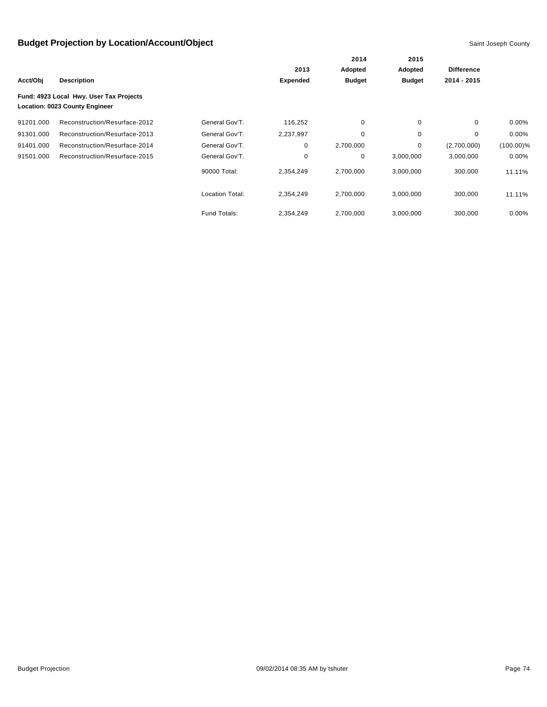|           |                                                                           |                        |                 | 2014<br>Adopted | 2015<br>Adopted | <b>Difference</b> |              |
|-----------|---------------------------------------------------------------------------|------------------------|-----------------|-----------------|-----------------|-------------------|--------------|
|           |                                                                           |                        | 2013            |                 |                 |                   |              |
| Acct/Obj  | <b>Description</b>                                                        |                        | <b>Expended</b> | <b>Budget</b>   | <b>Budget</b>   | 2014 - 2015       |              |
|           | Fund: 4923 Local Hwy. User Tax Projects<br>Location: 0023 County Engineer |                        |                 |                 |                 |                   |              |
| 91201.000 | Reconstruction/Resurface-2012                                             | General Gov'T.         | 116,252         | 0               | 0               | $\mathbf 0$       | $0.00\%$     |
| 91301.000 | Reconstruction/Resurface-2013                                             | General Gov'T.         | 2,237,997       | 0               | 0               | $\mathbf 0$       | $0.00\%$     |
| 91401.000 | Reconstruction/Resurface-2014                                             | General Gov'T.         | 0               | 2,700,000       | 0               | (2,700,000)       | $(100.00)\%$ |
| 91501.000 | Reconstruction/Resurface-2015                                             | General Gov'T.         | 0               | 0               | 3,000,000       | 3,000,000         | $0.00\%$     |
|           |                                                                           | 90000 Total:           | 2,354,249       | 2,700,000       | 3,000,000       | 300,000           | 11.11%       |
|           |                                                                           | <b>Location Total:</b> | 2,354,249       | 2,700,000       | 3,000,000       | 300,000           | 11.11%       |
|           |                                                                           | Fund Totals:           | 2,354,249       | 2,700,000       | 3,000,000       | 300,000           | $0.00\%$     |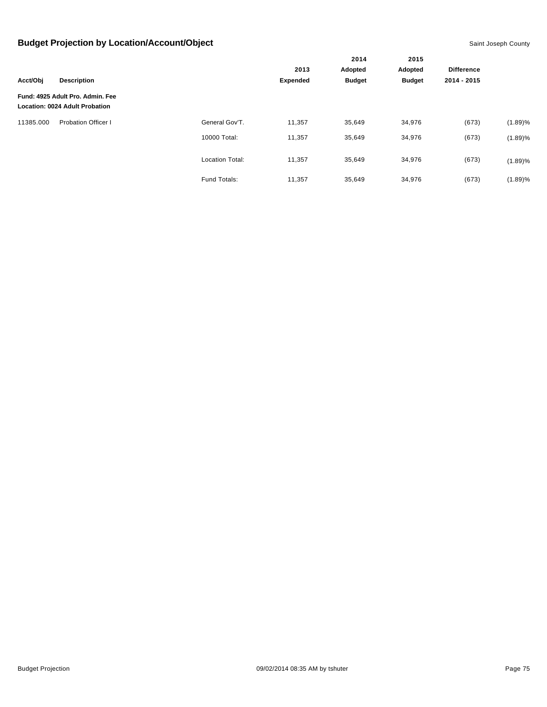| <b>Description</b><br>Acct/Obj |                                                                           |                        |                 | 2014                     | 2015<br>Adopted |                   |            |
|--------------------------------|---------------------------------------------------------------------------|------------------------|-----------------|--------------------------|-----------------|-------------------|------------|
|                                |                                                                           |                        | 2013            | Adopted<br><b>Budget</b> |                 | <b>Difference</b> |            |
|                                |                                                                           |                        | <b>Expended</b> |                          | <b>Budget</b>   | 2014 - 2015       |            |
|                                | Fund: 4925 Adult Pro. Admin. Fee<br><b>Location: 0024 Adult Probation</b> |                        |                 |                          |                 |                   |            |
| 11385.000                      | <b>Probation Officer I</b>                                                | General Gov'T.         | 11,357          | 35,649                   | 34,976          | (673)             | $(1.89)\%$ |
|                                |                                                                           | 10000 Total:           | 11,357          | 35,649                   | 34,976          | (673)             | $(1.89)\%$ |
|                                |                                                                           | <b>Location Total:</b> | 11,357          | 35,649                   | 34,976          | (673)             | $(1.89)\%$ |
|                                |                                                                           | Fund Totals:           | 11,357          | 35,649                   | 34,976          | (673)             | (1.89)%    |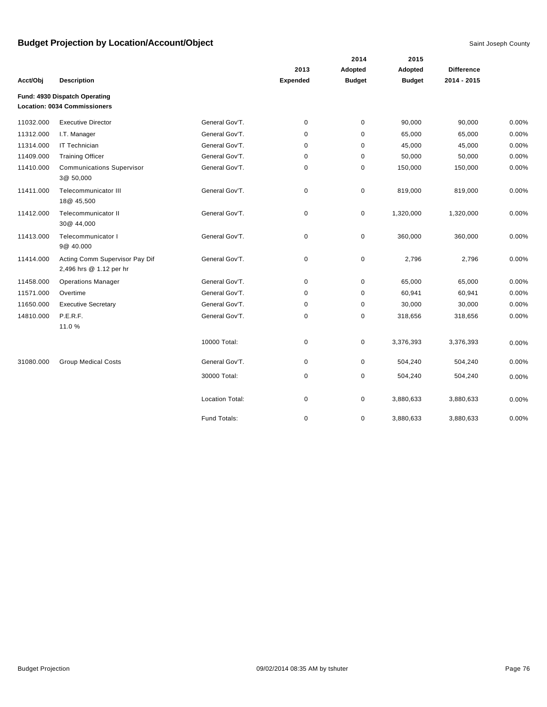|           |                                                                      |                        |                 | 2014          | 2015          |                   |          |
|-----------|----------------------------------------------------------------------|------------------------|-----------------|---------------|---------------|-------------------|----------|
|           |                                                                      |                        | 2013            | Adopted       | Adopted       | <b>Difference</b> |          |
| Acct/Obj  | <b>Description</b>                                                   |                        | <b>Expended</b> | <b>Budget</b> | <b>Budget</b> | 2014 - 2015       |          |
|           | Fund: 4930 Dispatch Operating<br><b>Location: 0034 Commissioners</b> |                        |                 |               |               |                   |          |
| 11032.000 | <b>Executive Director</b>                                            | General Gov'T.         | 0               | $\pmb{0}$     | 90,000        | 90,000            | 0.00%    |
| 11312.000 | I.T. Manager                                                         | General Gov'T.         | 0               | $\pmb{0}$     | 65,000        | 65,000            | 0.00%    |
| 11314.000 | IT Technician                                                        | General Gov'T.         | 0               | 0             | 45,000        | 45,000            | 0.00%    |
| 11409.000 | <b>Training Officer</b>                                              | General Gov'T.         | $\mathbf 0$     | 0             | 50,000        | 50,000            | 0.00%    |
| 11410.000 | <b>Communications Supervisor</b><br>3@ 50,000                        | General Gov'T.         | 0               | 0             | 150,000       | 150,000           | 0.00%    |
| 11411.000 | Telecommunicator III<br>18@ 45,500                                   | General Gov'T.         | 0               | 0             | 819,000       | 819,000           | $0.00\%$ |
| 11412.000 | Telecommunicator II<br>30@ 44,000                                    | General Gov'T.         | 0               | 0             | 1,320,000     | 1,320,000         | 0.00%    |
| 11413.000 | Telecommunicator I<br>9@ 40.000                                      | General Gov'T.         | 0               | 0             | 360,000       | 360,000           | 0.00%    |
| 11414.000 | Acting Comm Supervisor Pay Dif<br>2,496 hrs @ 1.12 per hr            | General Gov'T.         | $\pmb{0}$       | 0             | 2,796         | 2,796             | 0.00%    |
| 11458.000 | <b>Operations Manager</b>                                            | General Gov'T.         | 0               | 0             | 65,000        | 65,000            | $0.00\%$ |
| 11571.000 | Overtime                                                             | General Gov'T.         | $\mathbf 0$     | 0             | 60,941        | 60,941            | 0.00%    |
| 11650.000 | <b>Executive Secretary</b>                                           | General Gov'T.         | 0               | 0             | 30,000        | 30,000            | 0.00%    |
| 14810.000 | P.E.R.F.<br>11.0%                                                    | General Gov'T.         | 0               | 0             | 318,656       | 318,656           | 0.00%    |
|           |                                                                      | 10000 Total:           | 0               | 0             | 3,376,393     | 3,376,393         | 0.00%    |
| 31080.000 | <b>Group Medical Costs</b>                                           | General Gov'T.         | 0               | 0             | 504,240       | 504,240           | 0.00%    |
|           |                                                                      | 30000 Total:           | 0               | 0             | 504,240       | 504,240           | 0.00%    |
|           |                                                                      | <b>Location Total:</b> | 0               | 0             | 3,880,633     | 3,880,633         | 0.00%    |
|           |                                                                      | Fund Totals:           | 0               | 0             | 3,880,633     | 3,880,633         | 0.00%    |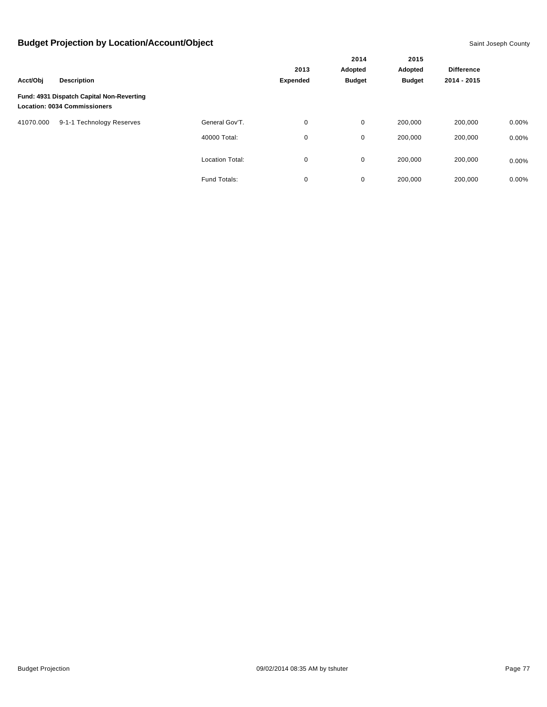|           |                                                                                  |                        |          | 2014          | 2015<br>Adopted | <b>Difference</b> |       |
|-----------|----------------------------------------------------------------------------------|------------------------|----------|---------------|-----------------|-------------------|-------|
|           | <b>Description</b>                                                               |                        | 2013     | Adopted       |                 |                   |       |
| Acct/Obi  |                                                                                  |                        | Expended | <b>Budget</b> | <b>Budget</b>   | 2014 - 2015       |       |
|           | Fund: 4931 Dispatch Capital Non-Reverting<br><b>Location: 0034 Commissioners</b> |                        |          |               |                 |                   |       |
| 41070.000 | 9-1-1 Technology Reserves                                                        | General Gov'T.         | 0        | 0             | 200,000         | 200,000           | 0.00% |
|           |                                                                                  | 40000 Total:           | 0        | 0             | 200,000         | 200,000           | 0.00% |
|           |                                                                                  | <b>Location Total:</b> | 0        | 0             | 200,000         | 200,000           | 0.00% |
|           |                                                                                  | Fund Totals:           | 0        | 0             | 200,000         | 200,000           | 0.00% |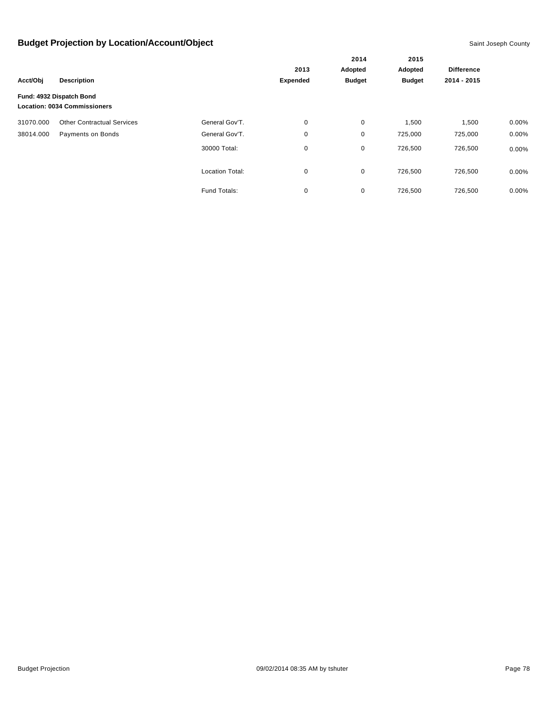|           |                                                                 | 2014                   | 2015            |               |               |                   |          |
|-----------|-----------------------------------------------------------------|------------------------|-----------------|---------------|---------------|-------------------|----------|
|           |                                                                 |                        | 2013            | Adopted       | Adopted       | <b>Difference</b> |          |
| Acct/Obj  | <b>Description</b>                                              |                        | <b>Expended</b> | <b>Budget</b> | <b>Budget</b> | 2014 - 2015       |          |
|           | Fund: 4932 Dispatch Bond<br><b>Location: 0034 Commissioners</b> |                        |                 |               |               |                   |          |
| 31070.000 | <b>Other Contractual Services</b>                               | General Gov'T.         | 0               | 0             | 1,500         | 1,500             | $0.00\%$ |
| 38014.000 | Payments on Bonds                                               | General Gov'T.         | 0               | 0             | 725,000       | 725,000           | $0.00\%$ |
|           |                                                                 | 30000 Total:           | 0               | 0             | 726,500       | 726,500           | $0.00\%$ |
|           |                                                                 | <b>Location Total:</b> | 0               | 0             | 726,500       | 726,500           | $0.00\%$ |
|           |                                                                 | Fund Totals:           | 0               | 0             | 726,500       | 726,500           | 0.00%    |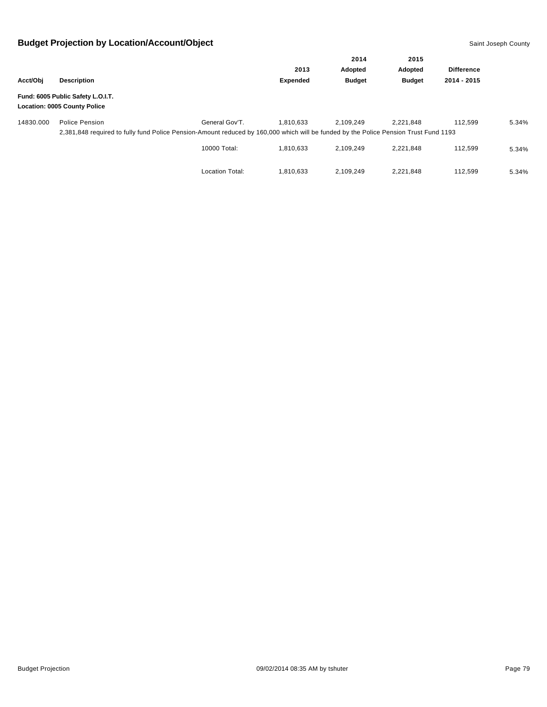| Acct/Obj  |                                                                                                                                      |                                                                                            |                 | Adopted       | 2015<br>Adopted |                   |       |  |  |
|-----------|--------------------------------------------------------------------------------------------------------------------------------------|--------------------------------------------------------------------------------------------|-----------------|---------------|-----------------|-------------------|-------|--|--|
|           |                                                                                                                                      |                                                                                            | 2013            |               |                 | <b>Difference</b> |       |  |  |
|           | <b>Description</b>                                                                                                                   |                                                                                            | <b>Expended</b> | <b>Budget</b> | <b>Budget</b>   | 2014 - 2015       |       |  |  |
|           | Fund: 6005 Public Safety L.O.I.T.<br><b>Location: 0005 County Police</b>                                                             | 2014<br>General Gov'T.<br>1.810.633<br>2.109.249<br>10000 Total:<br>1.810.633<br>2,109,249 |                 |               |                 |                   |       |  |  |
| 14830.000 | Police Pension                                                                                                                       |                                                                                            |                 |               | 2.221.848       | 112.599           | 5.34% |  |  |
|           | 2,381,848 required to fully fund Police Pension-Amount reduced by 160,000 which will be funded by the Police Pension Trust Fund 1193 |                                                                                            |                 |               |                 |                   |       |  |  |
|           |                                                                                                                                      |                                                                                            |                 |               | 2,221,848       | 112.599           | 5.34% |  |  |
|           |                                                                                                                                      | <b>Location Total:</b>                                                                     | 1.810.633       | 2.109.249     | 2,221,848       | 112.599           | 5.34% |  |  |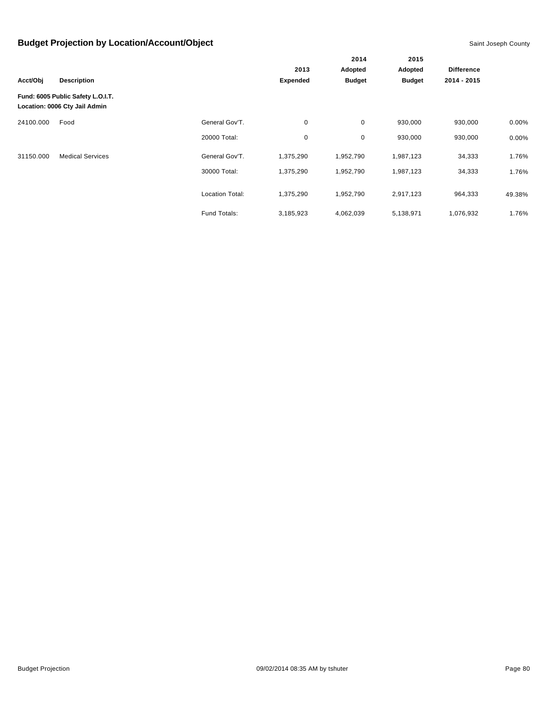|           |                                                                    |                        |                 | 2014          | 2015          |                   |        |
|-----------|--------------------------------------------------------------------|------------------------|-----------------|---------------|---------------|-------------------|--------|
|           |                                                                    | 2013                   |                 | Adopted       | Adopted       | <b>Difference</b> |        |
| Acct/Obj  | <b>Description</b>                                                 |                        | <b>Expended</b> | <b>Budget</b> | <b>Budget</b> | 2014 - 2015       |        |
|           | Fund: 6005 Public Safety L.O.I.T.<br>Location: 0006 Cty Jail Admin |                        |                 |               |               |                   |        |
| 24100.000 | Food                                                               | General Gov'T.         | 0               | 0             | 930,000       | 930,000           | 0.00%  |
|           |                                                                    | 20000 Total:           | 0               | 0             | 930,000       | 930,000           | 0.00%  |
| 31150.000 | <b>Medical Services</b>                                            | General Gov'T.         | 1,375,290       | 1,952,790     | 1,987,123     | 34,333            | 1.76%  |
|           |                                                                    | 30000 Total:           | 1,375,290       | 1,952,790     | 1,987,123     | 34,333            | 1.76%  |
|           |                                                                    | <b>Location Total:</b> | 1,375,290       | 1,952,790     | 2,917,123     | 964,333           | 49.38% |
|           |                                                                    | Fund Totals:           | 3,185,923       | 4,062,039     | 5,138,971     | 1,076,932         | 1.76%  |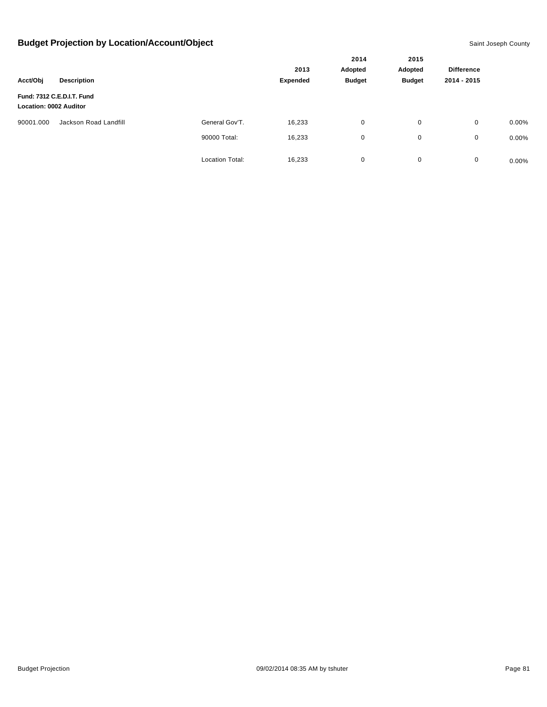|                               |                            |                        |          | 2014<br>Adopted | 2015<br>Adopted |                   |          |
|-------------------------------|----------------------------|------------------------|----------|-----------------|-----------------|-------------------|----------|
|                               |                            |                        | 2013     |                 |                 | <b>Difference</b> |          |
| Acct/Obj                      | <b>Description</b>         |                        | Expended | <b>Budget</b>   | <b>Budget</b>   | 2014 - 2015       |          |
| <b>Location: 0002 Auditor</b> | Fund: 7312 C.E.D.I.T. Fund |                        |          |                 |                 |                   |          |
| 90001.000                     | Jackson Road Landfill      | General Gov'T.         | 16,233   | 0               | 0               | $\mathbf 0$       | $0.00\%$ |
|                               |                            | 90000 Total:           | 16,233   | 0               | 0               | 0                 | $0.00\%$ |
|                               |                            | <b>Location Total:</b> | 16,233   | 0               | 0               | $\mathbf 0$       | $0.00\%$ |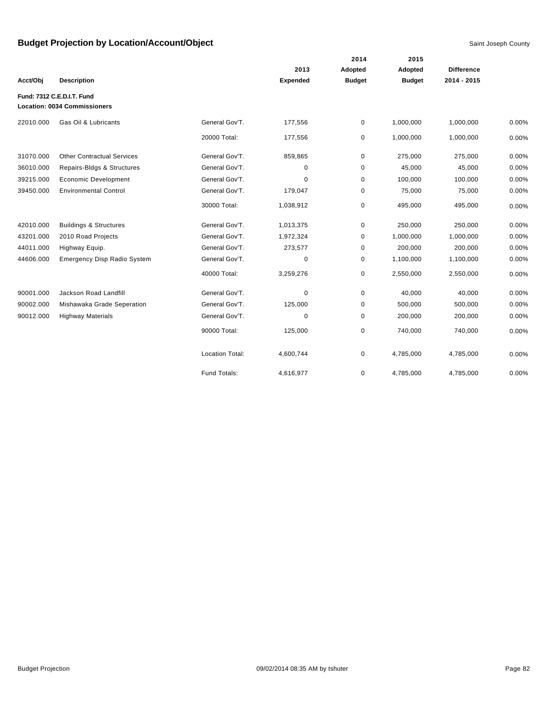|           |                                                                   |                        |           | 2014          | 2015          |                   |       |
|-----------|-------------------------------------------------------------------|------------------------|-----------|---------------|---------------|-------------------|-------|
|           |                                                                   |                        | 2013      | Adopted       | Adopted       | <b>Difference</b> |       |
| Acct/Obj  | <b>Description</b>                                                |                        | Expended  | <b>Budget</b> | <b>Budget</b> | 2014 - 2015       |       |
|           | Fund: 7312 C.E.D.I.T. Fund<br><b>Location: 0034 Commissioners</b> |                        |           |               |               |                   |       |
| 22010.000 | Gas Oil & Lubricants                                              | General Gov'T.         | 177,556   | 0             | 1,000,000     | 1,000,000         | 0.00% |
|           |                                                                   | 20000 Total:           | 177,556   | 0             | 1,000,000     | 1,000,000         | 0.00% |
| 31070.000 | <b>Other Contractual Services</b>                                 | General Gov'T.         | 859,865   | 0             | 275,000       | 275,000           | 0.00% |
| 36010.000 | Repairs-Bldgs & Structures                                        | General Gov'T.         | 0         | 0             | 45,000        | 45,000            | 0.00% |
| 39215.000 | <b>Economic Development</b>                                       | General Gov'T.         | 0         | 0             | 100,000       | 100,000           | 0.00% |
| 39450.000 | <b>Environmental Control</b>                                      | General Gov'T.         | 179,047   | 0             | 75,000        | 75,000            | 0.00% |
|           |                                                                   | 30000 Total:           | 1,038,912 | 0             | 495,000       | 495,000           | 0.00% |
| 42010.000 | <b>Buildings &amp; Structures</b>                                 | General Gov'T.         | 1,013,375 | 0             | 250,000       | 250,000           | 0.00% |
| 43201.000 | 2010 Road Projects                                                | General Gov'T.         | 1,972,324 | 0             | 1,000,000     | 1,000,000         | 0.00% |
| 44011.000 | Highway Equip.                                                    | General Gov'T.         | 273,577   | 0             | 200,000       | 200,000           | 0.00% |
| 44606.000 | <b>Emergency Disp Radio System</b>                                | General Gov'T.         | 0         | 0             | 1,100,000     | 1,100,000         | 0.00% |
|           |                                                                   | 40000 Total:           | 3,259,276 | 0             | 2,550,000     | 2,550,000         | 0.00% |
| 90001.000 | Jackson Road Landfill                                             | General Gov'T.         | 0         | 0             | 40,000        | 40,000            | 0.00% |
| 90002.000 | Mishawaka Grade Seperation                                        | General Gov'T.         | 125,000   | 0             | 500,000       | 500,000           | 0.00% |
| 90012.000 | <b>Highway Materials</b>                                          | General Gov'T.         | 0         | 0             | 200,000       | 200,000           | 0.00% |
|           |                                                                   | 90000 Total:           | 125,000   | 0             | 740,000       | 740,000           | 0.00% |
|           |                                                                   | <b>Location Total:</b> | 4,600,744 | 0             | 4,785,000     | 4,785,000         | 0.00% |
|           |                                                                   | Fund Totals:           | 4,616,977 | 0             | 4,785,000     | 4,785,000         | 0.00% |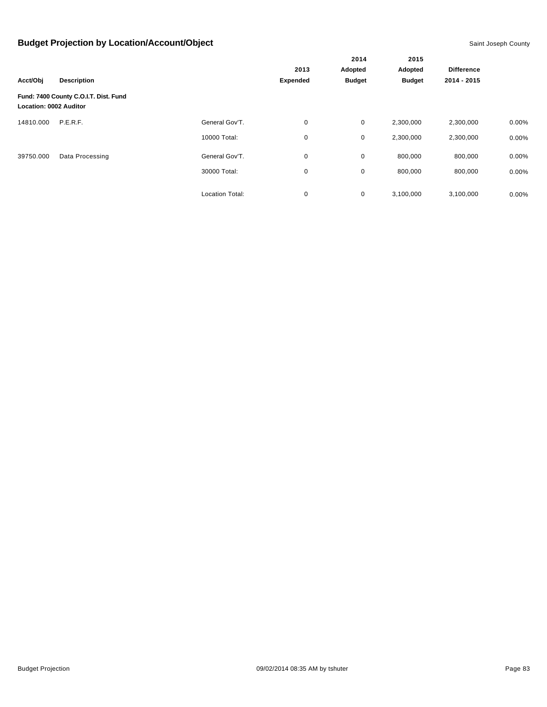|                               |                                       |                        |                 | 2014          | 2015          |                   |          |
|-------------------------------|---------------------------------------|------------------------|-----------------|---------------|---------------|-------------------|----------|
|                               |                                       |                        | 2013            | Adopted       | Adopted       | <b>Difference</b> |          |
| Acct/Obj                      | <b>Description</b>                    |                        | <b>Expended</b> | <b>Budget</b> | <b>Budget</b> | 2014 - 2015       |          |
| <b>Location: 0002 Auditor</b> | Fund: 7400 County C.O.I.T. Dist. Fund |                        |                 |               |               |                   |          |
| 14810.000                     | P.E.R.F.                              | General Gov'T.         | 0               | 0             | 2,300,000     | 2,300,000         | 0.00%    |
|                               |                                       | 10000 Total:           | 0               | $\mathbf 0$   | 2,300,000     | 2,300,000         | 0.00%    |
| 39750.000                     | Data Processing                       | General Gov'T.         | 0               | 0             | 800,000       | 800,000           | $0.00\%$ |
|                               |                                       | 30000 Total:           | 0               | 0             | 800,000       | 800,000           | 0.00%    |
|                               |                                       | <b>Location Total:</b> | 0               | 0             | 3,100,000     | 3,100,000         | $0.00\%$ |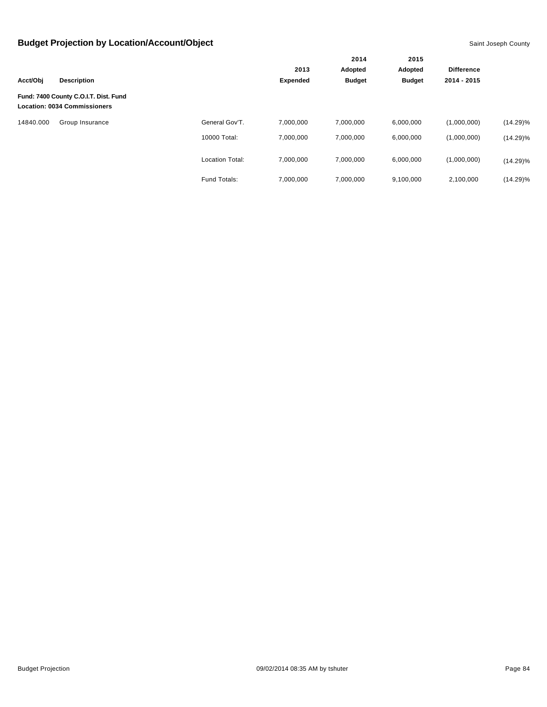|           |                                                                              |                        |                 | 2014<br>Adopted<br><b>Budget</b> | 2015<br>Adopted |                   |             |
|-----------|------------------------------------------------------------------------------|------------------------|-----------------|----------------------------------|-----------------|-------------------|-------------|
|           |                                                                              |                        | 2013            |                                  |                 | <b>Difference</b> |             |
| Acct/Obj  | <b>Description</b>                                                           |                        | <b>Expended</b> |                                  | <b>Budget</b>   | 2014 - 2015       |             |
|           | Fund: 7400 County C.O.I.T. Dist. Fund<br><b>Location: 0034 Commissioners</b> |                        |                 |                                  |                 |                   |             |
| 14840.000 | Group Insurance                                                              | General Gov'T.         | 7,000,000       | 7,000,000                        | 6,000,000       | (1,000,000)       | $(14.29)\%$ |
|           |                                                                              | 10000 Total:           | 7.000.000       | 7,000,000                        | 6,000,000       | (1,000,000)       | $(14.29)\%$ |
|           |                                                                              | <b>Location Total:</b> | 7,000,000       | 7,000,000                        | 6,000,000       | (1,000,000)       | $(14.29)\%$ |
|           |                                                                              | <b>Fund Totals:</b>    | 7,000,000       | 7,000,000                        | 9,100,000       | 2,100,000         | $(14.29)\%$ |